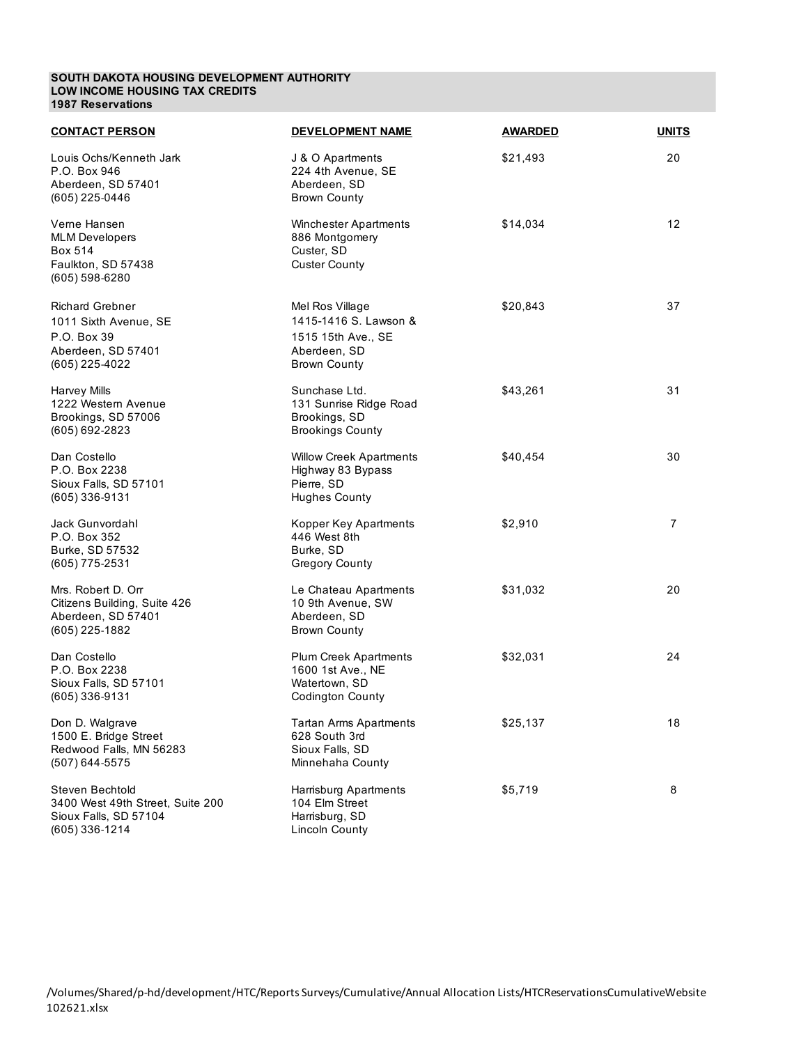#### **SOUTH DAKOTA HOUSING DEVELOPMENT AUTHORITY LOW INCOME HOUSING TAX CREDITS 1987 Reservations**

| <b>CONTACT PERSON</b>                                                                                  | <b>DEVELOPMENT NAME</b>                                                                               | <b>AWARDED</b> | <b>UNITS</b>   |
|--------------------------------------------------------------------------------------------------------|-------------------------------------------------------------------------------------------------------|----------------|----------------|
| Louis Ochs/Kenneth Jark<br>P.O. Box 946<br>Aberdeen, SD 57401<br>(605) 225-0446                        | J & O Apartments<br>224 4th Avenue, SE<br>Aberdeen, SD<br><b>Brown County</b>                         | \$21,493       | 20             |
| Verne Hansen<br><b>MLM Developers</b><br><b>Box 514</b><br>Faulkton, SD 57438<br>(605) 598-6280        | <b>Winchester Apartments</b><br>886 Montgomery<br>Custer, SD<br><b>Custer County</b>                  | \$14,034       | 12             |
| <b>Richard Grebner</b><br>1011 Sixth Avenue, SE<br>P.O. Box 39<br>Aberdeen, SD 57401<br>(605) 225-4022 | Mel Ros Village<br>1415-1416 S. Lawson &<br>1515 15th Ave., SE<br>Aberdeen, SD<br><b>Brown County</b> | \$20,843       | 37             |
| <b>Harvey Mills</b><br>1222 Western Avenue<br>Brookings, SD 57006<br>(605) 692-2823                    | Sunchase Ltd.<br>131 Sunrise Ridge Road<br>Brookings, SD<br><b>Brookings County</b>                   | \$43,261       | 31             |
| Dan Costello<br>P.O. Box 2238<br>Sioux Falls, SD 57101<br>(605) 336-9131                               | <b>Willow Creek Apartments</b><br>Highway 83 Bypass<br>Pierre, SD<br><b>Hughes County</b>             | \$40,454       | 30             |
| Jack Gunvordahl<br>P.O. Box 352<br>Burke, SD 57532<br>(605) 775-2531                                   | Kopper Key Apartments<br>446 West 8th<br>Burke, SD<br><b>Gregory County</b>                           | \$2,910        | $\overline{7}$ |
| Mrs. Robert D. Orr<br>Citizens Building, Suite 426<br>Aberdeen, SD 57401<br>(605) 225-1882             | Le Chateau Apartments<br>10 9th Avenue, SW<br>Aberdeen, SD<br><b>Brown County</b>                     | \$31,032       | 20             |
| Dan Costello<br>P.O. Box 2238<br>Sioux Falls, SD 57101<br>(605) 336-9131                               | <b>Plum Creek Apartments</b><br>1600 1st Ave., NE<br>Watertown, SD<br><b>Codington County</b>         | \$32,031       | 24             |
| Don D. Walgrave<br>1500 E. Bridge Street<br>Redwood Falls, MN 56283<br>(507) 644-5575                  | <b>Tartan Arms Apartments</b><br>628 South 3rd<br>Sioux Falls, SD<br>Minnehaha County                 | \$25,137       | 18             |
| Steven Bechtold<br>3400 West 49th Street, Suite 200<br>Sioux Falls, SD 57104<br>(605) 336-1214         | Harrisburg Apartments<br>104 Elm Street<br>Harrisburg, SD<br><b>Lincoln County</b>                    | \$5,719        | 8              |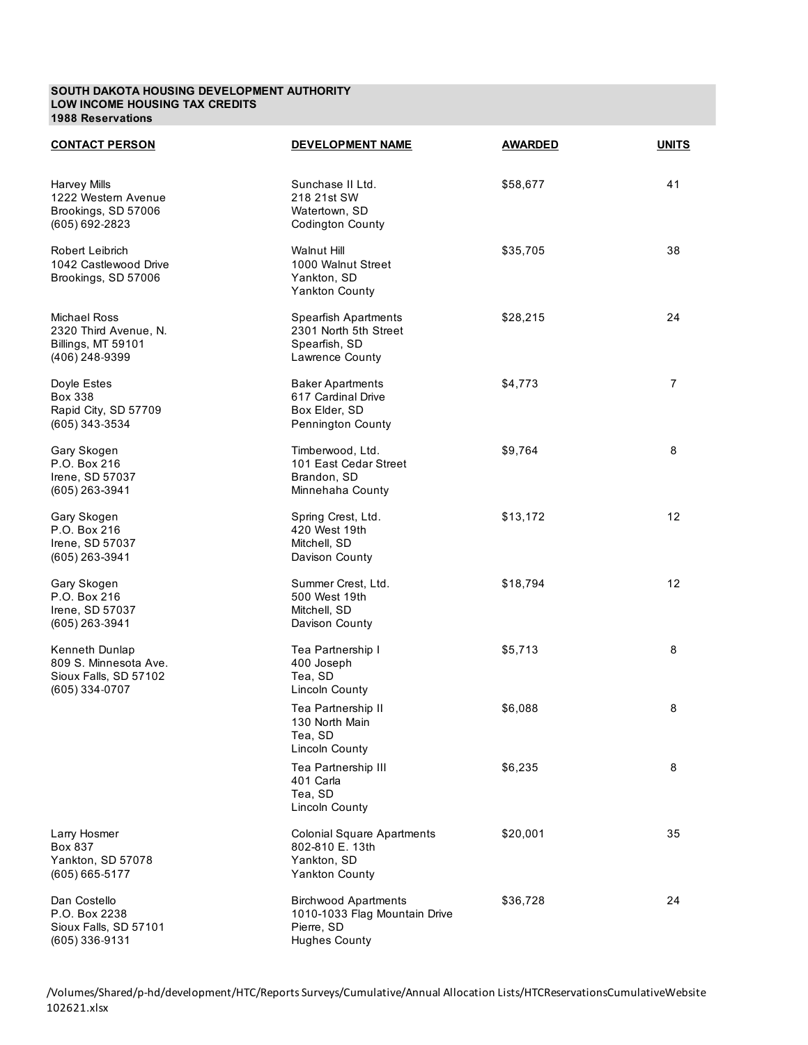#### **SOUTH DAKOTA HOUSING DEVELOPMENT AUTHORITY LOW INCOME HOUSING TAX CREDITS 1988 Reservations**

| <b>CONTACT PERSON</b>                                                                | <b>DEVELOPMENT NAME</b>                                                                            | <b>AWARDED</b> | <b>UNITS</b>      |
|--------------------------------------------------------------------------------------|----------------------------------------------------------------------------------------------------|----------------|-------------------|
| <b>Harvey Mills</b><br>1222 Western Avenue<br>Brookings, SD 57006<br>(605) 692-2823  | Sunchase II Ltd.<br>218 21st SW<br>Watertown, SD<br><b>Codington County</b>                        | \$58,677       | 41                |
| Robert Leibrich<br>1042 Castlewood Drive<br>Brookings, SD 57006                      | <b>Walnut Hill</b><br>1000 Walnut Street<br>Yankton, SD<br><b>Yankton County</b>                   | \$35,705       | 38                |
| <b>Michael Ross</b><br>2320 Third Avenue, N.<br>Billings, MT 59101<br>(406) 248-9399 | Spearfish Apartments<br>2301 North 5th Street<br>Spearfish, SD<br>Lawrence County                  | \$28,215       | 24                |
| Doyle Estes<br>Box 338<br>Rapid City, SD 57709<br>(605) 343-3534                     | <b>Baker Apartments</b><br>617 Cardinal Drive<br>Box Elder, SD<br>Pennington County                | \$4,773        | $\overline{7}$    |
| Gary Skogen<br>P.O. Box 216<br>Irene, SD 57037<br>$(605)$ 263-3941                   | Timberwood, Ltd.<br>101 East Cedar Street<br>Brandon, SD<br>Minnehaha County                       | \$9,764        | 8                 |
| Gary Skogen<br>P.O. Box 216<br>Irene, SD 57037<br>(605) 263-3941                     | Spring Crest, Ltd.<br>420 West 19th<br>Mitchell, SD<br>Davison County                              | \$13,172       | $12 \overline{ }$ |
| Gary Skogen<br>P.O. Box 216<br>Irene, SD 57037<br>(605) 263-3941                     | Summer Crest, Ltd.<br>500 West 19th<br>Mitchell, SD<br>Davison County                              | \$18,794       | $12 \overline{ }$ |
| Kenneth Dunlap<br>809 S. Minnesota Ave.<br>Sioux Falls, SD 57102<br>$(605)$ 334-0707 | Tea Partnership I<br>400 Joseph<br>Tea, SD<br><b>Lincoln County</b>                                | \$5,713        | 8                 |
|                                                                                      | Tea Partnership II<br>130 North Main<br>Tea, SD<br><b>Lincoln County</b>                           | \$6,088        | 8                 |
|                                                                                      | Tea Partnership III<br>401 Carla<br>Tea, SD<br><b>Lincoln County</b>                               | \$6,235        | 8                 |
| Larry Hosmer<br>Box 837<br>Yankton, SD 57078<br>$(605) 665 - 5177$                   | <b>Colonial Square Apartments</b><br>802-810 E. 13th<br>Yankton, SD<br><b>Yankton County</b>       | \$20,001       | 35                |
| Dan Costello<br>P.O. Box 2238<br>Sioux Falls, SD 57101<br>(605) 336-9131             | <b>Birchwood Apartments</b><br>1010-1033 Flag Mountain Drive<br>Pierre, SD<br><b>Hughes County</b> | \$36,728       | 24                |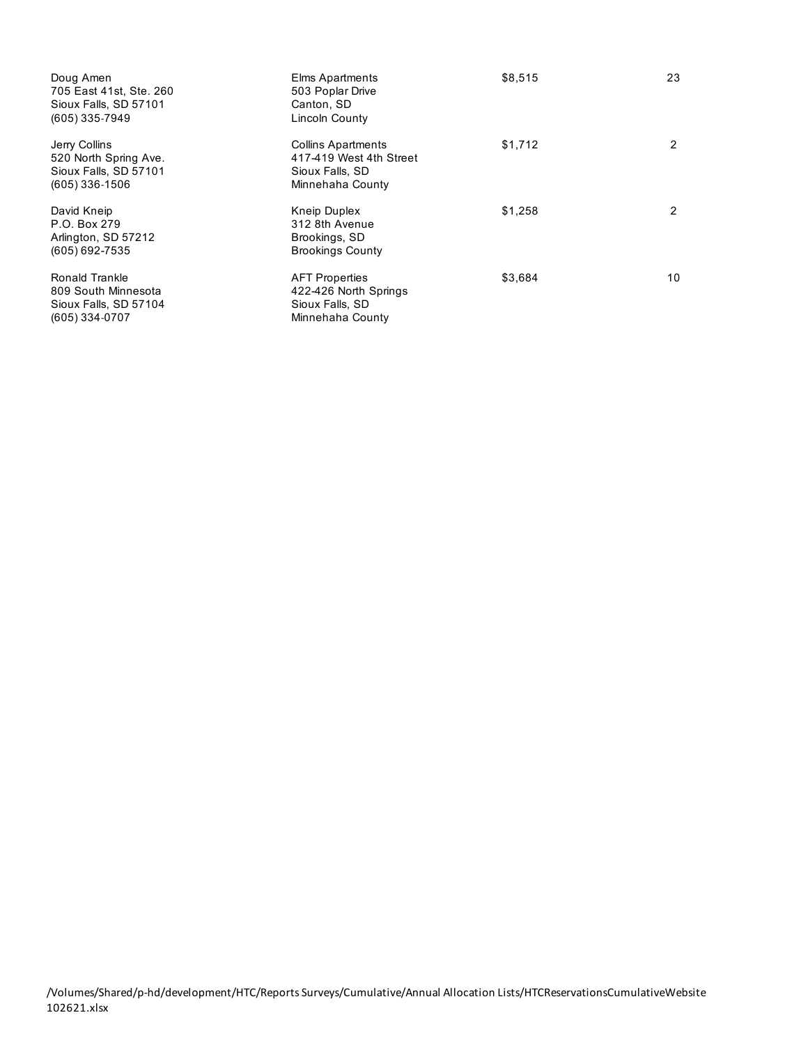| Doug Amen<br>705 East 41st, Ste. 260<br>Sioux Falls, SD 57101<br>(605) 335-7949     | <b>Elms Apartments</b><br>503 Poplar Drive<br>Canton, SD<br>Lincoln County                  | \$8,515 | 23 |
|-------------------------------------------------------------------------------------|---------------------------------------------------------------------------------------------|---------|----|
| Jerry Collins<br>520 North Spring Ave.<br>Sioux Falls, SD 57101<br>$(605)$ 336-1506 | <b>Collins Apartments</b><br>417-419 West 4th Street<br>Sioux Falls, SD<br>Minnehaha County | \$1,712 | 2  |
| David Kneip<br>P.O. Box 279<br>Arlington, SD 57212<br>(605) 692-7535                | Kneip Duplex<br>312 8th Avenue<br>Brookings, SD<br><b>Brookings County</b>                  | \$1,258 | 2  |
| Ronald Trankle<br>809 South Minnesota<br>Sioux Falls, SD 57104<br>$(605)$ 334-0707  | <b>AFT Properties</b><br>422-426 North Springs<br>Sioux Falls, SD<br>Minnehaha County       | \$3,684 | 10 |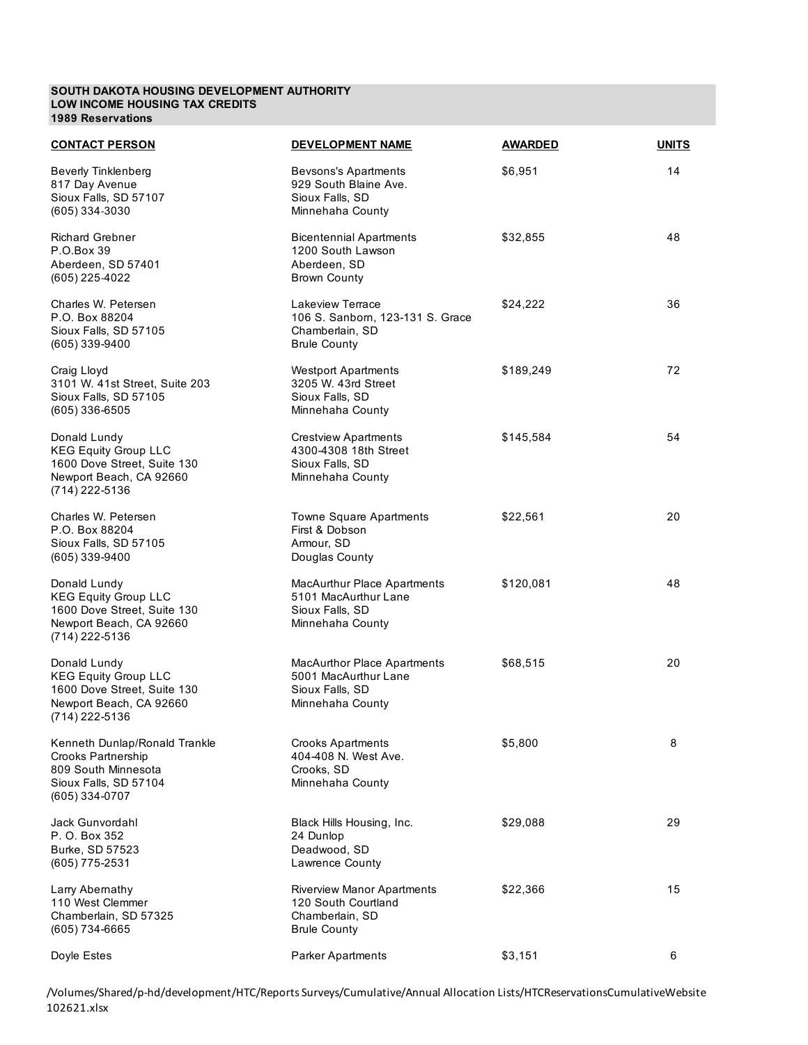#### **SOUTH DAKOTA HOUSING DEVELOPMENT AUTHORITY LOW INCOME HOUSING TAX CREDITS 1989 Reservations**

| <b>CONTACT PERSON</b>                                                                                                        | <b>DEVELOPMENT NAME</b>                                                                            | <b>AWARDED</b> | <b>UNITS</b> |
|------------------------------------------------------------------------------------------------------------------------------|----------------------------------------------------------------------------------------------------|----------------|--------------|
| <b>Beverly Tinklenberg</b><br>817 Day Avenue<br>Sioux Falls, SD 57107<br>(605) 334-3030                                      | <b>Bevsons's Apartments</b><br>929 South Blaine Ave.<br>Sioux Falls, SD<br>Minnehaha County        | \$6,951        | 14           |
| <b>Richard Grebner</b><br>P.O.Box 39<br>Aberdeen, SD 57401<br>(605) 225-4022                                                 | <b>Bicentennial Apartments</b><br>1200 South Lawson<br>Aberdeen, SD<br><b>Brown County</b>         | \$32,855       | 48           |
| Charles W. Petersen<br>P.O. Box 88204<br>Sioux Falls, SD 57105<br>$(605)$ 339-9400                                           | Lakeview Terrace<br>106 S. Sanborn, 123-131 S. Grace<br>Chamberlain, SD<br><b>Brule County</b>     | \$24,222       | 36           |
| Craig Lloyd<br>3101 W. 41st Street, Suite 203<br>Sioux Falls, SD 57105<br>$(605)$ 336-6505                                   | <b>Westport Apartments</b><br>3205 W. 43rd Street<br>Sioux Falls, SD<br>Minnehaha County           | \$189,249      | 72           |
| Donald Lundy<br><b>KEG Equity Group LLC</b><br>1600 Dove Street, Suite 130<br>Newport Beach, CA 92660<br>(714) 222-5136      | <b>Crestview Apartments</b><br>4300-4308 18th Street<br>Sioux Falls, SD<br>Minnehaha County        | \$145,584      | 54           |
| Charles W. Petersen<br>P.O. Box 88204<br>Sioux Falls, SD 57105<br>(605) 339-9400                                             | Towne Square Apartments<br>First & Dobson<br>Armour, SD<br>Douglas County                          | \$22,561       | 20           |
| Donald Lundy<br><b>KEG Equity Group LLC</b><br>1600 Dove Street, Suite 130<br>Newport Beach, CA 92660<br>(714) 222-5136      | <b>MacAurthur Place Apartments</b><br>5101 MacAurthur Lane<br>Sioux Falls, SD<br>Minnehaha County  | \$120,081      | 48           |
| Donald Lundy<br><b>KEG Equity Group LLC</b><br>1600 Dove Street, Suite 130<br>Newport Beach, CA 92660<br>(714) 222-5136      | <b>MacAurthor Place Apartments</b><br>5001 MacAurthur Lane<br>Sioux Falls, SD<br>Minnehaha County  | \$68,515       | 20           |
| Kenneth Dunlap/Ronald Trankle<br><b>Crooks Partnership</b><br>809 South Minnesota<br>Sioux Falls, SD 57104<br>(605) 334-0707 | <b>Crooks Apartments</b><br>404-408 N. West Ave.<br>Crooks, SD<br>Minnehaha County                 | \$5,800        | 8            |
| Jack Gunvordahl<br>P. O. Box 352<br>Burke, SD 57523<br>(605) 775-2531                                                        | Black Hills Housing, Inc.<br>24 Dunlop<br>Deadwood, SD<br><b>Lawrence County</b>                   | \$29,088       | 29           |
| Larry Abernathy<br>110 West Clemmer<br>Chamberlain, SD 57325<br>(605) 734-6665                                               | <b>Riverview Manor Apartments</b><br>120 South Courtland<br>Chamberlain, SD<br><b>Brule County</b> | \$22,366       | 15           |
| Doyle Estes                                                                                                                  | <b>Parker Apartments</b>                                                                           | \$3,151        | 6            |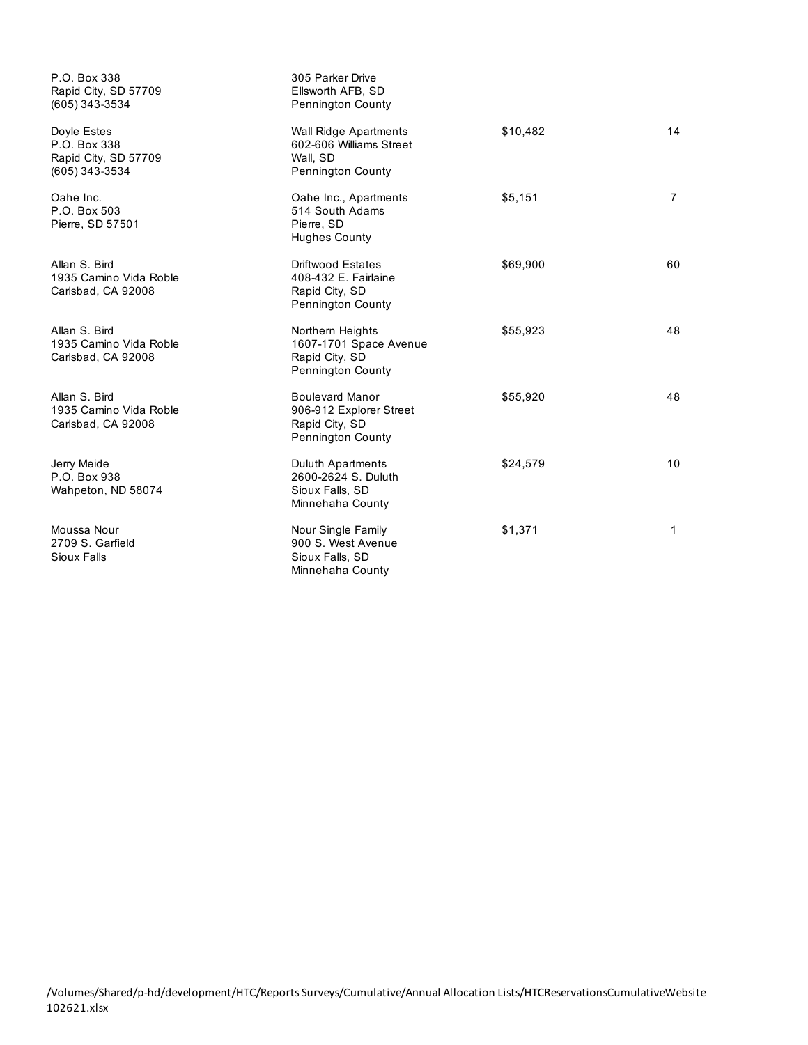| P.O. Box 338<br>Rapid City, SD 57709<br>(605) 343-3534                | 305 Parker Drive<br>Ellsworth AFB, SD<br><b>Pennington County</b>                              |          |                |
|-----------------------------------------------------------------------|------------------------------------------------------------------------------------------------|----------|----------------|
| Doyle Estes<br>P.O. Box 338<br>Rapid City, SD 57709<br>(605) 343-3534 | <b>Wall Ridge Apartments</b><br>602-606 Williams Street<br>Wall, SD<br>Pennington County       | \$10,482 | 14             |
| Oahe Inc.<br>P.O. Box 503<br>Pierre, SD 57501                         | Oahe Inc., Apartments<br>514 South Adams<br>Pierre, SD<br><b>Hughes County</b>                 | \$5,151  | $\overline{7}$ |
| Allan S. Bird<br>1935 Camino Vida Roble<br>Carlsbad, CA 92008         | <b>Driftwood Estates</b><br>408-432 E. Fairlaine<br>Rapid City, SD<br><b>Pennington County</b> | \$69,900 | 60             |
| Allan S. Bird<br>1935 Camino Vida Roble<br>Carlsbad, CA 92008         | Northern Heights<br>1607-1701 Space Avenue<br>Rapid City, SD<br>Pennington County              | \$55,923 | 48             |
| Allan S. Bird<br>1935 Camino Vida Roble<br>Carlsbad, CA 92008         | <b>Boulevard Manor</b><br>906-912 Explorer Street<br>Rapid City, SD<br>Pennington County       | \$55,920 | 48             |
| Jerry Meide<br>P.O. Box 938<br>Wahpeton, ND 58074                     | <b>Duluth Apartments</b><br>2600-2624 S. Duluth<br>Sioux Falls, SD<br>Minnehaha County         | \$24,579 | 10             |
| Moussa Nour<br>2709 S. Garfield<br>Sioux Falls                        | Nour Single Family<br>900 S. West Avenue<br>Sioux Falls, SD<br>Minnehaha County                | \$1,371  | 1              |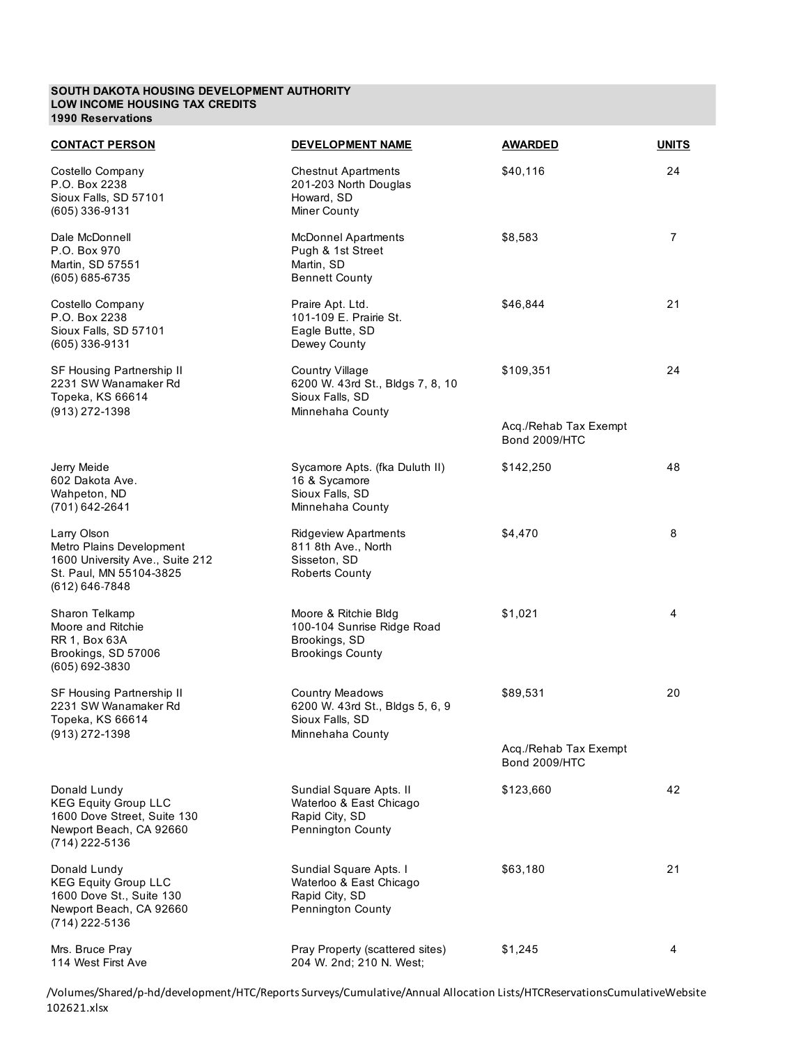#### **SOUTH DAKOTA HOUSING DEVELOPMENT AUTHORITY LOW INCOME HOUSING TAX CREDITS 1990 Reservations**

| <b>CONTACT PERSON</b>                                                                                                       | DEVELOPMENT NAME                                                                                  | <b>AWARDED</b>                                | <b>UNITS</b> |
|-----------------------------------------------------------------------------------------------------------------------------|---------------------------------------------------------------------------------------------------|-----------------------------------------------|--------------|
| Costello Company<br>P.O. Box 2238<br>Sioux Falls, SD 57101<br>$(605)$ 336-9131                                              | <b>Chestnut Apartments</b><br>201-203 North Douglas<br>Howard, SD<br>Miner County                 | \$40,116                                      | 24           |
| Dale McDonnell<br>P.O. Box 970<br>Martin, SD 57551<br>(605) 685-6735                                                        | <b>McDonnel Apartments</b><br>Pugh & 1st Street<br>Martin, SD<br><b>Bennett County</b>            | \$8,583                                       | 7            |
| Costello Company<br>P.O. Box 2238<br>Sioux Falls, SD 57101<br>$(605)$ 336-9131                                              | Praire Apt. Ltd.<br>101-109 E. Prairie St.<br>Eagle Butte, SD<br>Dewey County                     | \$46,844                                      | 21           |
| SF Housing Partnership II<br>2231 SW Wanamaker Rd<br>Topeka, KS 66614<br>(913) 272-1398                                     | <b>Country Village</b><br>6200 W. 43rd St., Bldgs 7, 8, 10<br>Sioux Falls, SD<br>Minnehaha County | \$109,351                                     | 24           |
|                                                                                                                             |                                                                                                   | Acq./Rehab Tax Exempt<br><b>Bond 2009/HTC</b> |              |
| Jerry Meide<br>602 Dakota Ave.<br>Wahpeton, ND<br>$(701)$ 642-2641                                                          | Sycamore Apts. (fka Duluth II)<br>16 & Sycamore<br>Sioux Falls, SD<br>Minnehaha County            | \$142,250                                     | 48           |
| Larry Olson<br>Metro Plains Development<br>1600 University Ave., Suite 212<br>St. Paul, MN 55104-3825<br>$(612) 646 - 7848$ | <b>Ridgeview Apartments</b><br>811 8th Ave., North<br>Sisseton, SD<br><b>Roberts County</b>       | \$4,470                                       | 8            |
| Sharon Telkamp<br>Moore and Ritchie<br>RR 1, Box 63A<br>Brookings, SD 57006<br>(605) 692-3830                               | Moore & Ritchie Bldg<br>100-104 Sunrise Ridge Road<br>Brookings, SD<br><b>Brookings County</b>    | \$1,021                                       | 4            |
| <b>SF Housing Partnership II</b><br>2231 SW Wanamaker Rd<br>Topeka, KS 66614<br>$(913)$ 272-1398                            | <b>Country Meadows</b><br>6200 W. 43rd St., Bldgs 5, 6, 9<br>Sioux Falls, SD<br>Minnehaha County  | \$89,531                                      | 20           |
|                                                                                                                             |                                                                                                   | Acq./Rehab Tax Exempt<br><b>Bond 2009/HTC</b> |              |
| Donald Lundy<br><b>KEG Equity Group LLC</b><br>1600 Dove Street, Suite 130<br>Newport Beach, CA 92660<br>(714) 222-5136     | Sundial Square Apts. II<br>Waterloo & East Chicago<br>Rapid City, SD<br>Pennington County         | \$123,660                                     | 42           |
| Donald Lundy<br><b>KEG Equity Group LLC</b><br>1600 Dove St., Suite 130<br>Newport Beach, CA 92660<br>(714) 222-5136        | Sundial Square Apts. I<br>Waterloo & East Chicago<br>Rapid City, SD<br>Pennington County          | \$63,180                                      | 21           |
| Mrs. Bruce Pray<br>114 West First Ave                                                                                       | Pray Property (scattered sites)<br>204 W. 2nd; 210 N. West;                                       | \$1,245                                       | 4            |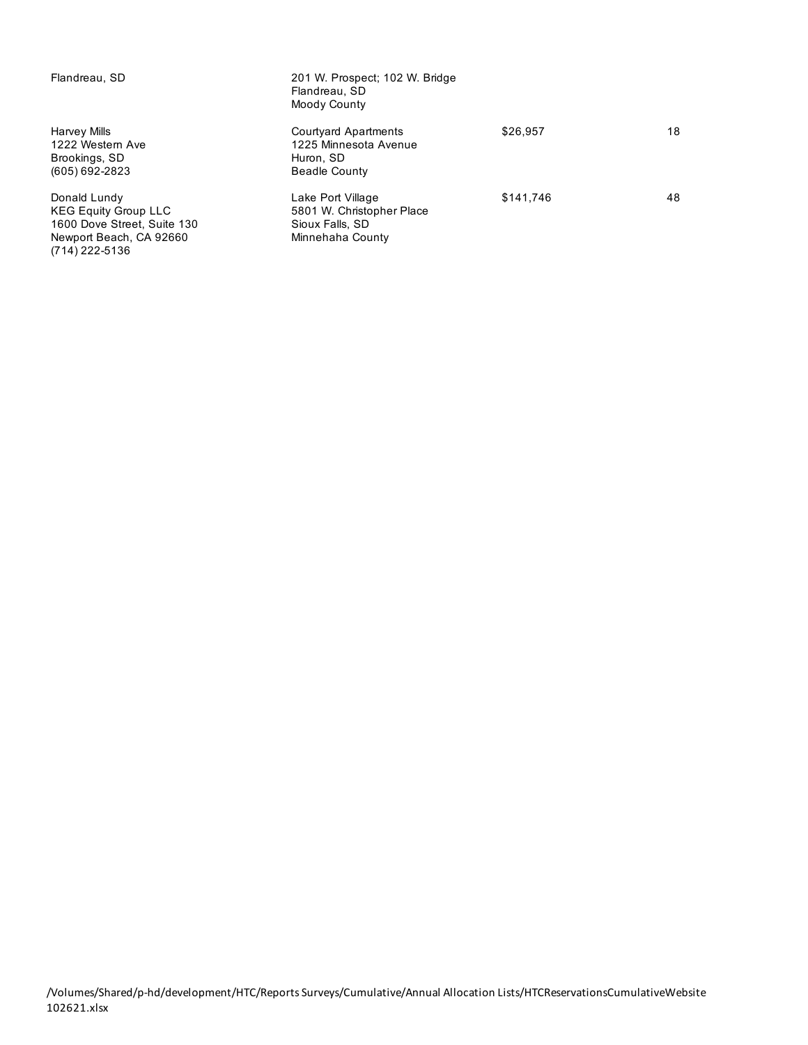| Flandreau, SD                                                                                                           | 201 W. Prospect; 102 W. Bridge<br>Flandreau, SD<br>Moody County                           |           |    |
|-------------------------------------------------------------------------------------------------------------------------|-------------------------------------------------------------------------------------------|-----------|----|
| Harvey Mills<br>1222 Western Ave<br>Brookings, SD<br>(605) 692-2823                                                     | <b>Courtyard Apartments</b><br>1225 Minnesota Avenue<br>Huron, SD<br><b>Beadle County</b> | \$26.957  | 18 |
| Donald Lundy<br><b>KEG Equity Group LLC</b><br>1600 Dove Street, Suite 130<br>Newport Beach, CA 92660<br>(714) 222-5136 | Lake Port Village<br>5801 W. Christopher Place<br>Sioux Falls, SD<br>Minnehaha County     | \$141.746 | 48 |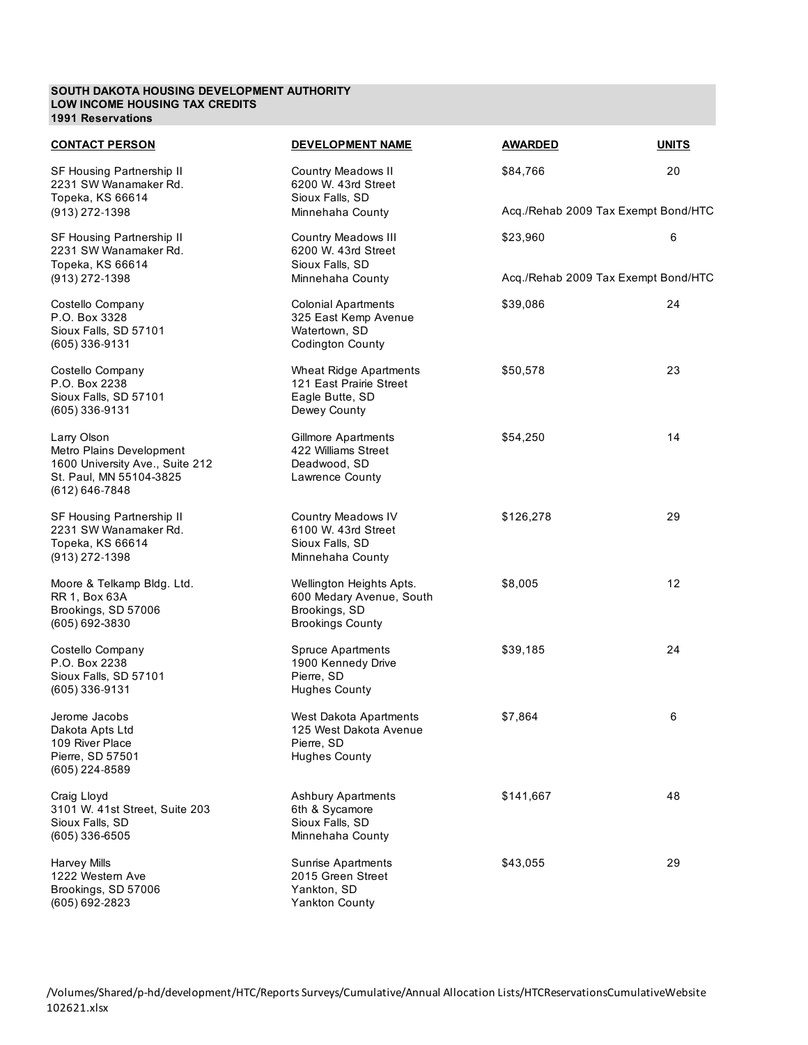#### **SOUTH DAKOTA HOUSING DEVELOPMENT AUTHORITY LOW INCOME HOUSING TAX CREDITS 1991 Reservations**

| <b>CONTACT PERSON</b>                                                                                                   | DEVELOPMENT NAME                                                                                 | <b>AWARDED</b>                      | <b>UNITS</b> |
|-------------------------------------------------------------------------------------------------------------------------|--------------------------------------------------------------------------------------------------|-------------------------------------|--------------|
| SF Housing Partnership II<br>2231 SW Wanamaker Rd.<br>Topeka, KS 66614                                                  | <b>Country Meadows II</b><br>6200 W. 43rd Street<br>Sioux Falls, SD                              | \$84,766                            | 20           |
| (913) 272-1398                                                                                                          | Minnehaha County                                                                                 | Acq./Rehab 2009 Tax Exempt Bond/HTC |              |
| SF Housing Partnership II<br>2231 SW Wanamaker Rd.<br>Topeka, KS 66614                                                  | <b>Country Meadows III</b><br>6200 W. 43rd Street<br>Sioux Falls, SD                             | \$23,960                            | 6            |
| $(913)$ 272-1398                                                                                                        | Minnehaha County                                                                                 | Acq./Rehab 2009 Tax Exempt Bond/HTC |              |
| Costello Company<br>P.O. Box 3328<br>Sioux Falls, SD 57101<br>$(605)$ 336-9131                                          | <b>Colonial Apartments</b><br>325 East Kemp Avenue<br>Watertown, SD<br><b>Codington County</b>   | \$39,086                            | 24           |
| Costello Company<br>P.O. Box 2238<br>Sioux Falls, SD 57101<br>(605) 336-9131                                            | Wheat Ridge Apartments<br>121 East Prairie Street<br>Eagle Butte, SD<br>Dewey County             | \$50,578                            | 23           |
| Larry Olson<br>Metro Plains Development<br>1600 University Ave., Suite 212<br>St. Paul, MN 55104-3825<br>(612) 646-7848 | <b>Gillmore Apartments</b><br>422 Williams Street<br>Deadwood, SD<br>Lawrence County             | \$54,250                            | 14           |
| SF Housing Partnership II<br>2231 SW Wanamaker Rd.<br>Topeka, KS 66614<br>$(913)$ 272-1398                              | Country Meadows IV<br>6100 W. 43rd Street<br>Sioux Falls, SD<br>Minnehaha County                 | \$126,278                           | 29           |
| Moore & Telkamp Bldg. Ltd.<br>RR 1, Box 63A<br>Brookings, SD 57006<br>(605) 692-3830                                    | Wellington Heights Apts.<br>600 Medary Avenue, South<br>Brookings, SD<br><b>Brookings County</b> | \$8,005                             | 12           |
| Costello Company<br>P.O. Box 2238<br>Sioux Falls, SD 57101<br>$(605)$ 336-9131                                          | <b>Spruce Apartments</b><br>1900 Kennedy Drive<br>Pierre, SD<br><b>Hughes County</b>             | \$39,185                            | 24           |
| Jerome Jacobs<br>Dakota Apts Ltd<br>109 River Place<br>Pierre, SD 57501<br>(605) 224-8589                               | West Dakota Apartments<br>125 West Dakota Avenue<br>Pierre, SD<br><b>Hughes County</b>           | \$7,864                             | 6            |
| Craig Lloyd<br>3101 W. 41st Street, Suite 203<br>Sioux Falls, SD<br>$(605)$ 336-6505                                    | <b>Ashbury Apartments</b><br>6th & Sycamore<br>Sioux Falls, SD<br>Minnehaha County               | \$141,667                           | 48           |
| <b>Harvey Mills</b><br>1222 Western Ave<br>Brookings, SD 57006<br>(605) 692-2823                                        | Sunrise Apartments<br>2015 Green Street<br>Yankton, SD<br>Yankton County                         | \$43,055                            | 29           |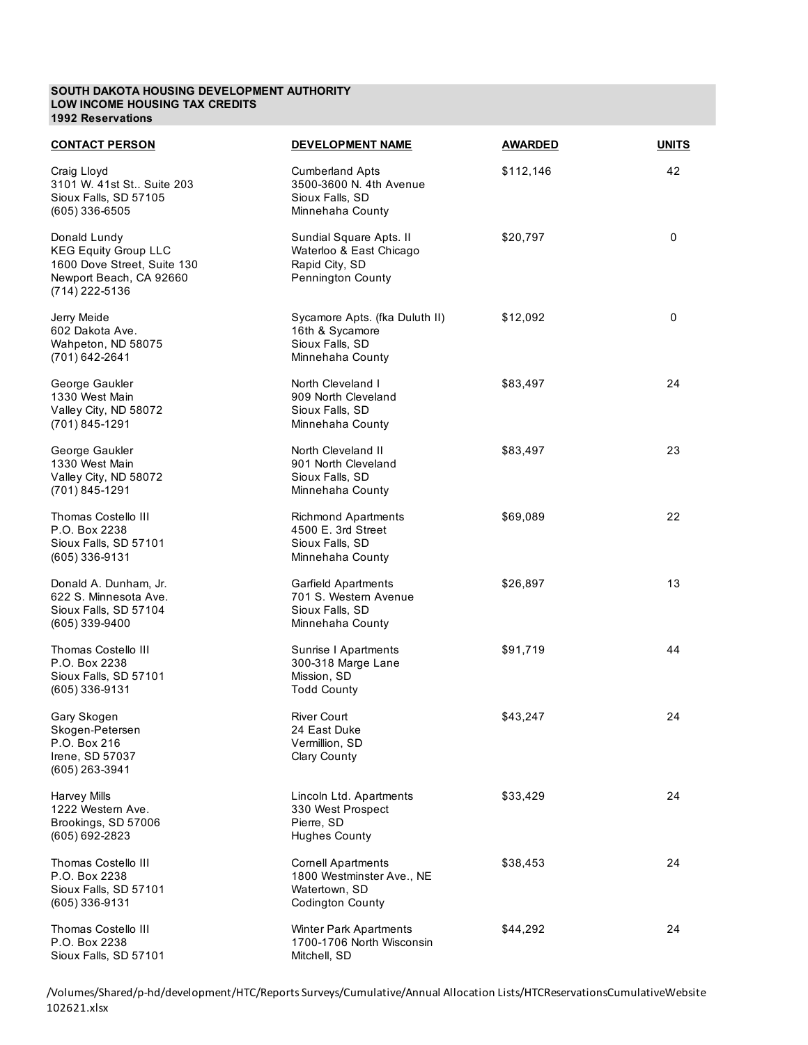#### **SOUTH DAKOTA HOUSING DEVELOPMENT AUTHORITY LOW INCOME HOUSING TAX CREDITS 1992 Reservations**

| <b>CONTACT PERSON</b>                                                                                                   | DEVELOPMENT NAME                                                                                   | <b>AWARDED</b> | <b>UNITS</b> |
|-------------------------------------------------------------------------------------------------------------------------|----------------------------------------------------------------------------------------------------|----------------|--------------|
| Craig Lloyd<br>3101 W. 41st St Suite 203<br>Sioux Falls, SD 57105<br>$(605)$ 336-6505                                   | <b>Cumberland Apts</b><br>3500-3600 N. 4th Avenue<br>Sioux Falls, SD<br>Minnehaha County           | \$112,146      | 42           |
| Donald Lundy<br><b>KEG Equity Group LLC</b><br>1600 Dove Street, Suite 130<br>Newport Beach, CA 92660<br>(714) 222-5136 | Sundial Square Apts. II<br>Waterloo & East Chicago<br>Rapid City, SD<br>Pennington County          | \$20,797       | 0            |
| Jerry Meide<br>602 Dakota Ave.<br>Wahpeton, ND 58075<br>(701) 642-2641                                                  | Sycamore Apts. (fka Duluth II)<br>16th & Sycamore<br>Sioux Falls, SD<br>Minnehaha County           | \$12,092       | 0            |
| George Gaukler<br>1330 West Main<br>Valley City, ND 58072<br>(701) 845-1291                                             | North Cleveland I<br>909 North Cleveland<br>Sioux Falls, SD<br>Minnehaha County                    | \$83,497       | 24           |
| George Gaukler<br>1330 West Main<br>Valley City, ND 58072<br>(701) 845-1291                                             | North Cleveland II<br>901 North Cleveland<br>Sioux Falls, SD<br>Minnehaha County                   | \$83,497       | 23           |
| Thomas Costello III<br>P.O. Box 2238<br>Sioux Falls, SD 57101<br>$(605)$ 336-9131                                       | <b>Richmond Apartments</b><br>4500 E. 3rd Street<br>Sioux Falls, SD<br>Minnehaha County            | \$69,089       | 22           |
| Donald A. Dunham, Jr.<br>622 S. Minnesota Ave.<br>Sioux Falls, SD 57104<br>(605) 339-9400                               | Garfield Apartments<br>701 S. Western Avenue<br>Sioux Falls, SD<br>Minnehaha County                | \$26,897       | 13           |
| Thomas Costello III<br>P.O. Box 2238<br>Sioux Falls, SD 57101<br>(605) 336-9131                                         | Sunrise I Apartments<br>300-318 Marge Lane<br>Mission, SD<br><b>Todd County</b>                    | \$91,719       | 44           |
| Gary Skogen<br>Skogen-Petersen<br>P.O. Box 216<br>Irene, SD 57037<br>(605) 263-3941                                     | River Court<br>24 East Duke<br>Vermillion, SD<br>Clary County                                      | \$43,247       | 24           |
| <b>Harvey Mills</b><br>1222 Western Ave.<br>Brookings, SD 57006<br>(605) 692-2823                                       | Lincoln Ltd. Apartments<br>330 West Prospect<br>Pierre, SD<br><b>Hughes County</b>                 | \$33,429       | 24           |
| Thomas Costello III<br>P.O. Box 2238<br>Sioux Falls, SD 57101<br>(605) 336-9131                                         | <b>Cornell Apartments</b><br>1800 Westminster Ave., NE<br>Watertown, SD<br><b>Codington County</b> | \$38,453       | 24           |
| Thomas Costello III<br>P.O. Box 2238<br>Sioux Falls, SD 57101                                                           | <b>Winter Park Apartments</b><br>1700-1706 North Wisconsin<br>Mitchell, SD                         | \$44,292       | 24           |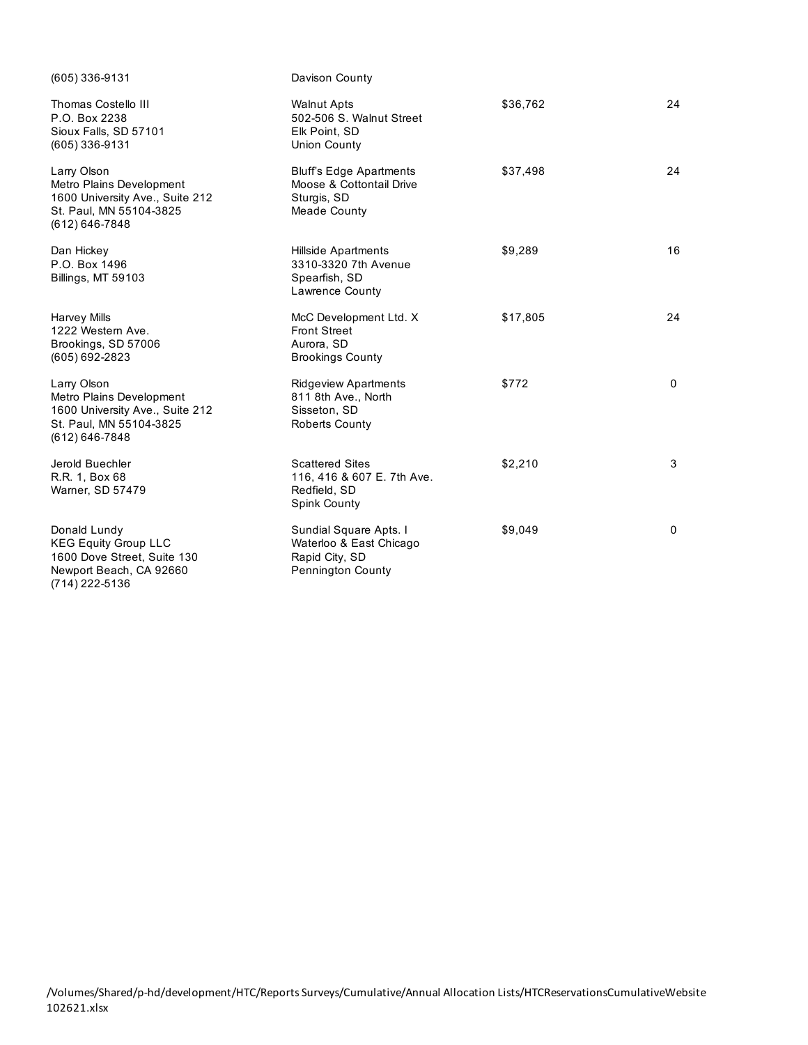| (605) 336-9131                                                                                                              | Davison County                                                                                   |          |             |
|-----------------------------------------------------------------------------------------------------------------------------|--------------------------------------------------------------------------------------------------|----------|-------------|
| Thomas Costello III<br>P.O. Box 2238<br>Sioux Falls, SD 57101<br>(605) 336-9131                                             | <b>Walnut Apts</b><br>502-506 S. Walnut Street<br>Elk Point, SD<br>Union County                  | \$36,762 | 24          |
| Larry Olson<br>Metro Plains Development<br>1600 University Ave., Suite 212<br>St. Paul, MN 55104-3825<br>(612) 646-7848     | <b>Bluff's Edge Apartments</b><br>Moose & Cottontail Drive<br>Sturgis, SD<br><b>Meade County</b> | \$37,498 | 24          |
| Dan Hickey<br>P.O. Box 1496<br>Billings, MT 59103                                                                           | <b>Hillside Apartments</b><br>3310-3320 7th Avenue<br>Spearfish, SD<br>Lawrence County           | \$9,289  | 16          |
| <b>Harvey Mills</b><br>1222 Western Ave.<br>Brookings, SD 57006<br>(605) 692-2823                                           | McC Development Ltd. X<br><b>Front Street</b><br>Aurora, SD<br><b>Brookings County</b>           | \$17,805 | 24          |
| Larry Olson<br>Metro Plains Development<br>1600 University Ave., Suite 212<br>St. Paul, MN 55104-3825<br>$(612) 646 - 7848$ | <b>Ridgeview Apartments</b><br>811 8th Ave., North<br>Sisseton, SD<br><b>Roberts County</b>      | \$772    | 0           |
| Jerold Buechler<br>R.R. 1, Box 68<br>Warner, SD 57479                                                                       | <b>Scattered Sites</b><br>116, 416 & 607 E. 7th Ave.<br>Redfield, SD<br><b>Spink County</b>      | \$2,210  | 3           |
| Donald Lundy<br><b>KEG Equity Group LLC</b><br>1600 Dove Street, Suite 130<br>Newport Beach, CA 92660<br>(714) 222-5136     | Sundial Square Apts. I<br>Waterloo & East Chicago<br>Rapid City, SD<br><b>Pennington County</b>  | \$9,049  | $\mathbf 0$ |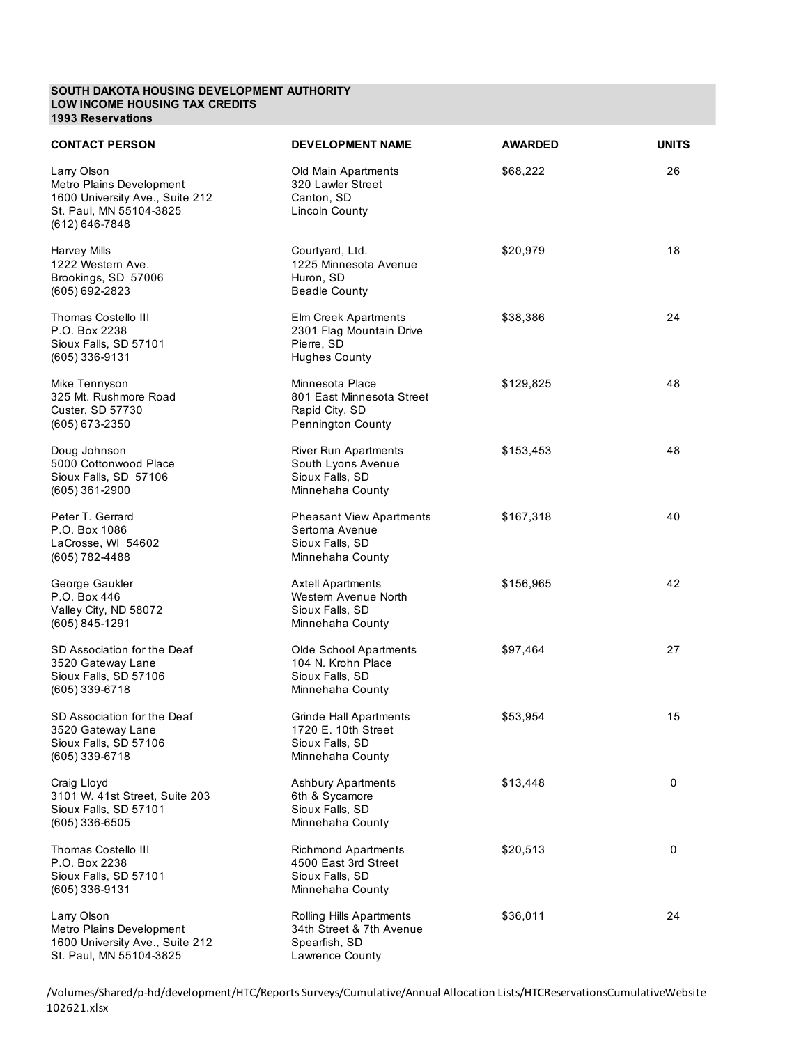### **SOUTH DAKOTA HOUSING DEVELOPMENT AUTHORITY LOW INCOME HOUSING TAX CREDITS 1993 Reservations**

| <b>CONTACT PERSON</b>                                                                                                   | <b>DEVELOPMENT NAME</b>                                                                     | <b>AWARDED</b> | <b>UNITS</b> |
|-------------------------------------------------------------------------------------------------------------------------|---------------------------------------------------------------------------------------------|----------------|--------------|
| Larry Olson<br>Metro Plains Development<br>1600 University Ave., Suite 212<br>St. Paul, MN 55104-3825<br>(612) 646-7848 | Old Main Apartments<br>320 Lawler Street<br>Canton, SD<br><b>Lincoln County</b>             | \$68,222       | 26           |
| Harvey Mills<br>1222 Western Ave.<br>Brookings, SD 57006<br>(605) 692-2823                                              | Courtyard, Ltd.<br>1225 Minnesota Avenue<br>Huron, SD<br><b>Beadle County</b>               | \$20,979       | 18           |
| Thomas Costello III<br>P.O. Box 2238<br>Sioux Falls, SD 57101<br>(605) 336-9131                                         | Elm Creek Apartments<br>2301 Flag Mountain Drive<br>Pierre, SD<br><b>Hughes County</b>      | \$38,386       | 24           |
| Mike Tennyson<br>325 Mt. Rushmore Road<br>Custer, SD 57730<br>(605) 673-2350                                            | Minnesota Place<br>801 East Minnesota Street<br>Rapid City, SD<br>Pennington County         | \$129,825      | 48           |
| Doug Johnson<br>5000 Cottonwood Place<br>Sioux Falls, SD 57106<br>(605) 361-2900                                        | <b>River Run Apartments</b><br>South Lyons Avenue<br>Sioux Falls, SD<br>Minnehaha County    | \$153,453      | 48           |
| Peter T. Gerrard<br>P.O. Box 1086<br>LaCrosse, WI 54602<br>(605) 782-4488                                               | <b>Pheasant View Apartments</b><br>Sertoma Avenue<br>Sioux Falls, SD<br>Minnehaha County    | \$167,318      | 40           |
| George Gaukler<br>P.O. Box 446<br>Valley City, ND 58072<br>$(605) 845 - 1291$                                           | <b>Axtell Apartments</b><br>Western Avenue North<br>Sioux Falls, SD<br>Minnehaha County     | \$156,965      | 42           |
| SD Association for the Deaf<br>3520 Gateway Lane<br>Sioux Falls, SD 57106<br>(605) 339-6718                             | Olde School Apartments<br>104 N. Krohn Place<br>Sioux Falls, SD<br>Minnehaha County         | \$97,464       | 27           |
| SD Association for the Deaf<br>3520 Gateway Lane<br>Sioux Falls, SD 57106<br>(605) 339-6718                             | <b>Grinde Hall Apartments</b><br>1720 E. 10th Street<br>Sioux Falls, SD<br>Minnehaha County | \$53,954       | 15           |
| Craig Lloyd<br>3101 W. 41st Street, Suite 203<br>Sioux Falls, SD 57101<br>$(605)$ 336-6505                              | <b>Ashbury Apartments</b><br>6th & Sycamore<br>Sioux Falls, SD<br>Minnehaha County          | \$13,448       | 0            |
| Thomas Costello III<br>P.O. Box 2238<br>Sioux Falls, SD 57101<br>(605) 336-9131                                         | <b>Richmond Apartments</b><br>4500 East 3rd Street<br>Sioux Falls, SD<br>Minnehaha County   | \$20,513       | 0            |
| Larry Olson<br>Metro Plains Development<br>1600 University Ave., Suite 212<br>St. Paul, MN 55104-3825                   | Rolling Hills Apartments<br>34th Street & 7th Avenue<br>Spearfish, SD<br>Lawrence County    | \$36,011       | 24           |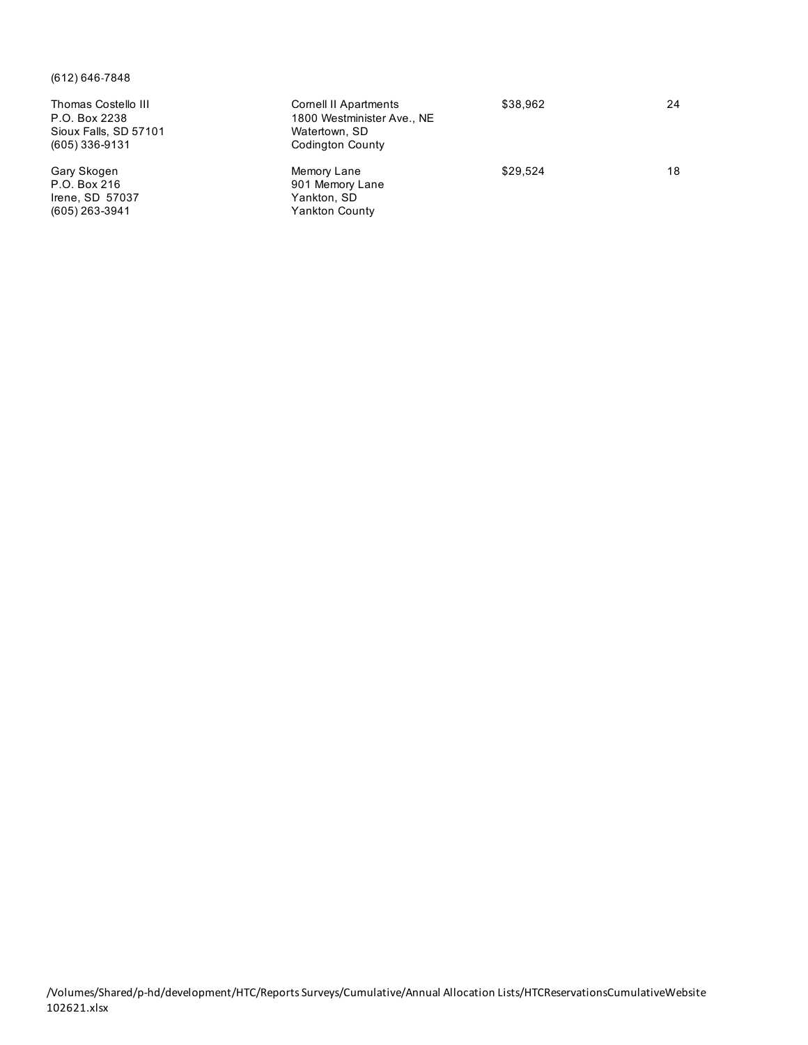# (612) 646-7848

| Thomas Costello III<br>P.O. Box 2238<br>Sioux Falls, SD 57101<br>$(605)$ 336-9131 | Cornell II Apartments<br>1800 Westminister Ave., NE<br>Watertown, SD<br>Codington County | \$38,962 | 24 |
|-----------------------------------------------------------------------------------|------------------------------------------------------------------------------------------|----------|----|
| Gary Skogen<br>P.O. Box 216<br>Irene, SD 57037<br>$(605)$ 263-3941                | Memory Lane<br>901 Memory Lane<br>Yankton, SD<br><b>Yankton County</b>                   | \$29.524 | 18 |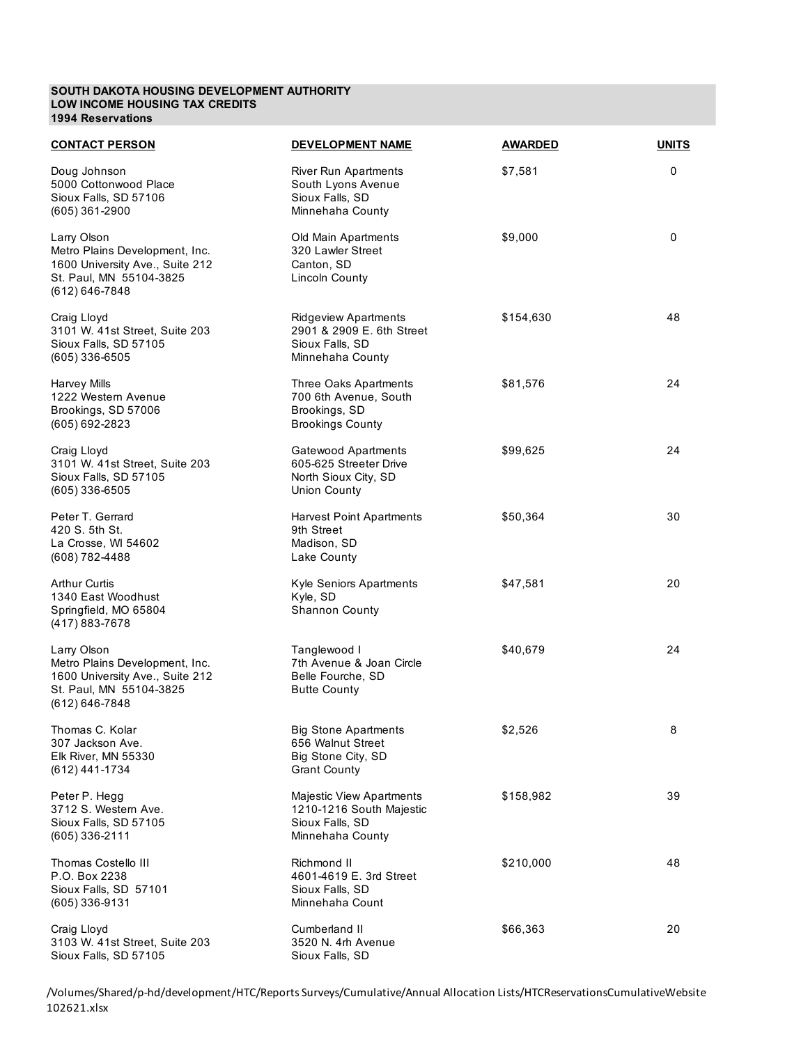#### **SOUTH DAKOTA HOUSING DEVELOPMENT AUTHORITY LOW INCOME HOUSING TAX CREDITS 1994 Reservations**

| <b>CONTACT PERSON</b>                                                                                                             | DEVELOPMENT NAME                                                                                   | <b>AWARDED</b> | <b>UNITS</b> |
|-----------------------------------------------------------------------------------------------------------------------------------|----------------------------------------------------------------------------------------------------|----------------|--------------|
| Doug Johnson<br>5000 Cottonwood Place<br>Sioux Falls, SD 57106<br>$(605)$ 361-2900                                                | <b>River Run Apartments</b><br>South Lyons Avenue<br>Sioux Falls, SD<br>Minnehaha County           | \$7,581        | 0            |
| Larry Olson<br>Metro Plains Development, Inc.<br>1600 University Ave., Suite 212<br>St. Paul, MN 55104-3825<br>$(612) 646 - 7848$ | Old Main Apartments<br>320 Lawler Street<br>Canton, SD<br><b>Lincoln County</b>                    | \$9,000        | 0            |
| Craig Lloyd<br>3101 W. 41st Street, Suite 203<br>Sioux Falls, SD 57105<br>$(605)$ 336-6505                                        | <b>Ridgeview Apartments</b><br>2901 & 2909 E. 6th Street<br>Sioux Falls, SD<br>Minnehaha County    | \$154,630      | 48           |
| Harvey Mills<br>1222 Western Avenue<br>Brookings, SD 57006<br>(605) 692-2823                                                      | Three Oaks Apartments<br>700 6th Avenue, South<br>Brookings, SD<br><b>Brookings County</b>         | \$81,576       | 24           |
| Craig Lloyd<br>3101 W. 41st Street, Suite 203<br>Sioux Falls, SD 57105<br>$(605)$ 336-6505                                        | Gatewood Apartments<br>605-625 Streeter Drive<br>North Sioux City, SD<br><b>Union County</b>       | \$99,625       | 24           |
| Peter T. Gerrard<br>420 S. 5th St.<br>La Crosse, WI 54602<br>(608) 782-4488                                                       | <b>Harvest Point Apartments</b><br>9th Street<br>Madison, SD<br>Lake County                        | \$50,364       | 30           |
| <b>Arthur Curtis</b><br>1340 East Woodhust<br>Springfield, MO 65804<br>(417) 883-7678                                             | Kyle Seniors Apartments<br>Kyle, SD<br><b>Shannon County</b>                                       | \$47,581       | 20           |
| Larry Olson<br>Metro Plains Development, Inc.<br>1600 University Ave., Suite 212<br>St. Paul, MN 55104-3825<br>$(612) 646 - 7848$ | Tanglewood I<br>7th Avenue & Joan Circle<br>Belle Fourche, SD<br><b>Butte County</b>               | \$40,679       | 24           |
| Thomas C. Kolar<br>307 Jackson Ave.<br>Elk River, MN 55330<br>(612) 441-1734                                                      | <b>Big Stone Apartments</b><br>656 Walnut Street<br>Big Stone City, SD<br><b>Grant County</b>      | \$2,526        | 8            |
| Peter P. Hegg<br>3712 S. Western Ave.<br>Sioux Falls, SD 57105<br>$(605)$ 336-2111                                                | <b>Majestic View Apartments</b><br>1210-1216 South Majestic<br>Sioux Falls, SD<br>Minnehaha County | \$158,982      | 39           |
| Thomas Costello III<br>P.O. Box 2238<br>Sioux Falls, SD 57101<br>(605) 336-9131                                                   | Richmond II<br>4601-4619 E. 3rd Street<br>Sioux Falls, SD<br>Minnehaha Count                       | \$210,000      | 48           |
| Craig Lloyd<br>3103 W. 41st Street, Suite 203<br>Sioux Falls, SD 57105                                                            | Cumberland II<br>3520 N. 4rh Avenue<br>Sioux Falls, SD                                             | \$66,363       | 20           |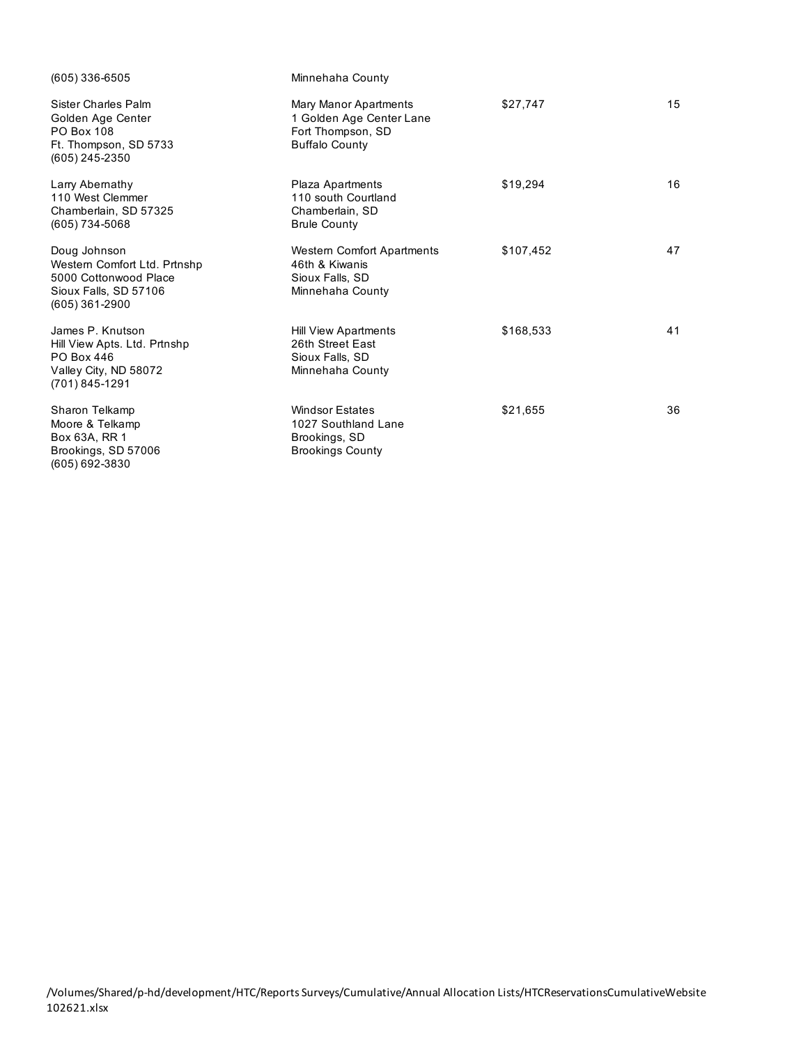| (605) 336-6505                                                                                                     | Minnehaha County                                                                                |           |    |
|--------------------------------------------------------------------------------------------------------------------|-------------------------------------------------------------------------------------------------|-----------|----|
| Sister Charles Palm<br>Golden Age Center<br><b>PO Box 108</b><br>Ft. Thompson, SD 5733<br>(605) 245-2350           | Mary Manor Apartments<br>1 Golden Age Center Lane<br>Fort Thompson, SD<br><b>Buffalo County</b> | \$27,747  | 15 |
| Larry Abernathy<br>110 West Clemmer<br>Chamberlain, SD 57325<br>$(605) 734 - 5068$                                 | Plaza Apartments<br>110 south Courtland<br>Chamberlain, SD<br><b>Brule County</b>               | \$19,294  | 16 |
| Doug Johnson<br>Western Comfort Ltd. Prtnshp<br>5000 Cottonwood Place<br>Sioux Falls, SD 57106<br>$(605)$ 361-2900 | <b>Western Comfort Apartments</b><br>46th & Kiwanis<br>Sioux Falls, SD<br>Minnehaha County      | \$107,452 | 47 |
| James P. Knutson<br>Hill View Apts. Ltd. Prtnshp<br>PO Box 446<br>Valley City, ND 58072<br>(701) 845-1291          | <b>Hill View Apartments</b><br>26th Street East<br>Sioux Falls, SD<br>Minnehaha County          | \$168,533 | 41 |
| Sharon Telkamp<br>Moore & Telkamp<br>Box 63A, RR 1<br>Brookings, SD 57006<br>(605) 692-3830                        | <b>Windsor Estates</b><br>1027 Southland Lane<br>Brookings, SD<br><b>Brookings County</b>       | \$21,655  | 36 |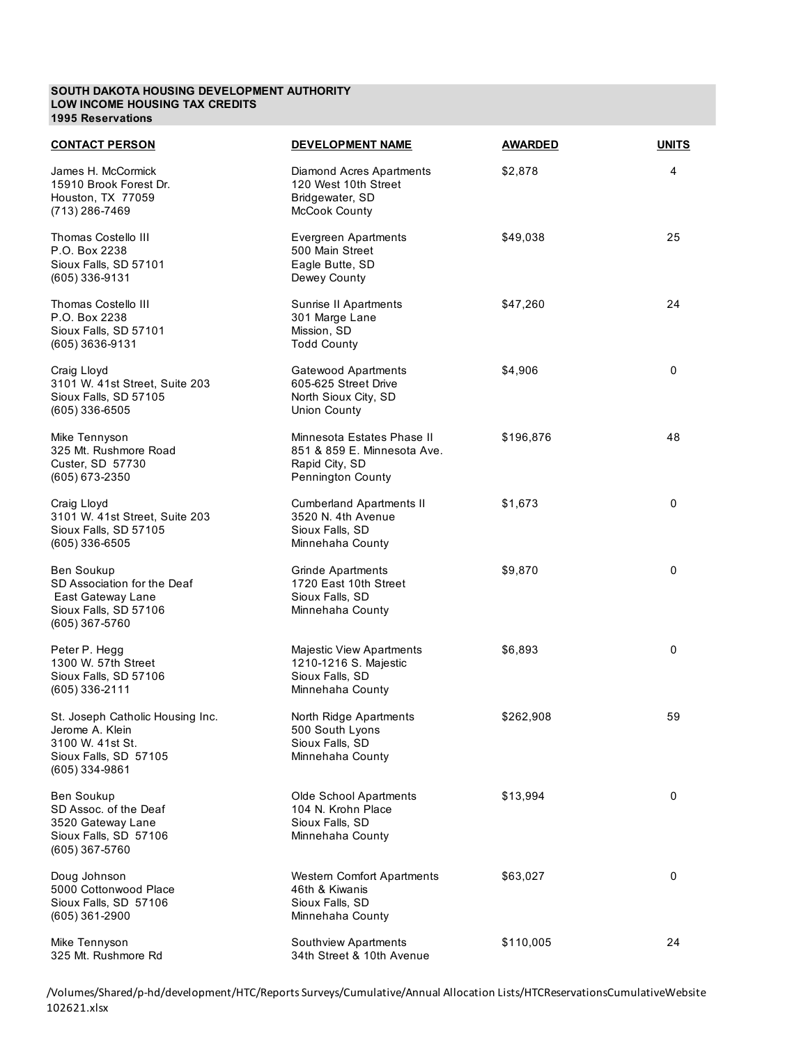#### **SOUTH DAKOTA HOUSING DEVELOPMENT AUTHORITY LOW INCOME HOUSING TAX CREDITS 1995 Reservations**

| <b>CONTACT PERSON</b>                                                                                                | <b>DEVELOPMENT NAME</b>                                                                          | <b>AWARDED</b> | <b>UNITS</b> |
|----------------------------------------------------------------------------------------------------------------------|--------------------------------------------------------------------------------------------------|----------------|--------------|
| James H. McCormick<br>15910 Brook Forest Dr.<br>Houston, TX 77059<br>(713) 286-7469                                  | Diamond Acres Apartments<br>120 West 10th Street<br>Bridgewater, SD<br>McCook County             | \$2,878        | 4            |
| Thomas Costello III<br>P.O. Box 2238<br>Sioux Falls, SD 57101<br>(605) 336-9131                                      | <b>Evergreen Apartments</b><br>500 Main Street<br>Eagle Butte, SD<br>Dewey County                | \$49,038       | 25           |
| Thomas Costello III<br>P.O. Box 2238<br>Sioux Falls, SD 57101<br>(605) 3636-9131                                     | Sunrise II Apartments<br>301 Marge Lane<br>Mission, SD<br><b>Todd County</b>                     | \$47,260       | 24           |
| Craig Lloyd<br>3101 W. 41st Street, Suite 203<br>Sioux Falls, SD 57105<br>$(605)$ 336-6505                           | Gatewood Apartments<br>605-625 Street Drive<br>North Sioux City, SD<br><b>Union County</b>       | \$4,906        | 0            |
| Mike Tennyson<br>325 Mt. Rushmore Road<br>Custer, SD 57730<br>(605) 673-2350                                         | Minnesota Estates Phase II<br>851 & 859 E. Minnesota Ave.<br>Rapid City, SD<br>Pennington County | \$196,876      | 48           |
| Craig Lloyd<br>3101 W. 41st Street, Suite 203<br>Sioux Falls, SD 57105<br>$(605)$ 336-6505                           | <b>Cumberland Apartments II</b><br>3520 N. 4th Avenue<br>Sioux Falls, SD<br>Minnehaha County     | \$1,673        | 0            |
| Ben Soukup<br>SD Association for the Deaf<br>East Gateway Lane<br>Sioux Falls, SD 57106<br>$(605)$ 367-5760          | Grinde Apartments<br>1720 East 10th Street<br>Sioux Falls, SD<br>Minnehaha County                | \$9,870        | 0            |
| Peter P. Hegg<br>1300 W. 57th Street<br>Sioux Falls, SD 57106<br>(605) 336-2111                                      | Majestic View Apartments<br>1210-1216 S. Majestic<br>Sioux Falls, SD<br>Minnehaha County         | \$6,893        | 0            |
| St. Joseph Catholic Housing Inc.<br>Jerome A. Klein<br>3100 W. 41st St.<br>Sioux Falls, SD 57105<br>$(605)$ 334-9861 | North Ridge Apartments<br>500 South Lyons<br>Sioux Falls, SD<br>Minnehaha County                 | \$262,908      | 59           |
| <b>Ben Soukup</b><br>SD Assoc. of the Deaf<br>3520 Gateway Lane<br>Sioux Falls, SD 57106<br>(605) 367-5760           | Olde School Apartments<br>104 N. Krohn Place<br>Sioux Falls, SD<br>Minnehaha County              | \$13,994       | 0            |
| Doug Johnson<br>5000 Cottonwood Place<br>Sioux Falls, SD 57106<br>$(605)$ 361-2900                                   | Western Comfort Apartments<br>46th & Kiwanis<br>Sioux Falls, SD<br>Minnehaha County              | \$63,027       | 0            |
| Mike Tennyson<br>325 Mt. Rushmore Rd                                                                                 | Southview Apartments<br>34th Street & 10th Avenue                                                | \$110,005      | 24           |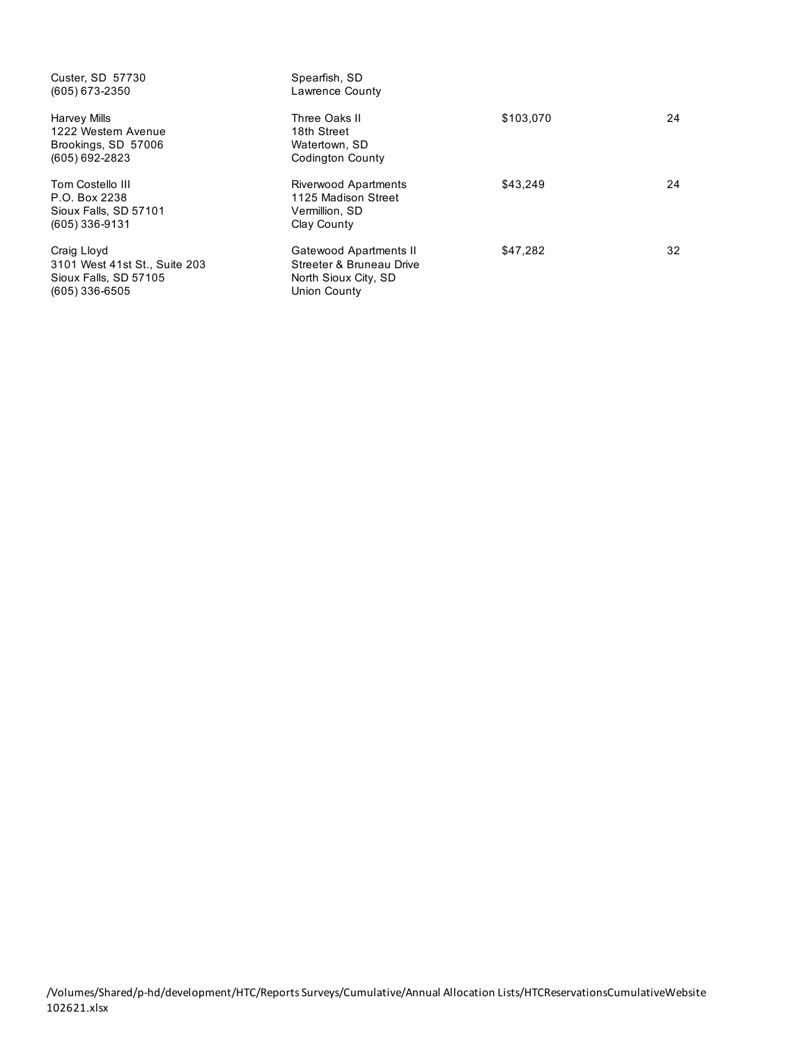| Custer, SD 57730              | Spearfish, SD            |           |    |
|-------------------------------|--------------------------|-----------|----|
| $(605)$ 673-2350              | Lawrence County          |           |    |
| Harvey Mills                  | Three Oaks II            | \$103,070 | 24 |
| 1222 Western Avenue           | 18th Street              |           |    |
| Brookings, SD 57006           | Watertown, SD            |           |    |
| $(605) 692 - 2823$            | <b>Codington County</b>  |           |    |
| Tom Costello III              | Riverwood Apartments     | \$43,249  | 24 |
| P.O. Box 2238                 | 1125 Madison Street      |           |    |
| Sioux Falls, SD 57101         | Vermillion, SD           |           |    |
| $(605)$ 336-9131              | Clay County              |           |    |
| Craig Lloyd                   | Gatewood Apartments II   | \$47,282  | 32 |
| 3101 West 41st St., Suite 203 | Streeter & Bruneau Drive |           |    |
| Sioux Falls, SD 57105         | North Sioux City, SD     |           |    |
| (605) 336-6505                | Union County             |           |    |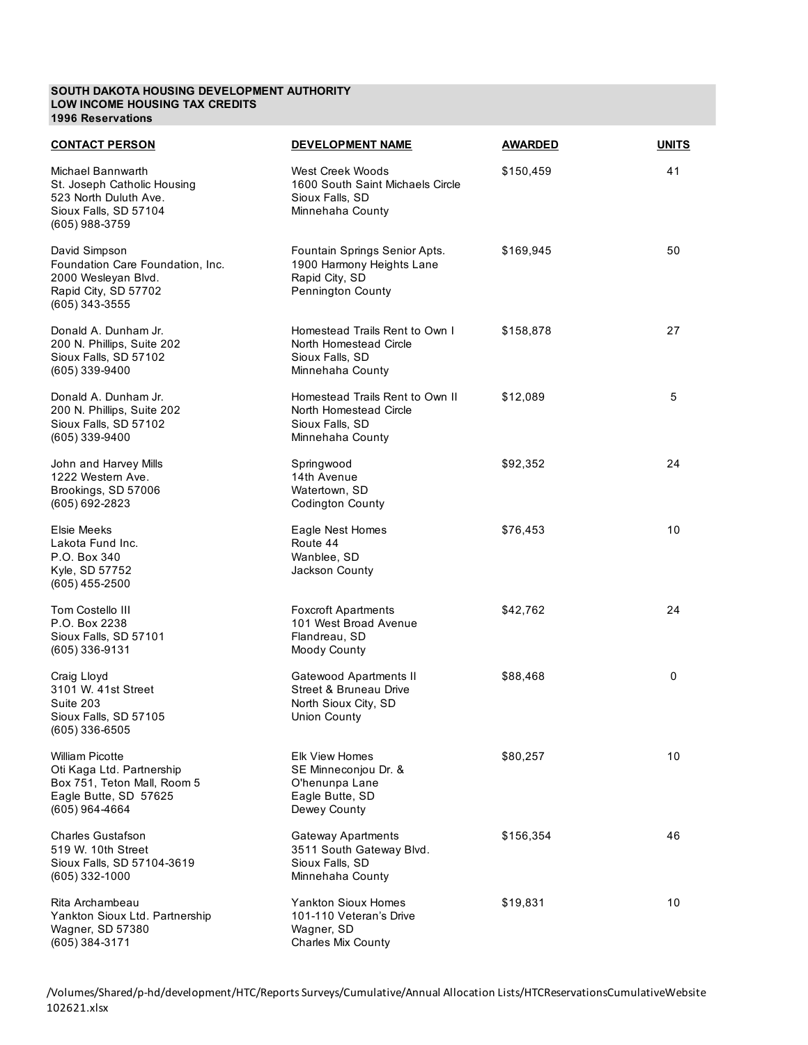### **SOUTH DAKOTA HOUSING DEVELOPMENT AUTHORITY LOW INCOME HOUSING TAX CREDITS 1996 Reservations**

| <b>CONTACT PERSON</b>                                                                                                  | <b>DEVELOPMENT NAME</b>                                                                                    | <b>AWARDED</b> | <b>UNITS</b> |
|------------------------------------------------------------------------------------------------------------------------|------------------------------------------------------------------------------------------------------------|----------------|--------------|
| Michael Bannwarth<br>St. Joseph Catholic Housing<br>523 North Duluth Ave.<br>Sioux Falls, SD 57104<br>(605) 988-3759   | West Creek Woods<br>1600 South Saint Michaels Circle<br>Sioux Falls, SD<br>Minnehaha County                | \$150,459      | 41           |
| David Simpson<br>Foundation Care Foundation, Inc.<br>2000 Wesleyan Blvd.<br>Rapid City, SD 57702<br>(605) 343-3555     | Fountain Springs Senior Apts.<br>1900 Harmony Heights Lane<br>Rapid City, SD<br>Pennington County          | \$169,945      | 50           |
| Donald A. Dunham Jr.<br>200 N. Phillips, Suite 202<br>Sioux Falls, SD 57102<br>(605) 339-9400                          | Homestead Trails Rent to Own I<br>North Homestead Circle<br>Sioux Falls, SD<br>Minnehaha County            | \$158,878      | 27           |
| Donald A. Dunham Jr.<br>200 N. Phillips, Suite 202<br>Sioux Falls, SD 57102<br>(605) 339-9400                          | Homestead Trails Rent to Own II<br>North Homestead Circle<br>Sioux Falls, SD<br>Minnehaha County           | \$12,089       | 5            |
| John and Harvey Mills<br>1222 Western Ave.<br>Brookings, SD 57006<br>(605) 692-2823                                    | Springwood<br>14th Avenue<br>Watertown, SD<br><b>Codington County</b>                                      | \$92,352       | 24           |
| Elsie Meeks<br>Lakota Fund Inc.<br>P.O. Box 340<br>Kyle, SD 57752<br>(605) 455-2500                                    | Eagle Nest Homes<br>Route 44<br>Wanblee, SD<br>Jackson County                                              | \$76,453       | 10           |
| Tom Costello III<br>P.O. Box 2238<br>Sioux Falls, SD 57101<br>(605) 336-9131                                           | <b>Foxcroft Apartments</b><br>101 West Broad Avenue<br>Flandreau, SD<br>Moody County                       | \$42,762       | 24           |
| Craig Lloyd<br>3101 W. 41st Street<br>Suite 203<br>Sioux Falls, SD 57105<br>(605) 336-6505                             | <b>Gatewood Apartments II</b><br><b>Street &amp; Bruneau Drive</b><br>North Sioux City, SD<br>Union County | \$88,468       | 0            |
| William Picotte<br>Oti Kaga Ltd. Partnership<br>Box 751, Teton Mall, Room 5<br>Eagle Butte, SD 57625<br>(605) 964-4664 | <b>Elk View Homes</b><br>SE Minneconiou Dr. &<br>O'henunpa Lane<br>Eagle Butte, SD<br>Dewey County         | \$80,257       | 10           |
| Charles Gustafson<br>519 W. 10th Street<br>Sioux Falls, SD 57104-3619<br>(605) 332-1000                                | Gateway Apartments<br>3511 South Gateway Blvd.<br>Sioux Falls, SD<br>Minnehaha County                      | \$156,354      | 46           |
| Rita Archambeau<br>Yankton Sioux Ltd. Partnership<br>Wagner, SD 57380<br>(605) 384-3171                                | <b>Yankton Sioux Homes</b><br>101-110 Veteran's Drive<br>Wagner, SD<br>Charles Mix County                  | \$19,831       | 10           |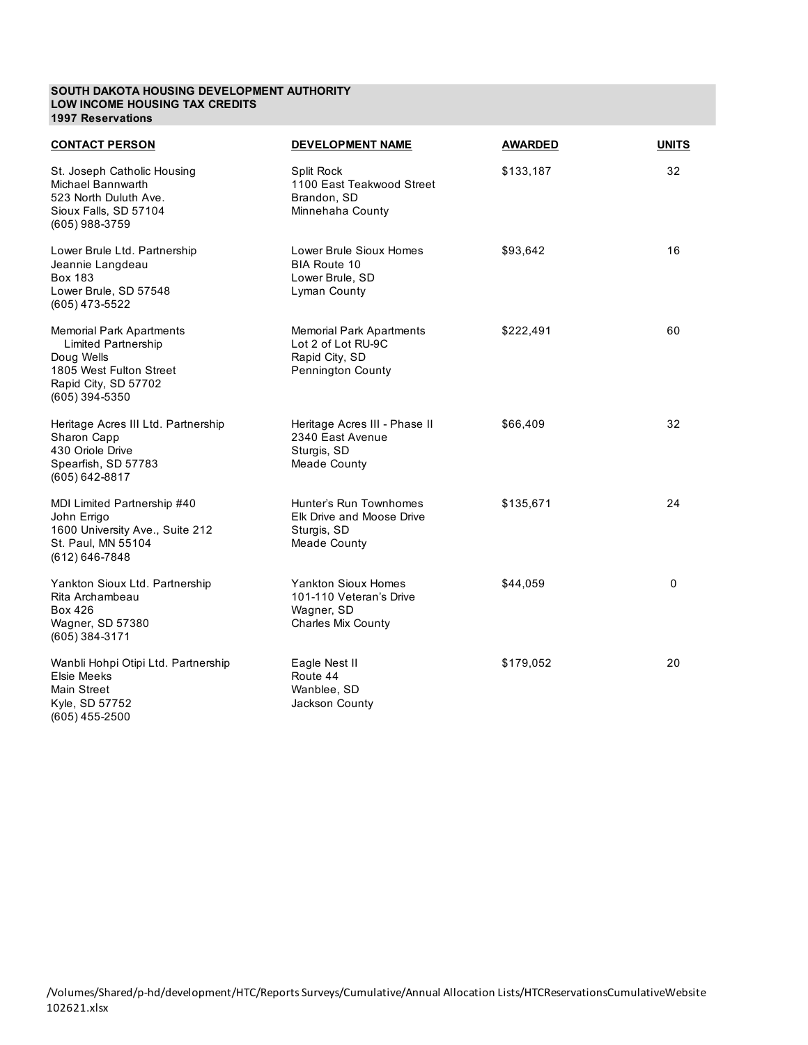#### **SOUTH DAKOTA HOUSING DEVELOPMENT AUTHORITY LOW INCOME HOUSING TAX CREDITS 1997 Reservations**

| <b>CONTACT PERSON</b>                                                                                                                            | <b>DEVELOPMENT NAME</b>                                                                          | <b>AWARDED</b> | <b>UNITS</b> |
|--------------------------------------------------------------------------------------------------------------------------------------------------|--------------------------------------------------------------------------------------------------|----------------|--------------|
| St. Joseph Catholic Housing<br>Michael Bannwarth<br>523 North Duluth Ave.<br>Sioux Falls, SD 57104<br>(605) 988-3759                             | Split Rock<br>1100 East Teakwood Street<br>Brandon, SD<br>Minnehaha County                       | \$133,187      | 32           |
| Lower Brule Ltd. Partnership<br>Jeannie Langdeau<br><b>Box 183</b><br>Lower Brule, SD 57548<br>(605) 473-5522                                    | Lower Brule Sioux Homes<br><b>BIA Route 10</b><br>Lower Brule, SD<br>Lyman County                | \$93,642       | 16           |
| <b>Memorial Park Apartments</b><br><b>Limited Partnership</b><br>Doug Wells<br>1805 West Fulton Street<br>Rapid City, SD 57702<br>(605) 394-5350 | <b>Memorial Park Apartments</b><br>Lot 2 of Lot RU-9C<br>Rapid City, SD<br>Pennington County     | \$222,491      | 60           |
| Heritage Acres III Ltd. Partnership<br>Sharon Capp<br>430 Oriole Drive<br>Spearfish, SD 57783<br>(605) 642-8817                                  | Heritage Acres III - Phase II<br>2340 East Avenue<br>Sturgis, SD<br><b>Meade County</b>          | \$66,409       | 32           |
| MDI Limited Partnership #40<br>John Errigo<br>1600 University Ave., Suite 212<br>St. Paul, MN 55104<br>$(612) 646 - 7848$                        | Hunter's Run Townhomes<br>Elk Drive and Moose Drive<br>Sturgis, SD<br>Meade County               | \$135,671      | 24           |
| Yankton Sioux Ltd. Partnership<br>Rita Archambeau<br>Box 426<br>Wagner, SD 57380<br>(605) 384-3171                                               | <b>Yankton Sioux Homes</b><br>101-110 Veteran's Drive<br>Wagner, SD<br><b>Charles Mix County</b> | \$44,059       | 0            |
| Wanbli Hohpi Otipi Ltd. Partnership<br>Elsie Meeks<br>Main Street<br>Kyle, SD 57752<br>(605) 455-2500                                            | Eagle Nest II<br>Route 44<br>Wanblee, SD<br>Jackson County                                       | \$179,052      | 20           |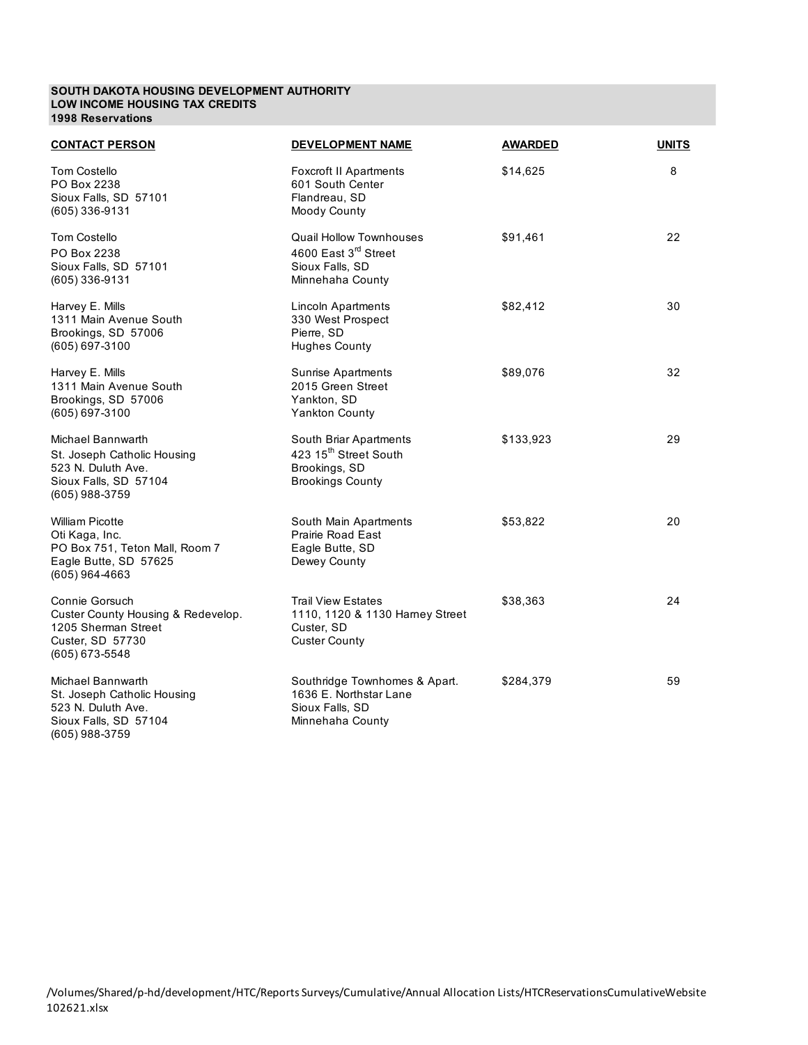#### **SOUTH DAKOTA HOUSING DEVELOPMENT AUTHORITY LOW INCOME HOUSING TAX CREDITS 1998 Reservations**

| <b>CONTACT PERSON</b>                                                                                                   | <b>DEVELOPMENT NAME</b>                                                                                   | <b>AWARDED</b> | <b>UNITS</b> |
|-------------------------------------------------------------------------------------------------------------------------|-----------------------------------------------------------------------------------------------------------|----------------|--------------|
| <b>Tom Costello</b><br>PO Box 2238<br>Sioux Falls, SD 57101<br>(605) 336-9131                                           | <b>Foxcroft II Apartments</b><br>601 South Center<br>Flandreau, SD<br>Moody County                        | \$14,625       | 8            |
| <b>Tom Costello</b><br>PO Box 2238<br>Sioux Falls, SD 57101<br>(605) 336-9131                                           | <b>Quail Hollow Townhouses</b><br>4600 East 3 <sup>rd</sup> Street<br>Sioux Falls, SD<br>Minnehaha County | \$91,461       | 22           |
| Harvey E. Mills<br>1311 Main Avenue South<br>Brookings, SD 57006<br>(605) 697-3100                                      | Lincoln Apartments<br>330 West Prospect<br>Pierre, SD<br><b>Hughes County</b>                             | \$82,412       | 30           |
| Harvey E. Mills<br>1311 Main Avenue South<br>Brookings, SD 57006<br>(605) 697-3100                                      | <b>Sunrise Apartments</b><br>2015 Green Street<br>Yankton, SD<br><b>Yankton County</b>                    | \$89,076       | 32           |
| Michael Bannwarth<br>St. Joseph Catholic Housing<br>523 N. Duluth Ave.<br>Sioux Falls, SD 57104<br>(605) 988-3759       | South Briar Apartments<br>423 15 <sup>th</sup> Street South<br>Brookings, SD<br><b>Brookings County</b>   | \$133,923      | 29           |
| <b>William Picotte</b><br>Oti Kaga, Inc.<br>PO Box 751, Teton Mall, Room 7<br>Eagle Butte, SD 57625<br>$(605)$ 964-4663 | South Main Apartments<br><b>Prairie Road East</b><br>Eagle Butte, SD<br>Dewey County                      | \$53,822       | 20           |
| Connie Gorsuch<br>Custer County Housing & Redevelop.<br>1205 Sherman Street<br>Custer, SD 57730<br>(605) 673-5548       | <b>Trail View Estates</b><br>1110, 1120 & 1130 Harney Street<br>Custer, SD<br><b>Custer County</b>        | \$38,363       | 24           |
| Michael Bannwarth<br>St. Joseph Catholic Housing<br>523 N. Duluth Ave.<br>Sioux Falls, SD 57104<br>(605) 988-3759       | Southridge Townhomes & Apart.<br>1636 E. Northstar Lane<br>Sioux Falls, SD<br>Minnehaha County            | \$284,379      | 59           |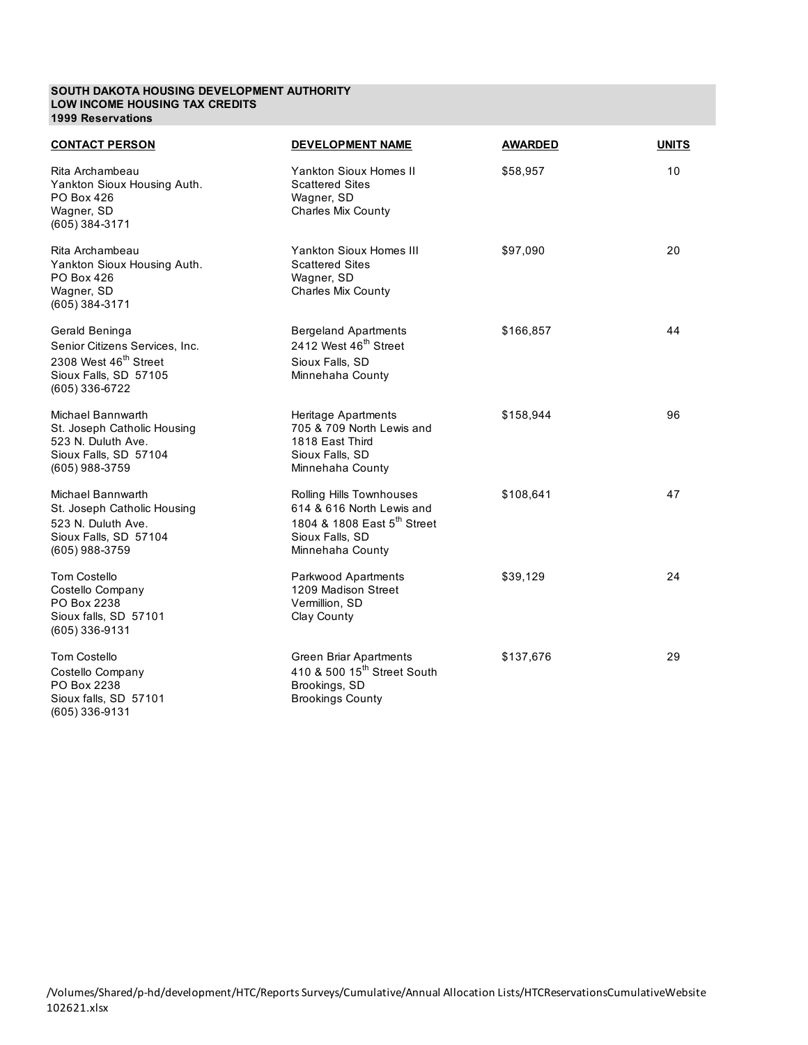#### **SOUTH DAKOTA HOUSING DEVELOPMENT AUTHORITY LOW INCOME HOUSING TAX CREDITS 1999 Reservations**

| <b>CONTACT PERSON</b>                                                                                                            | <b>DEVELOPMENT NAME</b>                                                                                                                 | <b>AWARDED</b> | <b>UNITS</b> |
|----------------------------------------------------------------------------------------------------------------------------------|-----------------------------------------------------------------------------------------------------------------------------------------|----------------|--------------|
| Rita Archambeau<br>Yankton Sioux Housing Auth.<br>PO Box 426<br>Wagner, SD<br>(605) 384-3171                                     | <b>Yankton Sioux Homes II</b><br><b>Scattered Sites</b><br>Wagner, SD<br><b>Charles Mix County</b>                                      | \$58,957       | 10           |
| Rita Archambeau<br>Yankton Sioux Housing Auth.<br>PO Box 426<br>Wagner, SD<br>(605) 384-3171                                     | <b>Yankton Sioux Homes III</b><br><b>Scattered Sites</b><br>Wagner, SD<br><b>Charles Mix County</b>                                     | \$97,090       | 20           |
| Gerald Beninga<br>Senior Citizens Services, Inc.<br>2308 West 46 <sup>th</sup> Street<br>Sioux Falls, SD 57105<br>(605) 336-6722 | <b>Bergeland Apartments</b><br>2412 West 46 <sup>th</sup> Street<br>Sioux Falls, SD<br>Minnehaha County                                 | \$166,857      | 44           |
| Michael Bannwarth<br>St. Joseph Catholic Housing<br>523 N. Duluth Ave.<br>Sioux Falls, SD 57104<br>(605) 988-3759                | Heritage Apartments<br>705 & 709 North Lewis and<br>1818 East Third<br>Sioux Falls, SD<br>Minnehaha County                              | \$158,944      | 96           |
| Michael Bannwarth<br>St. Joseph Catholic Housing<br>523 N. Duluth Ave.<br>Sioux Falls, SD 57104<br>(605) 988-3759                | Rolling Hills Townhouses<br>614 & 616 North Lewis and<br>1804 & 1808 East 5 <sup>th</sup> Street<br>Sioux Falls, SD<br>Minnehaha County | \$108,641      | 47           |
| <b>Tom Costello</b><br>Costello Company<br>PO Box 2238<br>Sioux falls, SD 57101<br>(605) 336-9131                                | <b>Parkwood Apartments</b><br>1209 Madison Street<br>Vermillion, SD<br>Clay County                                                      | \$39,129       | 24           |
| <b>Tom Costello</b><br>Costello Company<br>PO Box 2238<br>Sioux falls, SD 57101<br>(605) 336-9131                                | Green Briar Apartments<br>410 & 500 15 <sup>th</sup> Street South<br>Brookings, SD<br><b>Brookings County</b>                           | \$137,676      | 29           |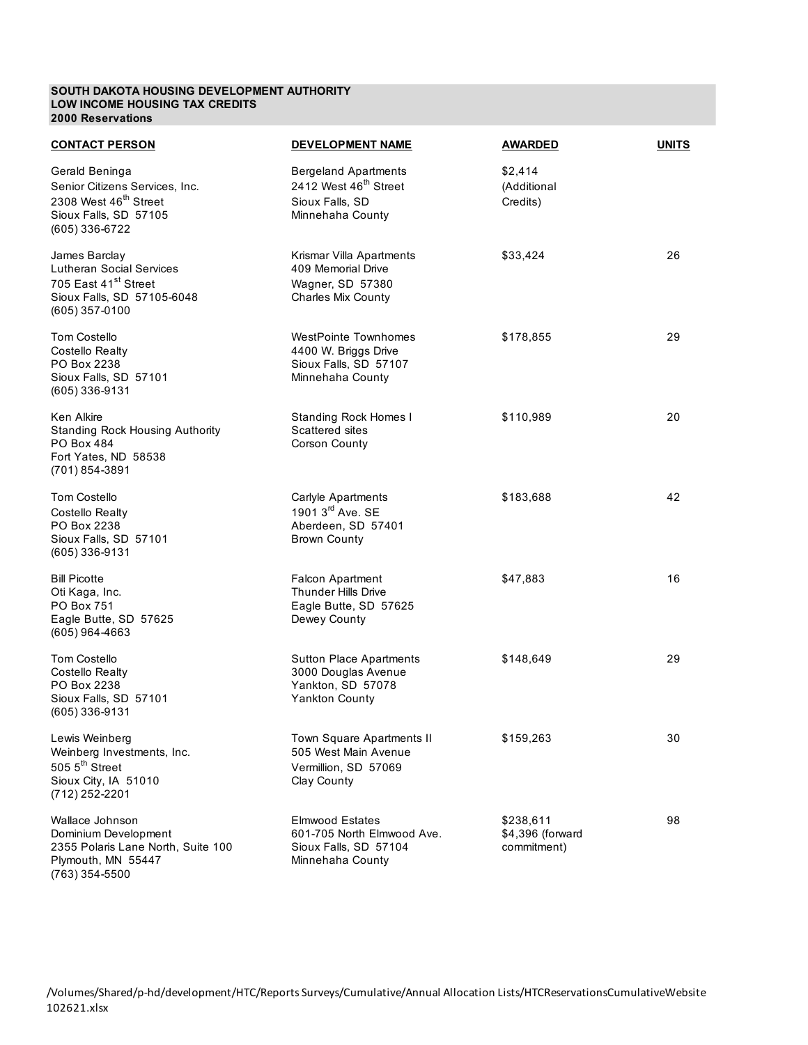#### **SOUTH DAKOTA HOUSING DEVELOPMENT AUTHORITY LOW INCOME HOUSING TAX CREDITS 2000 Reservations**

(763) 354-5500

| <b>CONTACT PERSON</b>                                                                                                                | <b>DEVELOPMENT NAME</b>                                                                                 | <b>AWARDED</b>                               | <b>UNITS</b> |
|--------------------------------------------------------------------------------------------------------------------------------------|---------------------------------------------------------------------------------------------------------|----------------------------------------------|--------------|
| Gerald Beninga<br>Senior Citizens Services, Inc.<br>2308 West 46 <sup>th</sup> Street<br>Sioux Falls, SD 57105<br>(605) 336-6722     | <b>Bergeland Apartments</b><br>2412 West 46 <sup>th</sup> Street<br>Sioux Falls, SD<br>Minnehaha County | \$2,414<br>(Additional<br>Credits)           |              |
| James Barclay<br><b>Lutheran Social Services</b><br>705 East 41 <sup>st</sup> Street<br>Sioux Falls, SD 57105-6048<br>(605) 357-0100 | Krismar Villa Apartments<br>409 Memorial Drive<br>Wagner, SD 57380<br>Charles Mix County                | \$33,424                                     | 26           |
| <b>Tom Costello</b><br><b>Costello Realty</b><br>PO Box 2238<br>Sioux Falls, SD 57101<br>(605) 336-9131                              | <b>WestPointe Townhomes</b><br>4400 W. Briggs Drive<br>Sioux Falls, SD 57107<br>Minnehaha County        | \$178,855                                    | 29           |
| Ken Alkire<br><b>Standing Rock Housing Authority</b><br><b>PO Box 484</b><br>Fort Yates, ND 58538<br>(701) 854-3891                  | <b>Standing Rock Homes I</b><br>Scattered sites<br>Corson County                                        | \$110,989                                    | 20           |
| Tom Costello<br>Costello Realty<br>PO Box 2238<br>Sioux Falls, SD 57101<br>(605) 336-9131                                            | Carlyle Apartments<br>1901 3 <sup>rd</sup> Ave. SE<br>Aberdeen, SD 57401<br><b>Brown County</b>         | \$183,688                                    | 42           |
| <b>Bill Picotte</b><br>Oti Kaga, Inc.<br><b>PO Box 751</b><br>Eagle Butte, SD 57625<br>$(605)$ 964-4663                              | <b>Falcon Apartment</b><br>Thunder Hills Drive<br>Eagle Butte, SD 57625<br>Dewey County                 | \$47,883                                     | 16           |
| Tom Costello<br>Costello Realty<br>PO Box 2238<br>Sioux Falls, SD 57101<br>(605) 336-9131                                            | <b>Sutton Place Apartments</b><br>3000 Douglas Avenue<br>Yankton, SD 57078<br><b>Yankton County</b>     | \$148,649                                    | 29           |
| Lewis Weinberg<br>Weinberg Investments, Inc.<br>505 5 <sup>th</sup> Street<br>Sioux City, IA 51010<br>(712) 252-2201                 | Town Square Apartments II<br>505 West Main Avenue<br>Vermillion, SD 57069<br>Clay County                | \$159,263                                    | 30           |
| Wallace Johnson<br>Dominium Development<br>2355 Polaris Lane North, Suite 100<br>Plymouth, MN 55447                                  | <b>Elmwood Estates</b><br>601-705 North Elmwood Ave.<br>Sioux Falls, SD 57104<br>Minnehaha County       | \$238,611<br>\$4,396 (forward<br>commitment) | 98           |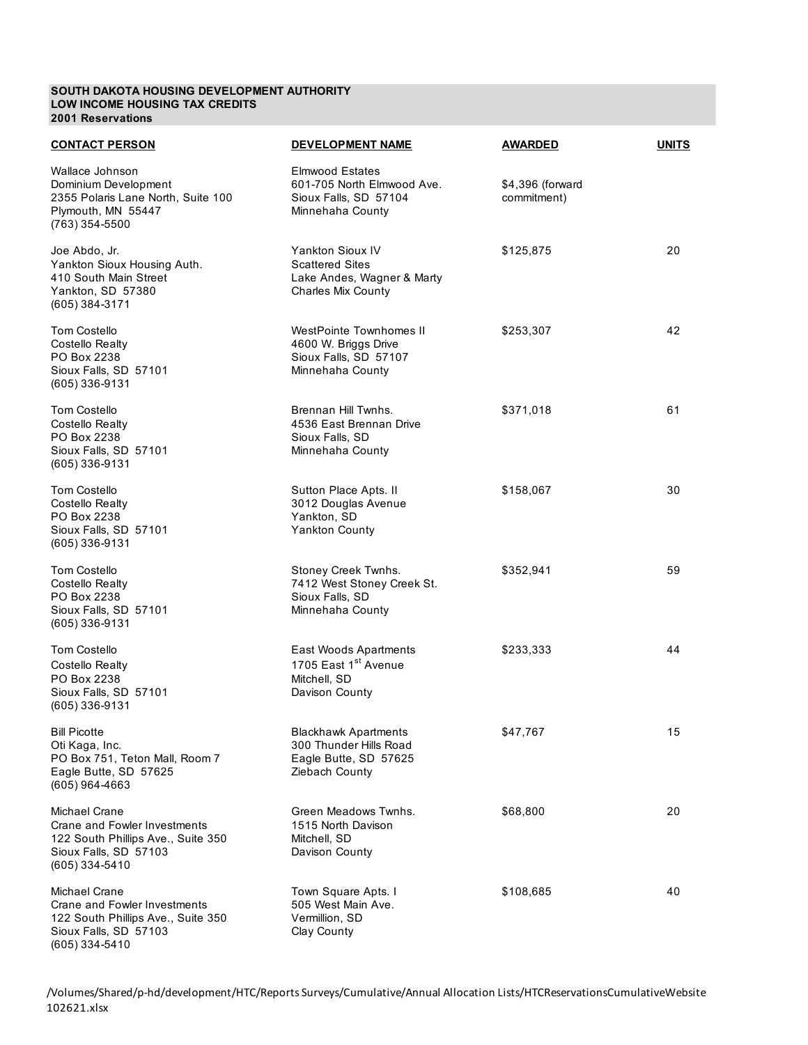## **SOUTH DAKOTA HOUSING DEVELOPMENT AUTHORITY LOW INCOME HOUSING TAX CREDITS 2001 Reservations**

| <b>CONTACT PERSON</b>                                                                                                          | <b>DEVELOPMENT NAME</b>                                                                                      | <b>AWARDED</b>                  | <b>UNITS</b> |
|--------------------------------------------------------------------------------------------------------------------------------|--------------------------------------------------------------------------------------------------------------|---------------------------------|--------------|
| Wallace Johnson<br>Dominium Development<br>2355 Polaris Lane North, Suite 100<br>Plymouth, MN 55447<br>(763) 354-5500          | <b>Elmwood Estates</b><br>601-705 North Elmwood Ave.<br>Sioux Falls, SD 57104<br>Minnehaha County            | \$4,396 (forward<br>commitment) |              |
| Joe Abdo, Jr.<br>Yankton Sioux Housing Auth.<br>410 South Main Street<br>Yankton, SD 57380<br>$(605)$ 384-3171                 | <b>Yankton Sioux IV</b><br><b>Scattered Sites</b><br>Lake Andes, Wagner & Marty<br><b>Charles Mix County</b> | \$125,875                       | 20           |
| Tom Costello<br>Costello Realty<br>PO Box 2238<br>Sioux Falls, SD 57101<br>(605) 336-9131                                      | WestPointe Townhomes II<br>4600 W. Briggs Drive<br>Sioux Falls, SD 57107<br>Minnehaha County                 | \$253,307                       | 42           |
| <b>Tom Costello</b><br>Costello Realty<br>PO Box 2238<br>Sioux Falls, SD 57101<br>$(605)$ 336-9131                             | Brennan Hill Twnhs.<br>4536 East Brennan Drive<br>Sioux Falls, SD<br>Minnehaha County                        | \$371,018                       | 61           |
| <b>Tom Costello</b><br>Costello Realty<br>PO Box 2238<br>Sioux Falls, SD 57101<br>$(605)$ 336-9131                             | Sutton Place Apts. II<br>3012 Douglas Avenue<br>Yankton, SD<br>Yankton County                                | \$158,067                       | 30           |
| <b>Tom Costello</b><br>Costello Realty<br>PO Box 2238<br>Sioux Falls, SD 57101<br>(605) 336-9131                               | Stoney Creek Twnhs.<br>7412 West Stoney Creek St.<br>Sioux Falls, SD<br>Minnehaha County                     | \$352,941                       | 59           |
| <b>Tom Costello</b><br><b>Costello Realty</b><br>PO Box 2238<br>Sioux Falls, SD 57101<br>(605) 336-9131                        | East Woods Apartments<br>1705 East 1 <sup>st</sup> Avenue<br>Mitchell, SD<br>Davison County                  | \$233,333                       | 44           |
| <b>Bill Picotte</b><br>Oti Kaga, Inc.<br>PO Box 751, Teton Mall, Room 7<br>Eagle Butte, SD 57625<br>(605) 964-4663             | <b>Blackhawk Apartments</b><br>300 Thunder Hills Road<br>Eagle Butte, SD 57625<br>Ziebach County             | \$47,767                        | 15           |
| Michael Crane<br>Crane and Fowler Investments<br>122 South Phillips Ave., Suite 350<br>Sioux Falls, SD 57103<br>(605) 334-5410 | Green Meadows Twnhs.<br>1515 North Davison<br>Mitchell, SD<br>Davison County                                 | \$68,800                        | 20           |
| Michael Crane<br>Crane and Fowler Investments<br>122 South Phillips Ave., Suite 350<br>Sioux Falls, SD 57103<br>(605) 334-5410 | Town Square Apts. I<br>505 West Main Ave.<br>Vermillion, SD<br>Clay County                                   | \$108,685                       | 40           |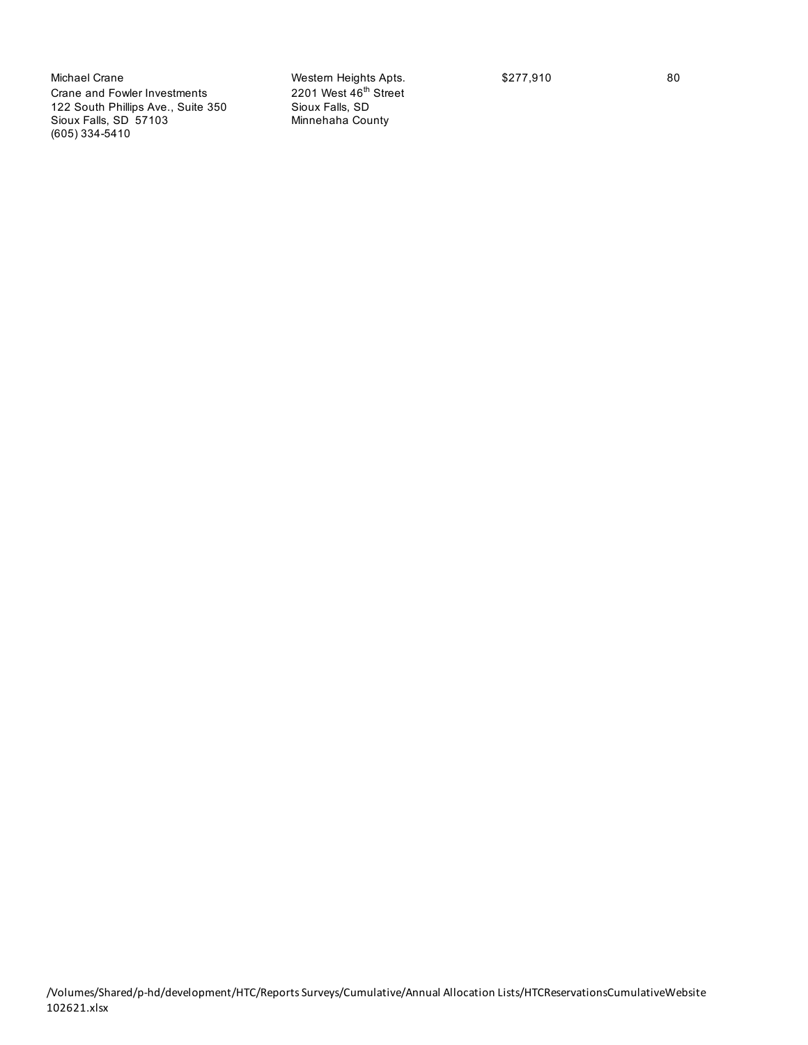Michael Crane Michael Crane Mestern Heights Apts. \$277,910 80<br>
Crane and Fowler Investments 2201 West 46<sup>th</sup> Street Crane and Fowler Investments 2201 West 46<sup>th</sup> 22 South Phillips Ave., Suite 350 122 South Phillips Ave., Suite 350 Sioux Falls, SD Sioux Falls, SD 57103 (605) 334-5410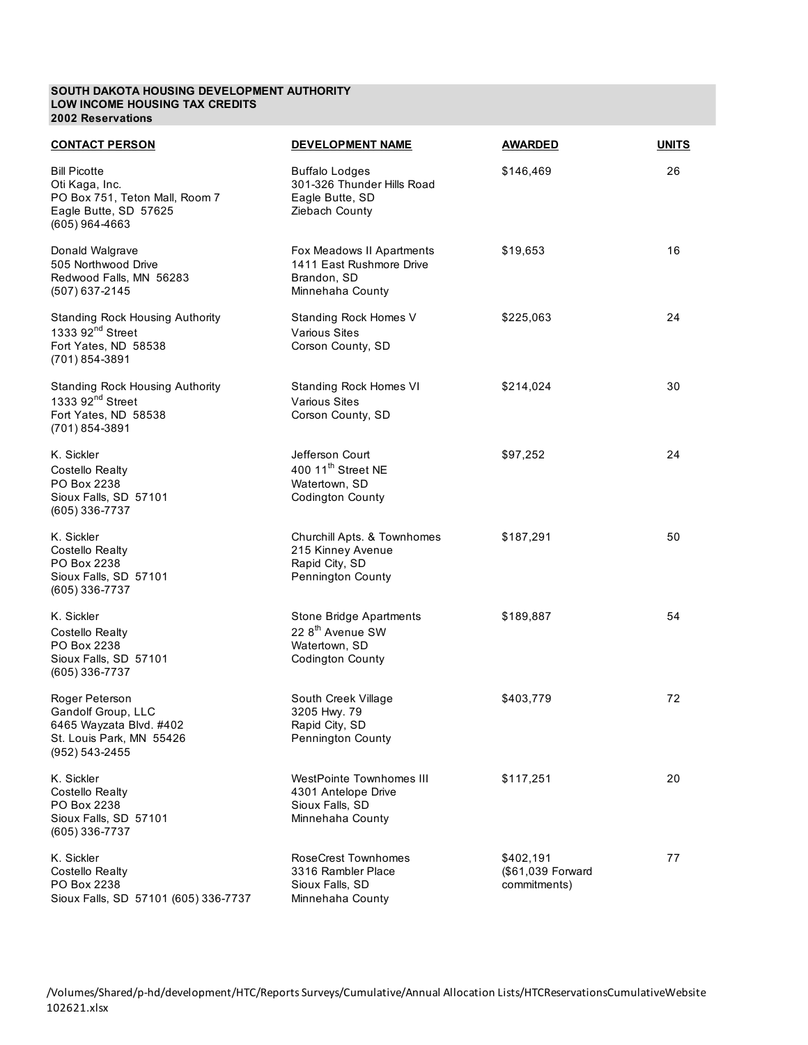### **SOUTH DAKOTA HOUSING DEVELOPMENT AUTHORITY LOW INCOME HOUSING TAX CREDITS 2002 Reservations**

| <b>CONTACT PERSON</b>                                                                                                | <b>DEVELOPMENT NAME</b>                                                                             | <b>AWARDED</b>                                 | <b>UNITS</b> |
|----------------------------------------------------------------------------------------------------------------------|-----------------------------------------------------------------------------------------------------|------------------------------------------------|--------------|
| <b>Bill Picotte</b><br>Oti Kaga, Inc.<br>PO Box 751, Teton Mall, Room 7<br>Eagle Butte, SD 57625<br>$(605)$ 964-4663 | <b>Buffalo Lodges</b><br>301-326 Thunder Hills Road<br>Eagle Butte, SD<br>Ziebach County            | \$146,469                                      | 26           |
| Donald Walgrave<br>505 Northwood Drive<br>Redwood Falls, MN 56283<br>(507) 637-2145                                  | Fox Meadows II Apartments<br>1411 East Rushmore Drive<br>Brandon, SD<br>Minnehaha County            | \$19,653                                       | 16           |
| <b>Standing Rock Housing Authority</b><br>1333 92 <sup>nd</sup> Street<br>Fort Yates, ND 58538<br>(701) 854-3891     | Standing Rock Homes V<br><b>Various Sites</b><br>Corson County, SD                                  | \$225,063                                      | 24           |
| <b>Standing Rock Housing Authority</b><br>1333 92 <sup>nd</sup> Street<br>Fort Yates, ND 58538<br>(701) 854-3891     | Standing Rock Homes VI<br><b>Various Sites</b><br>Corson County, SD                                 | \$214,024                                      | 30           |
| K. Sickler<br><b>Costello Realty</b><br>PO Box 2238<br>Sioux Falls, SD 57101<br>(605) 336-7737                       | Jefferson Court<br>400 11 <sup>th</sup> Street NE<br>Watertown, SD<br><b>Codington County</b>       | \$97,252                                       | 24           |
| K. Sickler<br>Costello Realty<br>PO Box 2238<br>Sioux Falls, SD 57101<br>(605) 336-7737                              | Churchill Apts. & Townhomes<br>215 Kinney Avenue<br>Rapid City, SD<br>Pennington County             | \$187,291                                      | 50           |
| K. Sickler<br>Costello Realty<br>PO Box 2238<br>Sioux Falls, SD 57101<br>(605) 336-7737                              | Stone Bridge Apartments<br>22 8 <sup>th</sup> Avenue SW<br>Watertown, SD<br><b>Codington County</b> | \$189,887                                      | 54           |
| Roger Peterson<br>Gandolf Group, LLC<br>6465 Wayzata Blvd. #402<br>St. Louis Park, MN 55426<br>(952) 543-2455        | South Creek Village<br>3205 Hwy. 79<br>Rapid City, SD<br>Pennington County                          | \$403,779                                      | 72           |
| K. Sickler<br><b>Costello Realty</b><br>PO Box 2238<br>Sioux Falls, SD 57101<br>(605) 336-7737                       | WestPointe Townhomes III<br>4301 Antelope Drive<br>Sioux Falls, SD<br>Minnehaha County              | \$117,251                                      | 20           |
| K. Sickler<br><b>Costello Realty</b><br>PO Box 2238<br>Sioux Falls, SD 57101 (605) 336-7737                          | <b>RoseCrest Townhomes</b><br>3316 Rambler Place<br>Sioux Falls, SD<br>Minnehaha County             | \$402,191<br>(\$61,039 Forward<br>commitments) | 77           |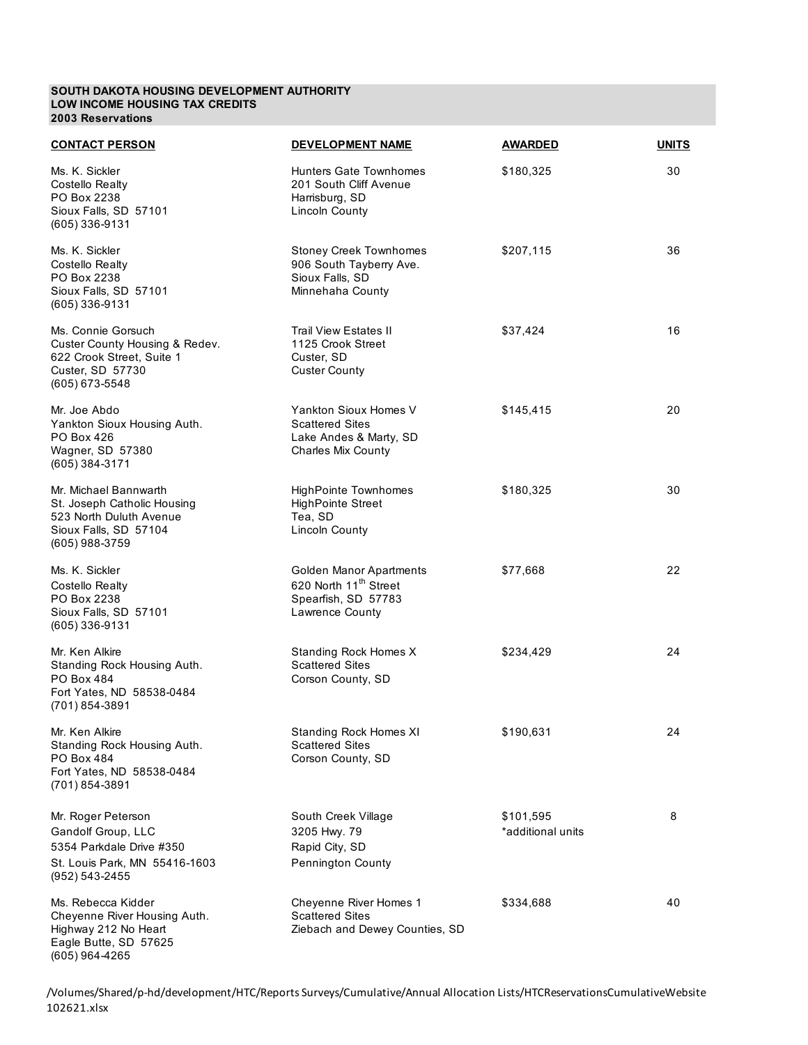#### **SOUTH DAKOTA HOUSING DEVELOPMENT AUTHORITY LOW INCOME HOUSING TAX CREDITS 2003 Reservations**

| <b>CONTACT PERSON</b>                                                                                                      | <b>DEVELOPMENT NAME</b>                                                                                | <b>AWARDED</b>                 | <b>UNITS</b> |
|----------------------------------------------------------------------------------------------------------------------------|--------------------------------------------------------------------------------------------------------|--------------------------------|--------------|
| Ms. K. Sickler<br>Costello Realty<br>PO Box 2238<br>Sioux Falls, SD 57101<br>$(605)$ 336-9131                              | Hunters Gate Townhomes<br>201 South Cliff Avenue<br>Harrisburg, SD<br><b>Lincoln County</b>            | \$180,325                      | 30           |
| Ms. K. Sickler<br><b>Costello Realty</b><br>PO Box 2238<br>Sioux Falls, SD 57101<br>$(605)$ 336-9131                       | <b>Stoney Creek Townhomes</b><br>906 South Tayberry Ave.<br>Sioux Falls, SD<br>Minnehaha County        | \$207,115                      | 36           |
| Ms. Connie Gorsuch<br>Custer County Housing & Redev.<br>622 Crook Street, Suite 1<br>Custer, SD 57730<br>(605) 673-5548    | <b>Trail View Estates II</b><br>1125 Crook Street<br>Custer, SD<br><b>Custer County</b>                | \$37,424                       | 16           |
| Mr. Joe Abdo<br>Yankton Sioux Housing Auth.<br>PO Box 426<br>Wagner, SD 57380<br>(605) 384-3171                            | Yankton Sioux Homes V<br><b>Scattered Sites</b><br>Lake Andes & Marty, SD<br><b>Charles Mix County</b> | \$145,415                      | 20           |
| Mr. Michael Bannwarth<br>St. Joseph Catholic Housing<br>523 North Duluth Avenue<br>Sioux Falls, SD 57104<br>(605) 988-3759 | <b>HighPointe Townhomes</b><br><b>HighPointe Street</b><br>Tea, SD<br><b>Lincoln County</b>            | \$180,325                      | 30           |
| Ms. K. Sickler<br>Costello Realty<br>PO Box 2238<br>Sioux Falls, SD 57101<br>(605) 336-9131                                | Golden Manor Apartments<br>620 North 11 <sup>th</sup> Street<br>Spearfish, SD 57783<br>Lawrence County | \$77,668                       | 22           |
| Mr. Ken Alkire<br>Standing Rock Housing Auth.<br><b>PO Box 484</b><br>Fort Yates, ND 58538-0484<br>(701) 854-3891          | Standing Rock Homes X<br><b>Scattered Sites</b><br>Corson County, SD                                   | \$234,429                      | 24           |
| Mr. Ken Alkire<br>Standing Rock Housing Auth.<br>PO Box 484<br>Fort Yates, ND 58538-0484<br>(701) 854-3891                 | <b>Standing Rock Homes XI</b><br>Scattered Sites<br>Corson County, SD                                  | \$190,631                      | 24           |
| Mr. Roger Peterson<br>Gandolf Group, LLC<br>5354 Parkdale Drive #350<br>St. Louis Park, MN 55416-1603<br>(952) 543-2455    | South Creek Village<br>3205 Hwy. 79<br>Rapid City, SD<br>Pennington County                             | \$101,595<br>*additional units | 8            |
| Ms. Rebecca Kidder<br>Cheyenne River Housing Auth.<br>Highway 212 No Heart<br>Eagle Butte, SD 57625<br>(605) 964-4265      | Cheyenne River Homes 1<br><b>Scattered Sites</b><br>Ziebach and Dewey Counties, SD                     | \$334,688                      | 40           |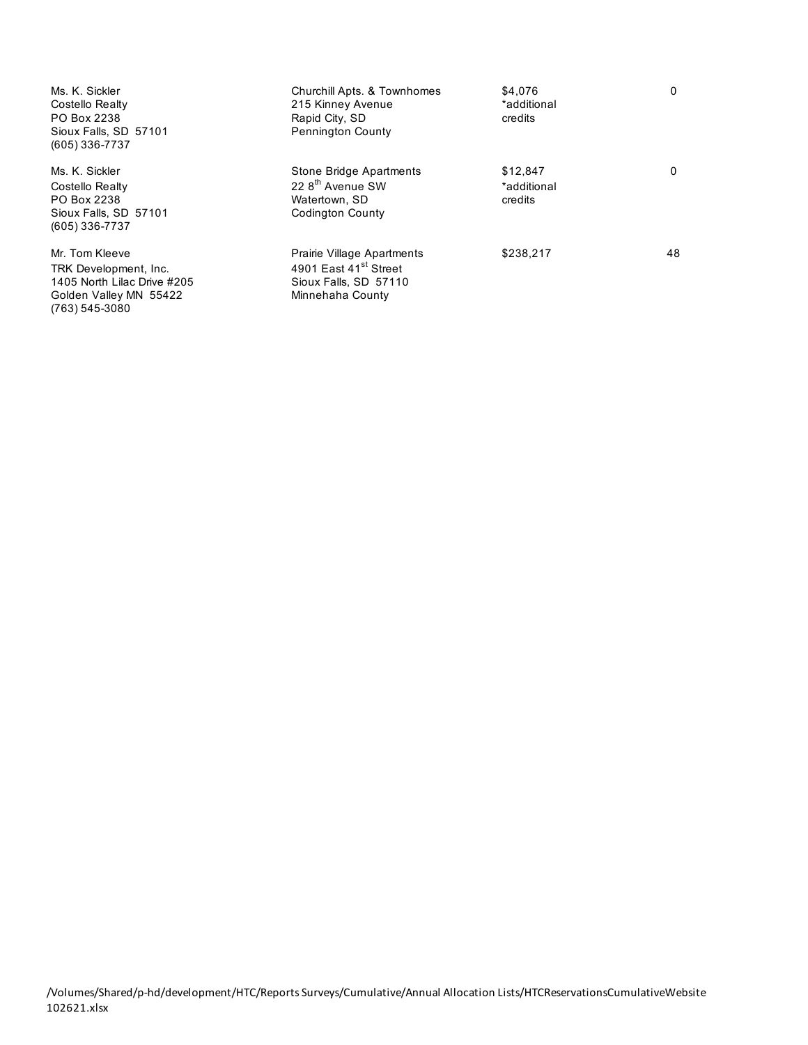| Ms. K. Sickler<br>Costello Realty<br>PO Box 2238<br>Sioux Falls, SD 57101<br>$(605)$ 336-7737                      | Churchill Apts. & Townhomes<br>215 Kinney Avenue<br>Rapid City, SD<br><b>Pennington County</b>               | \$4,076<br>*additional<br>credits  | $\mathbf{0}$ |
|--------------------------------------------------------------------------------------------------------------------|--------------------------------------------------------------------------------------------------------------|------------------------------------|--------------|
| Ms. K. Sickler<br>Costello Realty<br>PO Box 2238<br>Sioux Falls, SD 57101<br>$(605)$ 336-7737                      | Stone Bridge Apartments<br>22 8 <sup>th</sup> Avenue SW<br>Watertown, SD<br>Codington County                 | \$12,847<br>*additional<br>credits | $\Omega$     |
| Mr. Tom Kleeve<br>TRK Development, Inc.<br>1405 North Lilac Drive #205<br>Golden Valley MN 55422<br>(763) 545-3080 | Prairie Village Apartments<br>4901 East 41 <sup>st</sup> Street<br>Sioux Falls, SD 57110<br>Minnehaha County | \$238,217                          | 48           |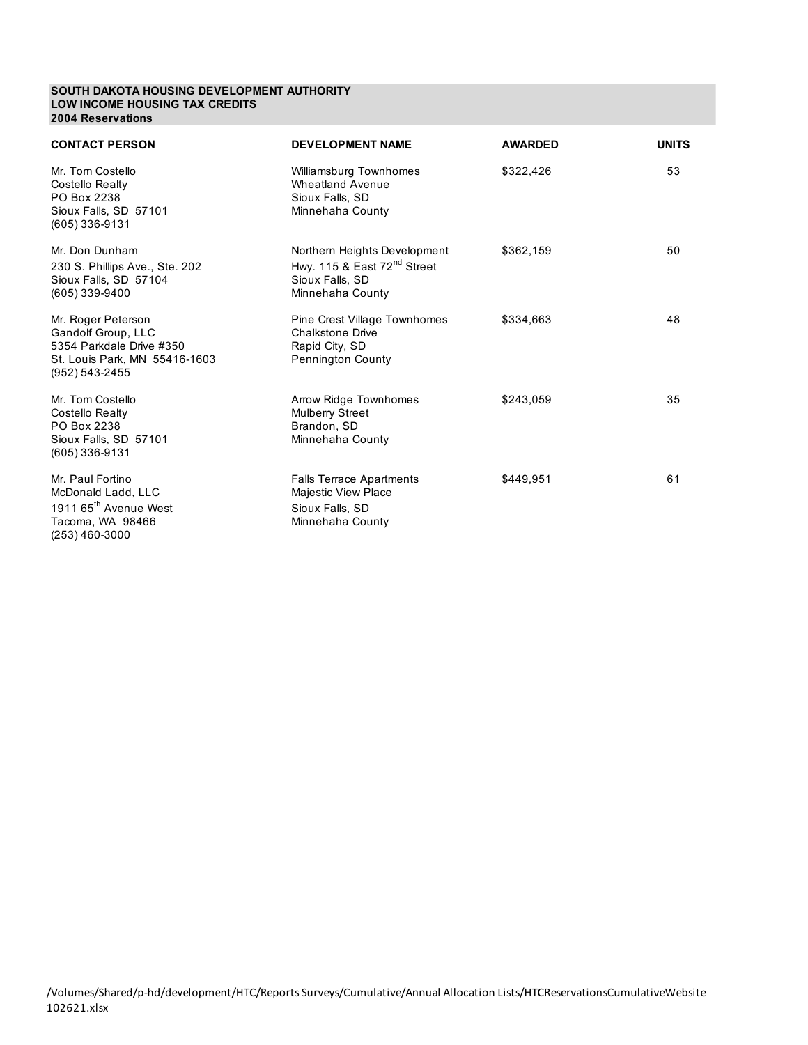#### **SOUTH DAKOTA HOUSING DEVELOPMENT AUTHORITY LOW INCOME HOUSING TAX CREDITS 2004 Reservations**

| <b>CONTACT PERSON</b>                                                                                                   | <b>DEVELOPMENT NAME</b>                                                                                      | <b>AWARDED</b> | <b>UNITS</b> |
|-------------------------------------------------------------------------------------------------------------------------|--------------------------------------------------------------------------------------------------------------|----------------|--------------|
| Mr. Tom Costello<br>Costello Realty<br>PO Box 2238<br>Sioux Falls, SD 57101<br>(605) 336-9131                           | Williamsburg Townhomes<br><b>Wheatland Avenue</b><br>Sioux Falls, SD<br>Minnehaha County                     | \$322,426      | 53           |
| Mr. Don Dunham<br>230 S. Phillips Ave., Ste. 202<br>Sioux Falls, SD 57104<br>(605) 339-9400                             | Northern Heights Development<br>Hwy. 115 & East $72nd$ Street<br>Sioux Falls, SD<br>Minnehaha County         | \$362,159      | 50           |
| Mr. Roger Peterson<br>Gandolf Group, LLC<br>5354 Parkdale Drive #350<br>St. Louis Park, MN 55416-1603<br>(952) 543-2455 | <b>Pine Crest Village Townhomes</b><br><b>Chalkstone Drive</b><br>Rapid City, SD<br><b>Pennington County</b> | \$334,663      | 48           |
| Mr. Tom Costello<br>Costello Realty<br>PO Box 2238<br>Sioux Falls, SD 57101<br>(605) 336-9131                           | Arrow Ridge Townhomes<br><b>Mulberry Street</b><br>Brandon, SD<br>Minnehaha County                           | \$243,059      | 35           |
| Mr. Paul Fortino<br>McDonald Ladd, LLC<br>1911 65 <sup>th</sup> Avenue West<br>Tacoma, WA 98466<br>(253) 460-3000       | <b>Falls Terrace Apartments</b><br><b>Majestic View Place</b><br>Sioux Falls, SD<br>Minnehaha County         | \$449.951      | 61           |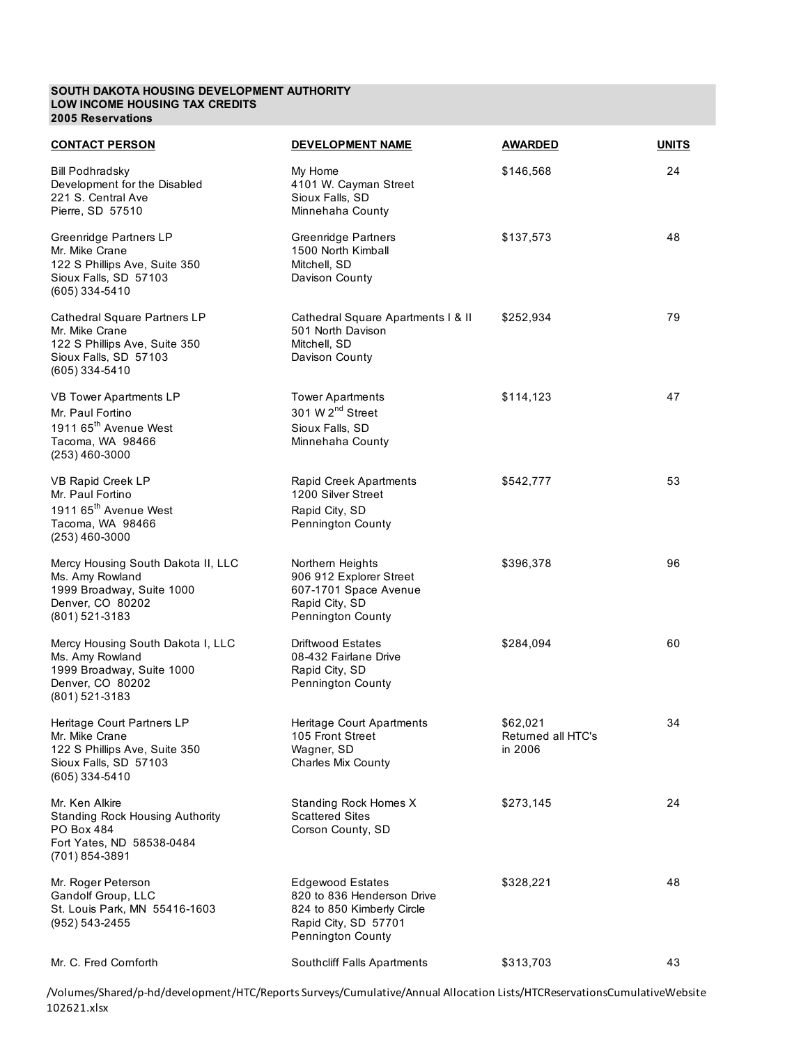#### **SOUTH DAKOTA HOUSING DEVELOPMENT AUTHORITY LOW INCOME HOUSING TAX CREDITS 2005 Reservations**

| <b>CONTACT PERSON</b>                                                                                                      | DEVELOPMENT NAME                                                                                                                 | <b>AWARDED</b>                            | <b>UNITS</b> |
|----------------------------------------------------------------------------------------------------------------------------|----------------------------------------------------------------------------------------------------------------------------------|-------------------------------------------|--------------|
| <b>Bill Podhradsky</b><br>Development for the Disabled<br>221 S. Central Ave<br>Pierre, SD 57510                           | My Home<br>4101 W. Cayman Street<br>Sioux Falls, SD<br>Minnehaha County                                                          | \$146,568                                 | 24           |
| Greenridge Partners LP<br>Mr. Mike Crane<br>122 S Phillips Ave, Suite 350<br>Sioux Falls, SD 57103<br>(605) 334-5410       | Greenridge Partners<br>1500 North Kimball<br>Mitchell, SD<br>Davison County                                                      | \$137,573                                 | 48           |
| Cathedral Square Partners LP<br>Mr. Mike Crane<br>122 S Phillips Ave, Suite 350<br>Sioux Falls, SD 57103<br>(605) 334-5410 | Cathedral Square Apartments   & II<br>501 North Davison<br>Mitchell, SD<br>Davison County                                        | \$252,934                                 | 79           |
| VB Tower Apartments LP<br>Mr. Paul Fortino<br>1911 65 <sup>th</sup> Avenue West<br>Tacoma, WA 98466<br>$(253)$ 460-3000    | <b>Tower Apartments</b><br>301 W 2 <sup>nd</sup> Street<br>Sioux Falls, SD<br>Minnehaha County                                   | \$114,123                                 | 47           |
| VB Rapid Creek LP<br>Mr. Paul Fortino<br>1911 65 <sup>th</sup> Avenue West<br>Tacoma, WA 98466<br>$(253)$ 460-3000         | Rapid Creek Apartments<br>1200 Silver Street<br>Rapid City, SD<br>Pennington County                                              | \$542,777                                 | 53           |
| Mercy Housing South Dakota II, LLC<br>Ms. Amy Rowland<br>1999 Broadway, Suite 1000<br>Denver, CO 80202<br>(801) 521-3183   | Northern Heights<br>906 912 Explorer Street<br>607-1701 Space Avenue<br>Rapid City, SD<br>Pennington County                      | \$396,378                                 | 96           |
| Mercy Housing South Dakota I, LLC<br>Ms. Amy Rowland<br>1999 Broadway, Suite 1000<br>Denver, CO 80202<br>(801) 521-3183    | Driftwood Estates<br>08-432 Fairlane Drive<br>Rapid City, SD<br>Pennington County                                                | \$284,094                                 | 60           |
| Heritage Court Partners LP<br>Mr. Mike Crane<br>122 S Phillips Ave, Suite 350<br>Sioux Falls, SD 57103<br>(605) 334-5410   | Heritage Court Apartments<br>105 Front Street<br>Wagner, SD<br><b>Charles Mix County</b>                                         | \$62,021<br>Returned all HTC's<br>in 2006 | 34           |
| Mr. Ken Alkire<br><b>Standing Rock Housing Authority</b><br>PO Box 484<br>Fort Yates, ND 58538-0484<br>(701) 854-3891      | Standing Rock Homes X<br><b>Scattered Sites</b><br>Corson County, SD                                                             | \$273,145                                 | 24           |
| Mr. Roger Peterson<br>Gandolf Group, LLC<br>St. Louis Park, MN 55416-1603<br>(952) 543-2455                                | <b>Edgewood Estates</b><br>820 to 836 Henderson Drive<br>824 to 850 Kimberly Circle<br>Rapid City, SD 57701<br>Pennington County | \$328,221                                 | 48           |
| Mr. C. Fred Cornforth                                                                                                      | Southcliff Falls Apartments                                                                                                      | \$313,703                                 | 43           |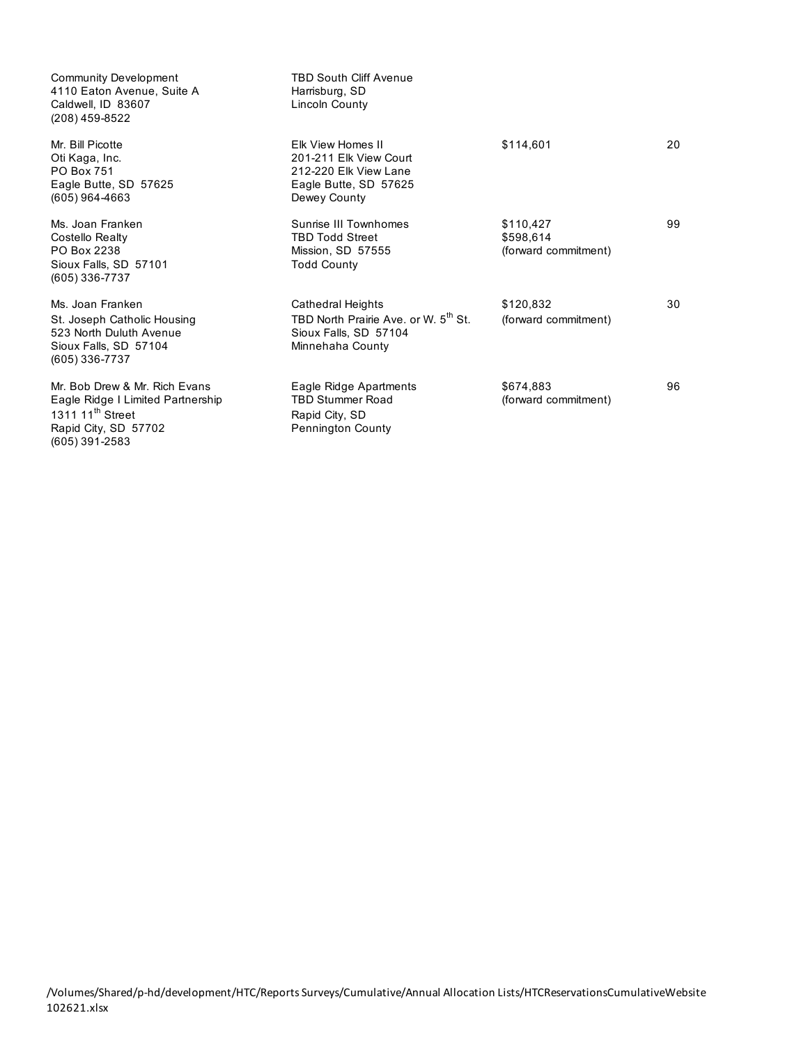| <b>Community Development</b><br>4110 Eaton Avenue, Suite A<br>Caldwell, ID 83607<br>(208) 459-8522                                           | <b>TBD South Cliff Avenue</b><br>Harrisburg, SD<br>Lincoln County                                                  |                                                |    |
|----------------------------------------------------------------------------------------------------------------------------------------------|--------------------------------------------------------------------------------------------------------------------|------------------------------------------------|----|
| Mr. Bill Picotte<br>Oti Kaga, Inc.<br>PO Box 751<br>Eagle Butte, SD 57625<br>$(605)$ 964-4663                                                | Elk View Homes II<br>201-211 Elk View Court<br>212-220 Elk View Lane<br>Eagle Butte, SD 57625<br>Dewey County      | \$114,601                                      | 20 |
| Ms. Joan Franken<br>Costello Realty<br>PO Box 2238<br>Sioux Falls, SD 57101<br>(605) 336-7737                                                | Sunrise III Townhomes<br><b>TBD Todd Street</b><br>Mission, SD 57555<br><b>Todd County</b>                         | \$110,427<br>\$598,614<br>(forward commitment) | 99 |
| Ms. Joan Franken<br>St. Joseph Catholic Housing<br>523 North Duluth Avenue<br>Sioux Falls, SD 57104<br>(605) 336-7737                        | Cathedral Heights<br>TBD North Prairie Ave. or W. 5 <sup>th</sup> St.<br>Sioux Falls, SD 57104<br>Minnehaha County | \$120.832<br>(forward commitment)              | 30 |
| Mr. Bob Drew & Mr. Rich Evans<br>Eagle Ridge I Limited Partnership<br>1311 11 <sup>th</sup> Street<br>Rapid City, SD 57702<br>(605) 391-2583 | Eagle Ridge Apartments<br><b>TBD Stummer Road</b><br>Rapid City, SD<br><b>Pennington County</b>                    | \$674.883<br>(forward commitment)              | 96 |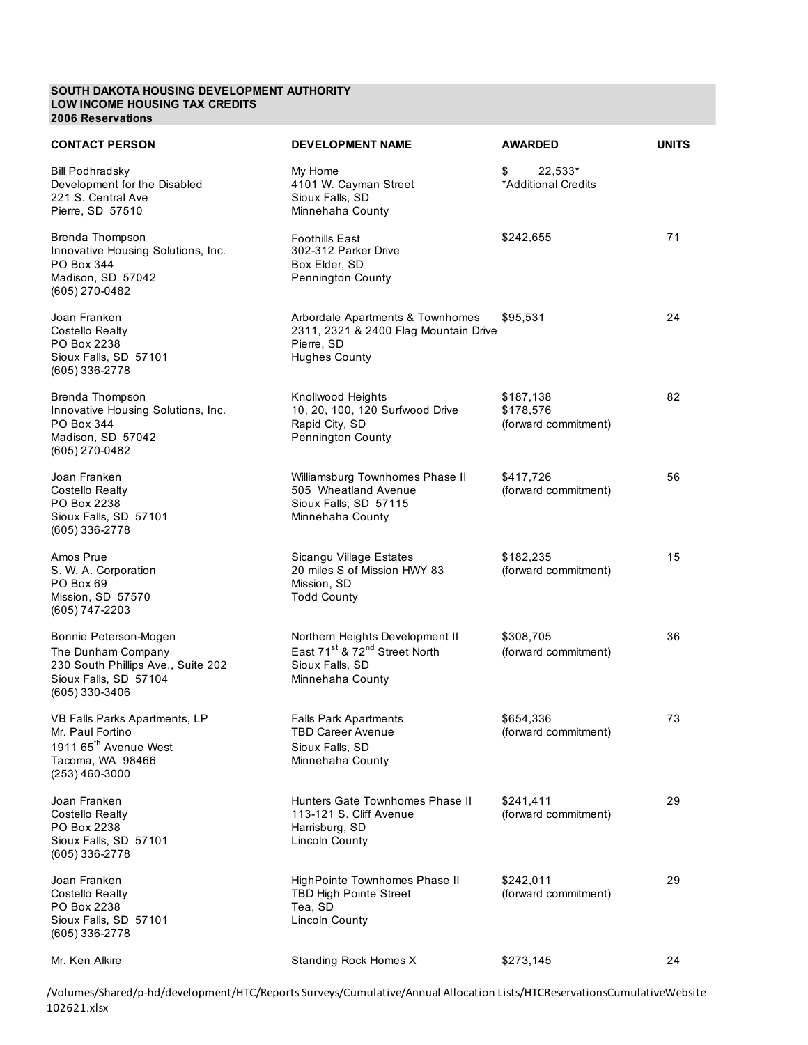## **SOUTH DAKOTA HOUSING DEVELOPMENT AUTHORITY LOW INCOME HOUSING TAX CREDITS 2006 Reservations**

| <b>CONTACT PERSON</b>                                                                                                          | DEVELOPMENT NAME                                                                                                                | <b>AWARDED</b>                                 | <b>UNITS</b> |
|--------------------------------------------------------------------------------------------------------------------------------|---------------------------------------------------------------------------------------------------------------------------------|------------------------------------------------|--------------|
| <b>Bill Podhradsky</b><br>Development for the Disabled<br>221 S. Central Ave<br>Pierre, SD 57510                               | My Home<br>4101 W. Cayman Street<br>Sioux Falls, SD<br>Minnehaha County                                                         | \$<br>22,533*<br>*Additional Credits           |              |
| Brenda Thompson<br>Innovative Housing Solutions, Inc.<br>PO Box 344<br>Madison, SD 57042<br>(605) 270-0482                     | <b>Foothills East</b><br>302-312 Parker Drive<br>Box Elder, SD<br>Pennington County                                             | \$242,655                                      | 71           |
| Joan Franken<br>Costello Realty<br>PO Box 2238<br>Sioux Falls, SD 57101<br>(605) 336-2778                                      | Arbordale Apartments & Townhomes<br>2311, 2321 & 2400 Flag Mountain Drive<br>Pierre, SD<br><b>Hughes County</b>                 | \$95,531                                       | 24           |
| Brenda Thompson<br>Innovative Housing Solutions, Inc.<br>PO Box 344<br>Madison, SD 57042<br>(605) 270-0482                     | Knollwood Heights<br>10, 20, 100, 120 Surfwood Drive<br>Rapid City, SD<br>Pennington County                                     | \$187,138<br>\$178,576<br>(forward commitment) | 82           |
| Joan Franken<br>Costello Realty<br>PO Box 2238<br>Sioux Falls, SD 57101<br>(605) 336-2778                                      | Williamsburg Townhomes Phase II<br>505 Wheatland Avenue<br>Sioux Falls, SD 57115<br>Minnehaha County                            | \$417,726<br>(forward commitment)              | 56           |
| Amos Prue<br>S. W. A. Corporation<br>PO Box 69<br>Mission, SD 57570<br>(605) 747-2203                                          | Sicangu Village Estates<br>20 miles S of Mission HWY 83<br>Mission, SD<br><b>Todd County</b>                                    | \$182,235<br>(forward commitment)              | 15           |
| Bonnie Peterson-Mogen<br>The Dunham Company<br>230 South Phillips Ave., Suite 202<br>Sioux Falls, SD 57104<br>(605) 330-3406   | Northern Heights Development II<br>East 71 <sup>st</sup> & 72 <sup>nd</sup> Street North<br>Sioux Falls, SD<br>Minnehaha County | \$308,705<br>(forward commitment)              | 36           |
| VB Falls Parks Apartments, LP<br>Mr. Paul Fortino<br>1911 65 <sup>th</sup> Avenue West<br>Tacoma, WA 98466<br>$(253)$ 460-3000 | <b>Falls Park Apartments</b><br><b>TBD Career Avenue</b><br>Sioux Falls, SD<br>Minnehaha County                                 | \$654,336<br>(forward commitment)              | 73           |
| Joan Franken<br>Costello Realty<br>PO Box 2238<br>Sioux Falls, SD 57101<br>(605) 336-2778                                      | Hunters Gate Townhomes Phase II<br>113-121 S. Cliff Avenue<br>Harrisburg, SD<br>Lincoln County                                  | \$241,411<br>(forward commitment)              | 29           |
| Joan Franken<br>Costello Realty<br>PO Box 2238<br>Sioux Falls, SD 57101<br>(605) 336-2778                                      | HighPointe Townhomes Phase II<br><b>TBD High Pointe Street</b><br>Tea, SD<br><b>Lincoln County</b>                              | \$242,011<br>(forward commitment)              | 29           |
| Mr. Ken Alkire                                                                                                                 | Standing Rock Homes X                                                                                                           | \$273,145                                      | 24           |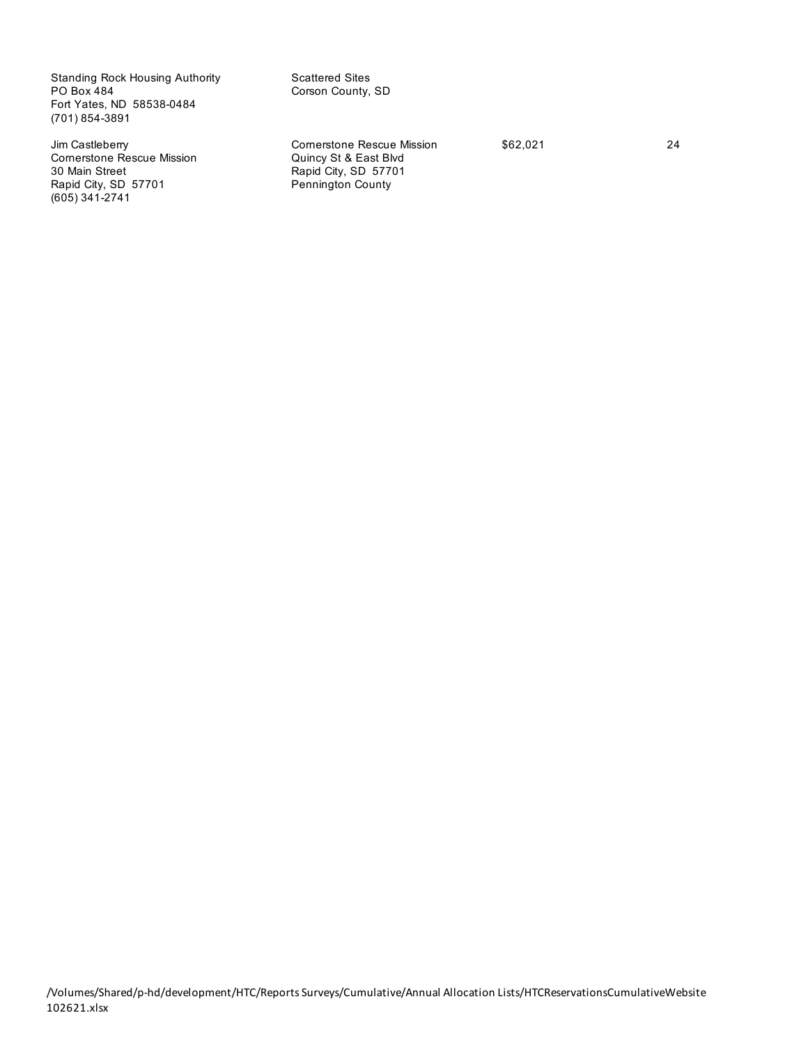Standing Rock Housing Authority<br>
PO Box 484<br>
Corson County, Fort Yates, ND 58538-0484 (701) 854-3891

Cornerstone Rescue Mission **Quincy St & East Blvd** 30 Main Street **Rapid City, SD 57701**<br>
Rapid City, SD 57701 **Rapid City, SD 57701** Rapid City, SD 57701 (605) 341-2741

Corson County, SD

Jim Castleberry **Comerstone Rescue Mission** \$62,021 34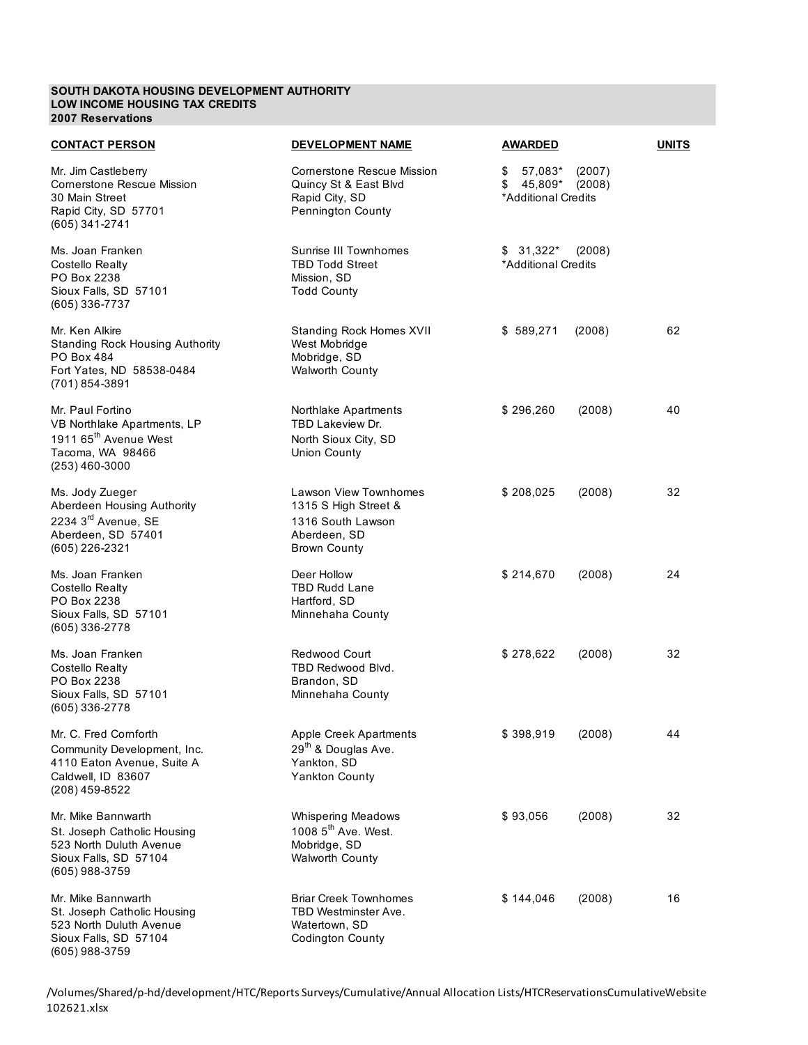## **SOUTH DAKOTA HOUSING DEVELOPMENT AUTHORITY LOW INCOME HOUSING TAX CREDITS 2007 Reservations**

| <b>CONTACT PERSON</b>                                                                                                      | <b>DEVELOPMENT NAME</b>                                                                                   | <b>AWARDED</b>                                                         | <b>UNITS</b> |
|----------------------------------------------------------------------------------------------------------------------------|-----------------------------------------------------------------------------------------------------------|------------------------------------------------------------------------|--------------|
| Mr. Jim Castleberry<br><b>Cornerstone Rescue Mission</b><br>30 Main Street<br>Rapid City, SD 57701<br>(605) 341-2741       | Cornerstone Rescue Mission<br>Quincy St & East Blvd<br>Rapid City, SD<br>Pennington County                | \$<br>57,083*<br>(2007)<br>$$45,809*$<br>(2008)<br>*Additional Credits |              |
| Ms. Joan Franken<br><b>Costello Realty</b><br>PO Box 2238<br>Sioux Falls, SD 57101<br>(605) 336-7737                       | Sunrise III Townhomes<br><b>TBD Todd Street</b><br>Mission, SD<br><b>Todd County</b>                      | $$31,322^*$<br>(2008)<br>*Additional Credits                           |              |
| Mr. Ken Alkire<br><b>Standing Rock Housing Authority</b><br>PO Box 484<br>Fort Yates, ND 58538-0484<br>(701) 854-3891      | Standing Rock Homes XVII<br>West Mobridge<br>Mobridge, SD<br><b>Walworth County</b>                       | \$589,271<br>(2008)                                                    | 62           |
| Mr. Paul Fortino<br>VB Northlake Apartments, LP<br>1911 65 <sup>th</sup> Avenue West<br>Tacoma, WA 98466<br>(253) 460-3000 | Northlake Apartments<br>TBD Lakeview Dr.<br>North Sioux City, SD<br>Union County                          | \$296,260<br>(2008)                                                    | 40           |
| Ms. Jody Zueger<br>Aberdeen Housing Authority<br>2234 3 <sup>rd</sup> Avenue, SE<br>Aberdeen, SD 57401<br>(605) 226-2321   | Lawson View Townhomes<br>1315 S High Street &<br>1316 South Lawson<br>Aberdeen, SD<br><b>Brown County</b> | \$208,025<br>(2008)                                                    | 32           |
| Ms. Joan Franken<br>Costello Realty<br>PO Box 2238<br>Sioux Falls, SD 57101<br>(605) 336-2778                              | Deer Hollow<br><b>TBD Rudd Lane</b><br>Hartford, SD<br>Minnehaha County                                   | \$214,670<br>(2008)                                                    | 24           |
| Ms. Joan Franken<br><b>Costello Realty</b><br>PO Box 2238<br>Sioux Falls, SD 57101<br>(605) 336-2778                       | Redwood Court<br>TBD Redwood Blvd.<br>Brandon, SD<br>Minnehaha County                                     | \$278,622<br>(2008)                                                    | 32           |
| Mr. C. Fred Cornforth<br>Community Development, Inc.<br>4110 Eaton Avenue, Suite A<br>Caldwell, ID 83607<br>(208) 459-8522 | Apple Creek Apartments<br>29 <sup>th</sup> & Douglas Ave.<br>Yankton, SD<br><b>Yankton County</b>         | \$398,919<br>(2008)                                                    | 44           |
| Mr. Mike Bannwarth<br>St. Joseph Catholic Housing<br>523 North Duluth Avenue<br>Sioux Falls, SD 57104<br>(605) 988-3759    | <b>Whispering Meadows</b><br>1008 5 <sup>th</sup> Ave. West.<br>Mobridge, SD<br><b>Walworth County</b>    | \$93,056<br>(2008)                                                     | 32           |
| Mr. Mike Bannwarth<br>St. Joseph Catholic Housing<br>523 North Duluth Avenue<br>Sioux Falls, SD 57104<br>(605) 988-3759    | <b>Briar Creek Townhomes</b><br>TBD Westminster Ave.<br>Watertown, SD<br><b>Codington County</b>          | \$144,046<br>(2008)                                                    | 16           |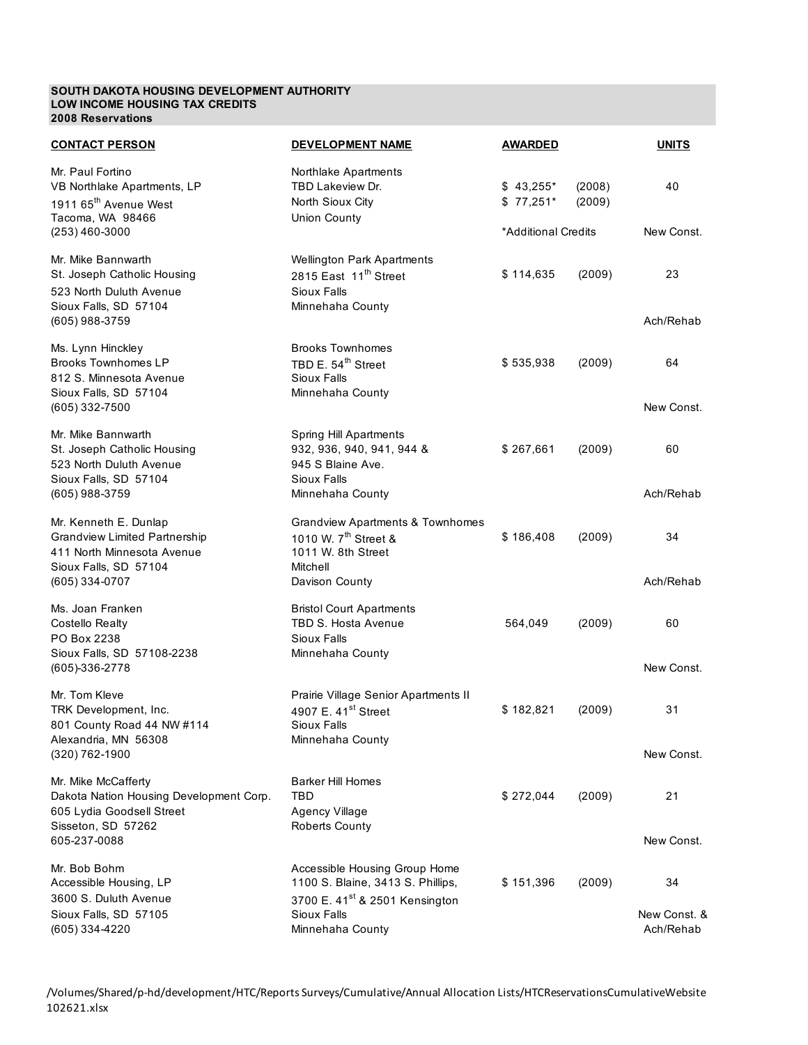#### **SOUTH DAKOTA HOUSING DEVELOPMENT AUTHORITY LOW INCOME HOUSING TAX CREDITS 2008 Reservations**

| <b>CONTACT PERSON</b>                                                                                             | <b>DEVELOPMENT NAME</b>                                                                                           | <b>AWARDED</b>           |                  | <b>UNITS</b>              |
|-------------------------------------------------------------------------------------------------------------------|-------------------------------------------------------------------------------------------------------------------|--------------------------|------------------|---------------------------|
| Mr. Paul Fortino<br>VB Northlake Apartments, LP<br>1911 65 <sup>th</sup> Avenue West<br>Tacoma, WA 98466          | Northlake Apartments<br>TBD Lakeview Dr.<br>North Sioux City<br><b>Union County</b>                               | $$43,255*$<br>$$77,251*$ | (2008)<br>(2009) | 40                        |
| $(253)$ 460-3000                                                                                                  |                                                                                                                   | *Additional Credits      |                  | New Const.                |
| Mr. Mike Bannwarth<br>St. Joseph Catholic Housing<br>523 North Duluth Avenue<br>Sioux Falls, SD 57104             | <b>Wellington Park Apartments</b><br>2815 East 11 <sup>th</sup> Street<br>Sioux Falls<br>Minnehaha County         | \$114,635                | (2009)           | 23                        |
| (605) 988-3759                                                                                                    |                                                                                                                   |                          |                  | Ach/Rehab                 |
| Ms. Lynn Hinckley<br><b>Brooks Townhomes LP</b><br>812 S. Minnesota Avenue<br>Sioux Falls, SD 57104               | <b>Brooks Townhomes</b><br>TBD E. 54 <sup>th</sup> Street<br>Sioux Falls<br>Minnehaha County                      | \$535,938                | (2009)           | 64                        |
| (605) 332-7500                                                                                                    |                                                                                                                   |                          |                  | New Const.                |
| Mr. Mike Bannwarth<br>St. Joseph Catholic Housing<br>523 North Duluth Avenue                                      | Spring Hill Apartments<br>932, 936, 940, 941, 944 &<br>945 S Blaine Ave.                                          | \$267,661                | (2009)           | 60                        |
| Sioux Falls, SD 57104<br>(605) 988-3759                                                                           | Sioux Falls<br>Minnehaha County                                                                                   |                          |                  | Ach/Rehab                 |
| Mr. Kenneth E. Dunlap<br><b>Grandview Limited Partnership</b><br>411 North Minnesota Avenue                       | <b>Grandview Apartments &amp; Townhomes</b><br>1010 W. 7 <sup>th</sup> Street &<br>1011 W. 8th Street<br>Mitchell | \$186,408                | (2009)           | 34                        |
| Sioux Falls, SD 57104<br>(605) 334-0707                                                                           | Davison County                                                                                                    |                          |                  | Ach/Rehab                 |
| Ms. Joan Franken<br><b>Costello Realty</b><br>PO Box 2238<br>Sioux Falls, SD 57108-2238                           | <b>Bristol Court Apartments</b><br>TBD S. Hosta Avenue<br>Sioux Falls<br>Minnehaha County                         | 564,049                  | (2009)           | 60                        |
| (605)-336-2778                                                                                                    |                                                                                                                   |                          |                  | New Const.                |
| Mr. Tom Kleve<br>TRK Development, Inc.<br>801 County Road 44 NW #114                                              | Prairie Village Senior Apartments II<br>4907 E. 41 <sup>st</sup> Street<br>Sioux Falls                            | \$182,821                | (2009)           | 31                        |
| Alexandria, MN 56308<br>(320) 762-1900                                                                            | Minnehaha County                                                                                                  |                          |                  | New Const.                |
| Mr. Mike McCafferty<br>Dakota Nation Housing Development Corp.<br>605 Lydia Goodsell Street<br>Sisseton, SD 57262 | <b>Barker Hill Homes</b><br>TBD<br><b>Agency Village</b><br><b>Roberts County</b>                                 | \$272,044                | (2009)           | 21                        |
| 605-237-0088                                                                                                      |                                                                                                                   |                          |                  | New Const.                |
| Mr. Bob Bohm<br>Accessible Housing, LP<br>3600 S. Duluth Avenue                                                   | Accessible Housing Group Home<br>1100 S. Blaine, 3413 S. Phillips,<br>3700 E. 41 <sup>st</sup> & 2501 Kensington  | \$151,396                | (2009)           | 34                        |
| Sioux Falls, SD 57105<br>(605) 334-4220                                                                           | Sioux Falls<br>Minnehaha County                                                                                   |                          |                  | New Const. &<br>Ach/Rehab |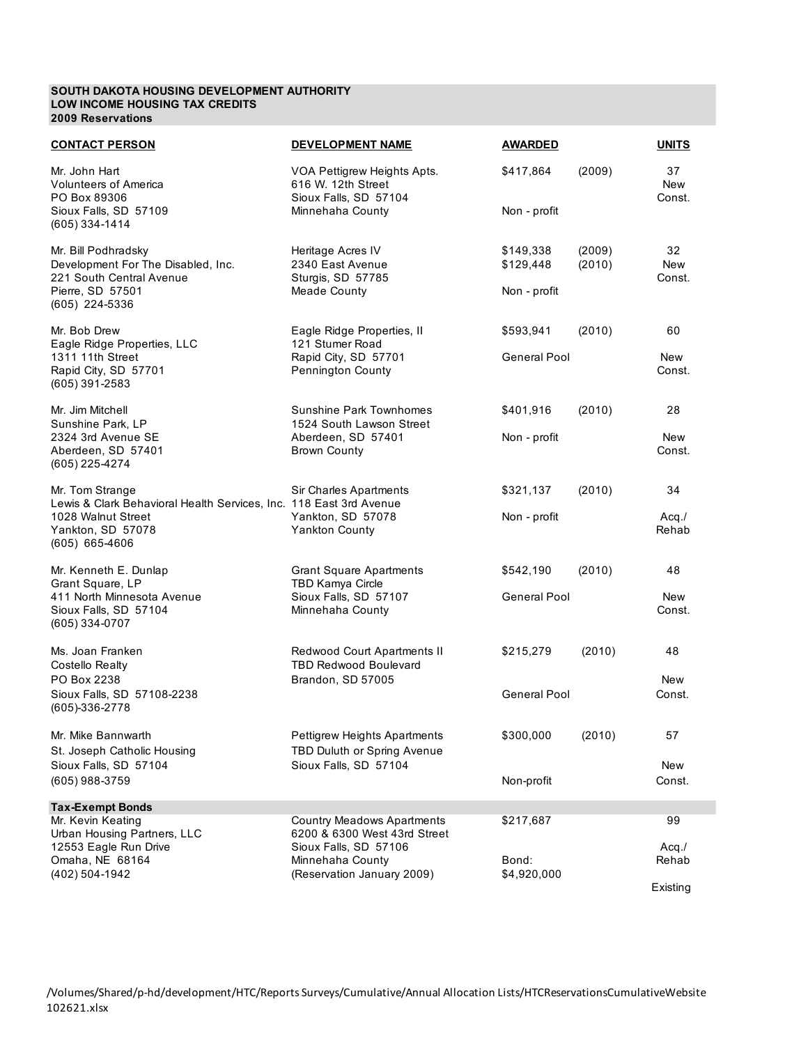#### **SOUTH DAKOTA HOUSING DEVELOPMENT AUTHORITY LOW INCOME HOUSING TAX CREDITS 2009 Reservations**

| <b>CONTACT PERSON</b>                                                                                                       | DEVELOPMENT NAME                                                                               | <b>AWARDED</b>                         |                  | <b>UNITS</b>               |
|-----------------------------------------------------------------------------------------------------------------------------|------------------------------------------------------------------------------------------------|----------------------------------------|------------------|----------------------------|
| Mr. John Hart<br><b>Volunteers of America</b><br>PO Box 89306<br>Sioux Falls, SD 57109                                      | VOA Pettigrew Heights Apts.<br>616 W. 12th Street<br>Sioux Falls, SD 57104<br>Minnehaha County | \$417,864<br>Non - profit              | (2009)           | 37<br><b>New</b><br>Const. |
| (605) 334-1414                                                                                                              |                                                                                                |                                        |                  |                            |
| Mr. Bill Podhradsky<br>Development For The Disabled, Inc.<br>221 South Central Avenue<br>Pierre, SD 57501<br>(605) 224-5336 | Heritage Acres IV<br>2340 East Avenue<br>Sturgis, SD 57785<br><b>Meade County</b>              | \$149,338<br>\$129,448<br>Non - profit | (2009)<br>(2010) | 32<br><b>New</b><br>Const. |
| Mr. Bob Drew                                                                                                                | Eagle Ridge Properties, II                                                                     | \$593,941                              | (2010)           | 60                         |
| Eagle Ridge Properties, LLC<br>1311 11th Street<br>Rapid City, SD 57701<br>$(605)$ 391-2583                                 | 121 Stumer Road<br>Rapid City, SD 57701<br>Pennington County                                   | <b>General Pool</b>                    |                  | New<br>Const.              |
| Mr. Jim Mitchell<br>Sunshine Park, LP                                                                                       | Sunshine Park Townhomes<br>1524 South Lawson Street                                            | \$401,916                              | (2010)           | 28                         |
| 2324 3rd Avenue SE<br>Aberdeen, SD 57401<br>(605) 225-4274                                                                  | Aberdeen, SD 57401<br><b>Brown County</b>                                                      | Non - profit                           |                  | New<br>Const.              |
| Mr. Tom Strange<br>Lewis & Clark Behavioral Health Services, Inc. 118 East 3rd Avenue                                       | Sir Charles Apartments                                                                         | \$321,137                              | (2010)           | 34                         |
| 1028 Walnut Street<br>Yankton, SD 57078<br>(605) 665-4606                                                                   | Yankton, SD 57078<br><b>Yankton County</b>                                                     | Non - profit                           |                  | $Acq$ ./<br>Rehab          |
| Mr. Kenneth E. Dunlap<br>Grant Square, LP                                                                                   | <b>Grant Square Apartments</b><br><b>TBD Kamya Circle</b>                                      | \$542,190                              | (2010)           | 48                         |
| 411 North Minnesota Avenue<br>Sioux Falls, SD 57104<br>(605) 334-0707                                                       | Sioux Falls, SD 57107<br>Minnehaha County                                                      | <b>General Pool</b>                    |                  | <b>New</b><br>Const.       |
| Ms. Joan Franken<br><b>Costello Realty</b>                                                                                  | Redwood Court Apartments II<br><b>TBD Redwood Boulevard</b>                                    | \$215,279                              | (2010)           | 48                         |
| PO Box 2238<br>Sioux Falls, SD 57108-2238<br>(605)-336-2778                                                                 | Brandon, SD 57005                                                                              | <b>General Pool</b>                    |                  | New<br>Const.              |
| Mr. Mike Bannwarth<br>St. Joseph Catholic Housing                                                                           | Pettigrew Heights Apartments<br>TBD Duluth or Spring Avenue                                    | \$300,000                              | (2010)           | 57                         |
| Sioux Falls, SD 57104<br>(605) 988-3759                                                                                     | Sioux Falls, SD 57104                                                                          | Non-profit                             |                  | New<br>Const.              |
| <b>Tax-Exempt Bonds</b>                                                                                                     |                                                                                                |                                        |                  |                            |
| Mr. Kevin Keating<br>Urban Housing Partners, LLC                                                                            | <b>Country Meadows Apartments</b><br>6200 & 6300 West 43rd Street                              | \$217,687                              |                  | 99                         |
| 12553 Eagle Run Drive<br>Omaha, NE 68164<br>(402) 504-1942                                                                  | Sioux Falls, SD 57106<br>Minnehaha County<br>(Reservation January 2009)                        | Bond:<br>\$4,920,000                   |                  | $Acq$ ./<br>Rehab          |
|                                                                                                                             |                                                                                                |                                        |                  | Existing                   |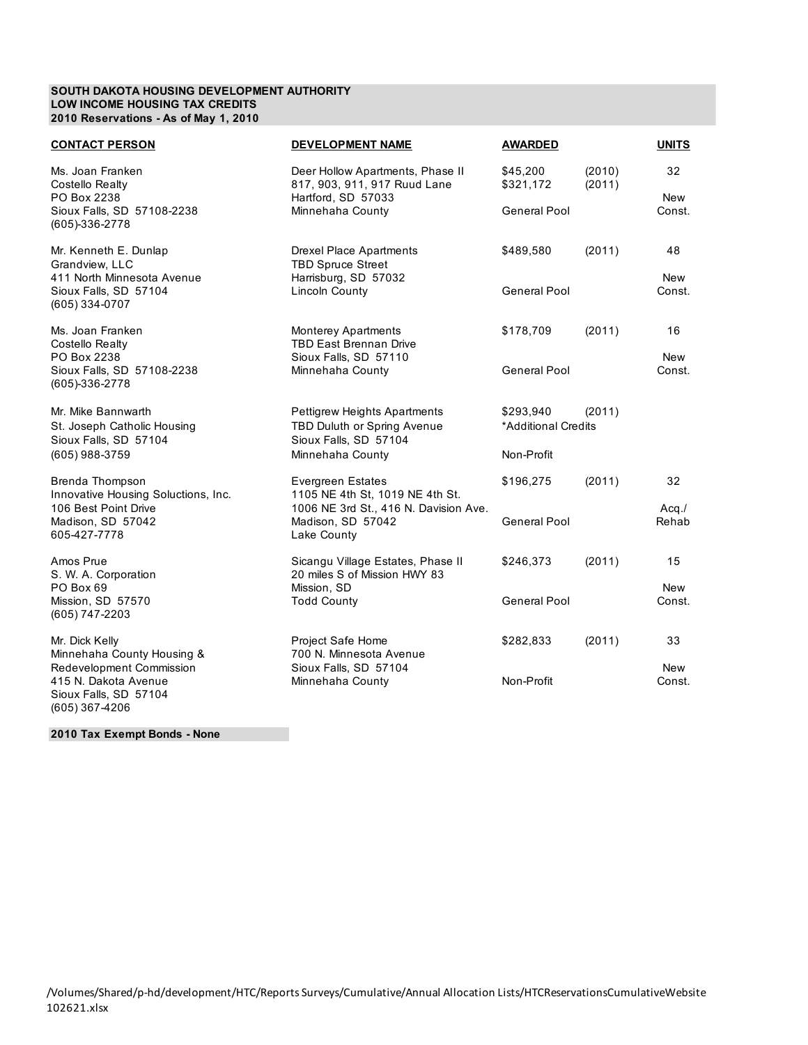## **SOUTH DAKOTA HOUSING DEVELOPMENT AUTHORITY LOW INCOME HOUSING TAX CREDITS 2010 Reservations - As of May 1, 2010**

| <b>CONTACT PERSON</b>                                                                                                     | <b>DEVELOPMENT NAME</b>                                                                                                                  | <b>AWARDED</b>                                 |                  | <b>UNITS</b>               |  |
|---------------------------------------------------------------------------------------------------------------------------|------------------------------------------------------------------------------------------------------------------------------------------|------------------------------------------------|------------------|----------------------------|--|
| Ms. Joan Franken<br>Costello Realty<br>PO Box 2238<br>Sioux Falls, SD 57108-2238<br>(605)-336-2778                        | Deer Hollow Apartments, Phase II<br>817, 903, 911, 917 Ruud Lane<br>Hartford, SD 57033<br>Minnehaha County                               | \$45,200<br>\$321,172<br>General Pool          | (2010)<br>(2011) | 32<br><b>New</b><br>Const. |  |
| Mr. Kenneth E. Dunlap<br>Grandview, LLC<br>411 North Minnesota Avenue<br>Sioux Falls, SD 57104<br>(605) 334-0707          | <b>Drexel Place Apartments</b><br><b>TBD Spruce Street</b><br>Harrisburg, SD 57032<br><b>Lincoln County</b>                              | \$489,580<br><b>General Pool</b>               | (2011)           | 48<br>New<br>Const.        |  |
| Ms. Joan Franken<br><b>Costello Realty</b><br>PO Box 2238<br>Sioux Falls, SD 57108-2238<br>(605)-336-2778                 | <b>Monterey Apartments</b><br><b>TBD East Brennan Drive</b><br>Sioux Falls, SD 57110<br>Minnehaha County                                 | \$178,709<br><b>General Pool</b>               | (2011)           | 16<br><b>New</b><br>Const. |  |
| Mr. Mike Bannwarth<br>St. Joseph Catholic Housing<br>Sioux Falls, SD 57104<br>(605) 988-3759                              | Pettigrew Heights Apartments<br>TBD Duluth or Spring Avenue<br>Sioux Falls, SD 57104<br>Minnehaha County                                 | \$293,940<br>*Additional Credits<br>Non-Profit | (2011)           |                            |  |
| Brenda Thompson<br>Innovative Housing Soluctions, Inc.<br>106 Best Point Drive<br>Madison, SD 57042<br>605-427-7778       | <b>Evergreen Estates</b><br>1105 NE 4th St, 1019 NE 4th St.<br>1006 NE 3rd St., 416 N. Davision Ave.<br>Madison, SD 57042<br>Lake County | \$196,275<br>General Pool                      | (2011)           | 32<br>$Acq$ ./<br>Rehab    |  |
| Amos Prue<br>S. W. A. Corporation<br>PO Box 69<br>Mission, SD 57570<br>(605) 747-2203                                     | Sicangu Village Estates, Phase II<br>20 miles S of Mission HWY 83<br>Mission, SD<br><b>Todd County</b>                                   | \$246,373<br>General Pool                      | (2011)           | 15<br>New<br>Const.        |  |
| Mr. Dick Kelly<br>Minnehaha County Housing &<br>Redevelopment Commission<br>415 N. Dakota Avenue<br>Sioux Falls, SD 57104 | <b>Project Safe Home</b><br>700 N. Minnesota Avenue<br>Sioux Falls, SD 57104<br>Minnehaha County                                         | \$282,833<br>Non-Profit                        | (2011)           | 33<br><b>New</b><br>Const. |  |

**2010 Tax Exempt Bonds - None**

(605) 367-4206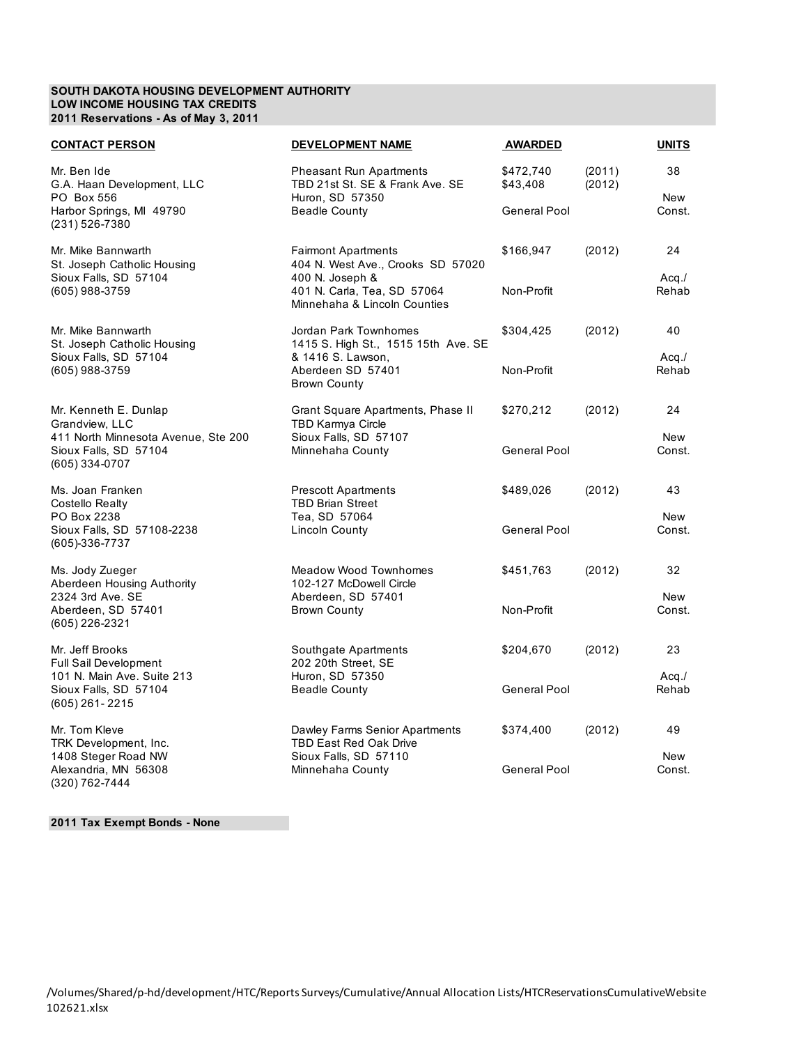## **SOUTH DAKOTA HOUSING DEVELOPMENT AUTHORITY LOW INCOME HOUSING TAX CREDITS 2011 Reservations - As of May 3, 2011**

| <b>CONTACT PERSON</b>                                                          | <b>DEVELOPMENT NAME</b>                                                              | <b>AWARDED</b>        |                  | <u>UNITS</u>   |
|--------------------------------------------------------------------------------|--------------------------------------------------------------------------------------|-----------------------|------------------|----------------|
| Mr. Ben Ide<br>G.A. Haan Development, LLC<br>PO Box 556                        | <b>Pheasant Run Apartments</b><br>TBD 21st St. SE & Frank Ave. SE<br>Huron, SD 57350 | \$472,740<br>\$43,408 | (2011)<br>(2012) | 38<br>New      |
| Harbor Springs, MI 49790<br>(231) 526-7380                                     | <b>Beadle County</b>                                                                 | General Pool          |                  | Const.         |
| Mr. Mike Bannwarth<br>St. Joseph Catholic Housing<br>Sioux Falls, SD 57104     | <b>Fairmont Apartments</b><br>404 N. West Ave., Crooks SD 57020<br>400 N. Joseph &   | \$166,947             | (2012)           | 24<br>$Acq$ ./ |
| (605) 988-3759                                                                 | 401 N. Carla, Tea, SD 57064<br>Minnehaha & Lincoln Counties                          | Non-Profit            |                  | Rehab          |
| Mr. Mike Bannwarth<br>St. Joseph Catholic Housing<br>Sioux Falls, SD 57104     | Jordan Park Townhomes<br>1415 S. High St., 1515 15th Ave. SE<br>& 1416 S. Lawson,    | \$304,425             | (2012)           | 40<br>$Acq$ ./ |
| (605) 988-3759                                                                 | Aberdeen SD 57401<br><b>Brown County</b>                                             | Non-Profit            |                  | Rehab          |
| Mr. Kenneth E. Dunlap<br>Grandview, LLC<br>411 North Minnesota Avenue, Ste 200 | Grant Square Apartments, Phase II<br>TBD Karmya Circle<br>Sioux Falls, SD 57107      | \$270,212             | (2012)           | 24<br>New      |
| Sioux Falls, SD 57104<br>(605) 334-0707                                        | Minnehaha County                                                                     | <b>General Pool</b>   |                  | Const.         |
| Ms. Joan Franken<br>Costello Realty<br>PO Box 2238                             | <b>Prescott Apartments</b><br><b>TBD Brian Street</b><br>Tea, SD 57064               | \$489,026             | (2012)           | 43<br>New      |
| Sioux Falls, SD 57108-2238<br>(605)-336-7737                                   | Lincoln County                                                                       | General Pool          |                  | Const.         |
| Ms. Jody Zueger<br>Aberdeen Housing Authority<br>2324 3rd Ave, SE              | Meadow Wood Townhomes<br>102-127 McDowell Circle<br>Aberdeen, SD 57401               | \$451,763             | (2012)           | 32<br>New      |
| Aberdeen, SD 57401<br>(605) 226-2321                                           | <b>Brown County</b>                                                                  | Non-Profit            |                  | Const.         |
| Mr. Jeff Brooks<br><b>Full Sail Development</b><br>101 N. Main Ave. Suite 213  | Southgate Apartments<br>202 20th Street, SE<br>Huron, SD 57350                       | \$204,670             | (2012)           | 23<br>$Acq$ ./ |
| Sioux Falls, SD 57104<br>$(605)$ 261-2215                                      | <b>Beadle County</b>                                                                 | General Pool          |                  | Rehab          |
| Mr. Tom Kleve<br>TRK Development, Inc.                                         | Dawley Farms Senior Apartments<br>TBD East Red Oak Drive                             | \$374,400             | (2012)           | 49             |
| 1408 Steger Road NW<br>Alexandria, MN 56308<br>(320) 762-7444                  | Sioux Falls, SD 57110<br>Minnehaha County                                            | <b>General Pool</b>   |                  | New<br>Const.  |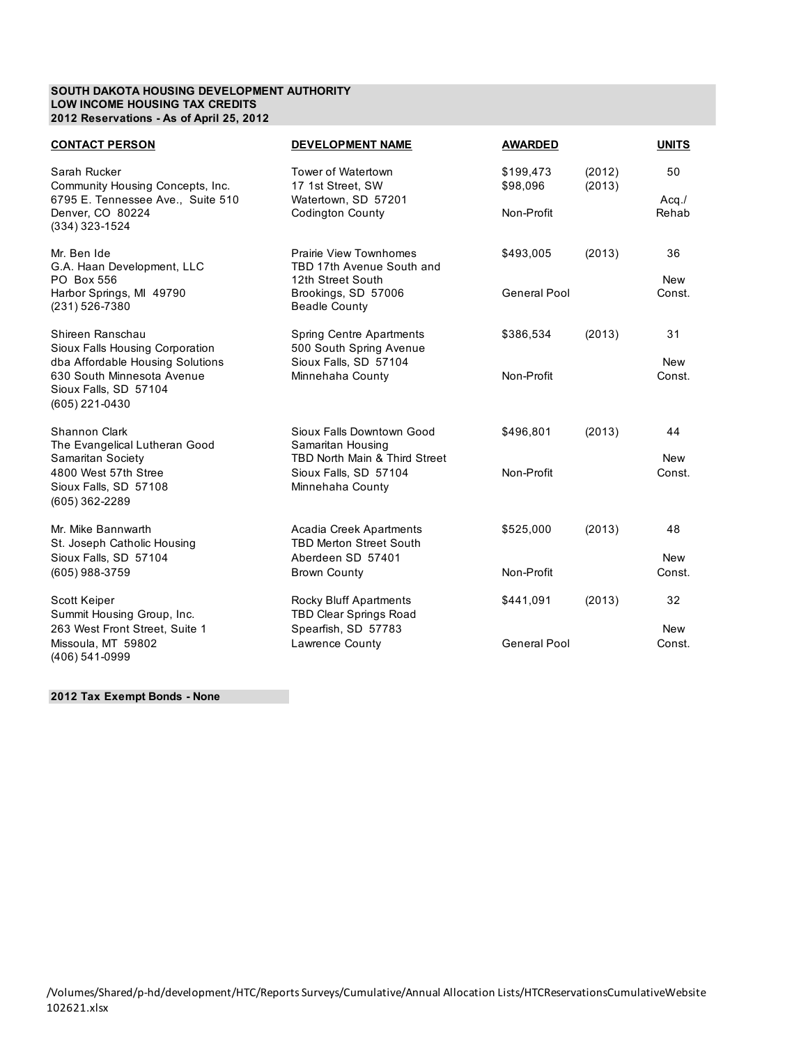## **SOUTH DAKOTA HOUSING DEVELOPMENT AUTHORITY LOW INCOME HOUSING TAX CREDITS 2012 Reservations - As of April 25, 2012**

| <b>CONTACT PERSON</b>                                                                   | <b>DEVELOPMENT NAME</b>                                                         | <b>AWARDED</b>        |                  | <b>UNITS</b>         |
|-----------------------------------------------------------------------------------------|---------------------------------------------------------------------------------|-----------------------|------------------|----------------------|
| Sarah Rucker<br>Community Housing Concepts, Inc.<br>6795 E. Tennessee Ave., Suite 510   | Tower of Watertown<br>17 1st Street, SW<br>Watertown, SD 57201                  | \$199,473<br>\$98,096 | (2012)<br>(2013) | 50<br>$Acq$ ./       |
| Denver, CO 80224<br>(334) 323-1524                                                      | <b>Codington County</b>                                                         | Non-Profit            |                  | Rehab                |
| Mr. Ben Ide<br>G.A. Haan Development, LLC<br>PO Box 556                                 | Prairie View Townhomes<br>TBD 17th Avenue South and<br>12th Street South        | \$493,005             | (2013)           | 36<br><b>New</b>     |
| Harbor Springs, MI 49790<br>(231) 526-7380                                              | Brookings, SD 57006<br><b>Beadle County</b>                                     | <b>General Pool</b>   |                  | Const.               |
| Shireen Ranschau<br>Sioux Falls Housing Corporation<br>dba Affordable Housing Solutions | Spring Centre Apartments<br>500 South Spring Avenue<br>Sioux Falls, SD 57104    | \$386,534             | (2013)           | 31<br><b>New</b>     |
| 630 South Minnesota Avenue<br>Sioux Falls, SD 57104<br>(605) 221-0430                   | Minnehaha County                                                                | Non-Profit            |                  | Const.               |
| <b>Shannon Clark</b><br>The Evangelical Lutheran Good<br>Samaritan Society              | Sioux Falls Downtown Good<br>Samaritan Housing<br>TBD North Main & Third Street | \$496,801             | (2013)           | 44<br>New            |
| 4800 West 57th Stree<br>Sioux Falls, SD 57108<br>(605) 362-2289                         | Sioux Falls, SD 57104<br>Minnehaha County                                       | Non-Profit            |                  | Const.               |
| Mr. Mike Bannwarth<br>St. Joseph Catholic Housing                                       | Acadia Creek Apartments<br><b>TBD Merton Street South</b>                       | \$525,000             | (2013)           | 48                   |
| Sioux Falls, SD 57104<br>(605) 988-3759                                                 | Aberdeen SD 57401<br><b>Brown County</b>                                        | Non-Profit            |                  | <b>New</b><br>Const. |
| Scott Keiper<br>Summit Housing Group, Inc.                                              | <b>Rocky Bluff Apartments</b><br><b>TBD Clear Springs Road</b>                  | \$441,091             | (2013)           | 32                   |
| 263 West Front Street, Suite 1<br>Missoula, MT 59802<br>(406) 541-0999                  | Spearfish, SD 57783<br>Lawrence County                                          | <b>General Pool</b>   |                  | <b>New</b><br>Const. |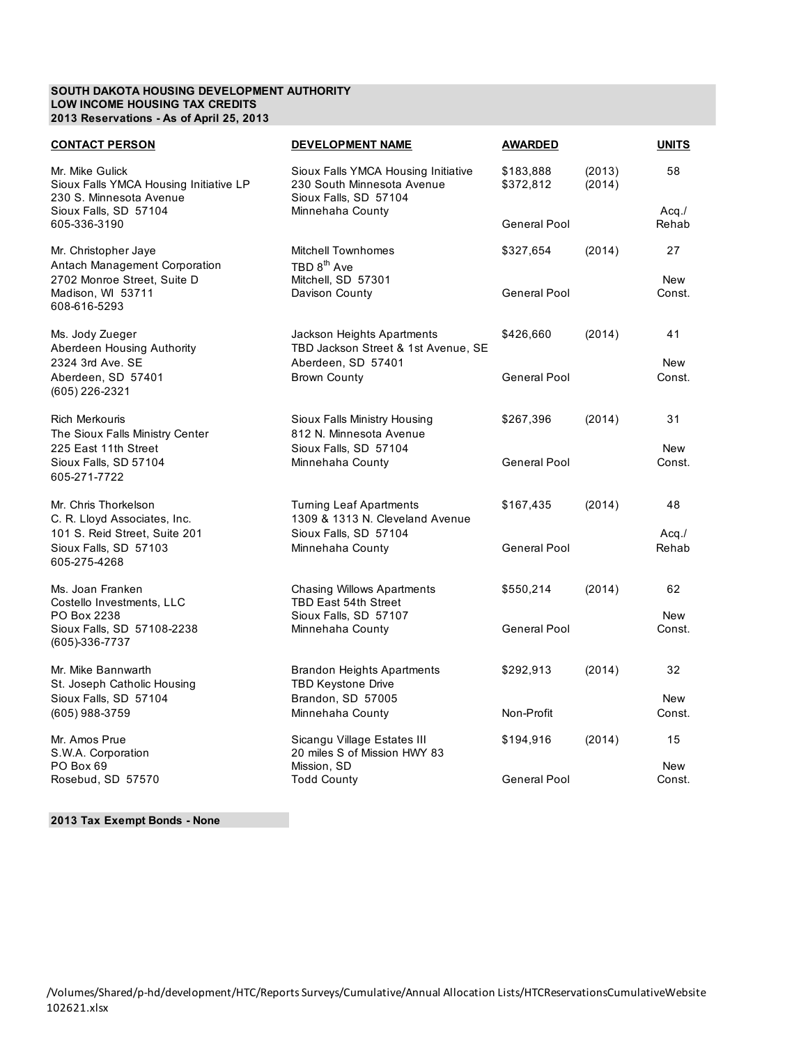## **SOUTH DAKOTA HOUSING DEVELOPMENT AUTHORITY LOW INCOME HOUSING TAX CREDITS 2013 Reservations - As of April 25, 2013**

| <u>CONTACT PERSON</u>                                                                | <b>DEVELOPMENT NAME</b>                                                                    | <b>AWARDED</b>         |                  | <b>UNITS</b>         |
|--------------------------------------------------------------------------------------|--------------------------------------------------------------------------------------------|------------------------|------------------|----------------------|
| Mr. Mike Gulick<br>Sioux Falls YMCA Housing Initiative LP<br>230 S. Minnesota Avenue | Sioux Falls YMCA Housing Initiative<br>230 South Minnesota Avenue<br>Sioux Falls, SD 57104 | \$183,888<br>\$372,812 | (2013)<br>(2014) | 58                   |
| Sioux Falls, SD 57104<br>605-336-3190                                                | Minnehaha County                                                                           | General Pool           |                  | $Acq$ ./<br>Rehab    |
| Mr. Christopher Jaye<br>Antach Management Corporation                                | <b>Mitchell Townhomes</b><br>TBD 8 <sup>th</sup> Ave                                       | \$327,654              | (2014)           | 27                   |
| 2702 Monroe Street, Suite D<br>Madison, WI 53711<br>608-616-5293                     | Mitchell, SD 57301<br>Davison County                                                       | General Pool           |                  | <b>New</b><br>Const. |
| Ms. Jody Zueger<br>Aberdeen Housing Authority                                        | Jackson Heights Apartments<br>TBD Jackson Street & 1st Avenue, SE                          | \$426,660              | (2014)           | 41                   |
| 2324 3rd Ave, SE<br>Aberdeen, SD 57401<br>(605) 226-2321                             | Aberdeen, SD 57401<br><b>Brown County</b>                                                  | General Pool           |                  | New<br>Const.        |
| <b>Rich Merkouris</b><br>The Sioux Falls Ministry Center                             | Sioux Falls Ministry Housing<br>812 N. Minnesota Avenue                                    | \$267,396              | (2014)           | 31                   |
| 225 East 11th Street<br>Sioux Falls, SD 57104<br>605-271-7722                        | Sioux Falls, SD 57104<br>Minnehaha County                                                  | General Pool           |                  | New<br>Const.        |
| Mr. Chris Thorkelson<br>C. R. Lloyd Associates, Inc.                                 | <b>Turning Leaf Apartments</b><br>1309 & 1313 N. Cleveland Avenue                          | \$167,435              | (2014)           | 48                   |
| 101 S. Reid Street, Suite 201<br>Sioux Falls, SD 57103<br>605-275-4268               | Sioux Falls, SD 57104<br>Minnehaha County                                                  | General Pool           |                  | $Acq$ ./<br>Rehab    |
| Ms. Joan Franken<br>Costello Investments, LLC<br>PO Box 2238                         | <b>Chasing Willows Apartments</b><br><b>TBD East 54th Street</b><br>Sioux Falls, SD 57107  | \$550,214              | (2014)           | 62<br>New            |
| Sioux Falls, SD 57108-2238<br>(605)-336-7737                                         | Minnehaha County                                                                           | General Pool           |                  | Const.               |
| Mr. Mike Bannwarth<br>St. Joseph Catholic Housing                                    | Brandon Heights Apartments<br><b>TBD Keystone Drive</b>                                    | \$292,913              | (2014)           | 32                   |
| Sioux Falls, SD 57104<br>(605) 988-3759                                              | Brandon, SD 57005<br>Minnehaha County                                                      | Non-Profit             |                  | <b>New</b><br>Const. |
| Mr. Amos Prue<br>S.W.A. Corporation<br>PO Box 69                                     | Sicangu Village Estates III<br>20 miles S of Mission HWY 83<br>Mission, SD                 | \$194,916              | (2014)           | 15<br>New            |
| Rosebud, SD 57570                                                                    | <b>Todd County</b>                                                                         | General Pool           |                  | Const.               |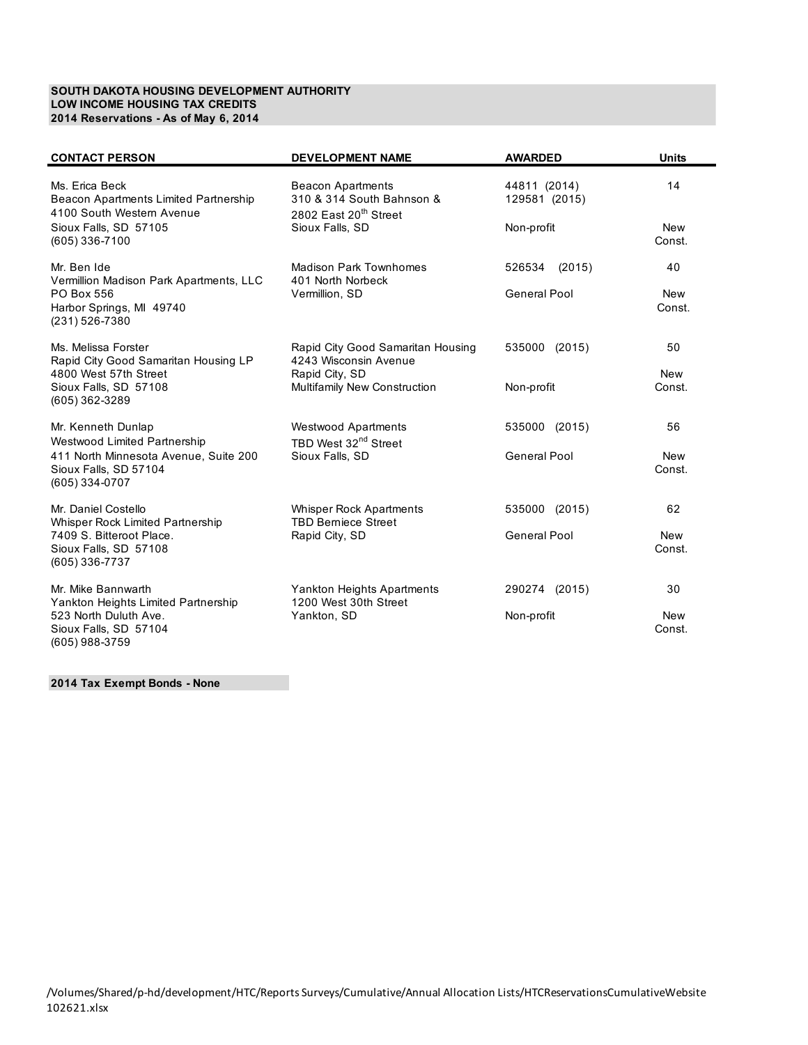## **SOUTH DAKOTA HOUSING DEVELOPMENT AUTHORITY LOW INCOME HOUSING TAX CREDITS 2014 Reservations - As of May 6, 2014**

| <b>CONTACT PERSON</b>                                                                                         | <b>DEVELOPMENT NAME</b>                                                                                       | <b>AWARDED</b>                              | <b>Units</b>         |
|---------------------------------------------------------------------------------------------------------------|---------------------------------------------------------------------------------------------------------------|---------------------------------------------|----------------------|
| Ms. Erica Beck<br>Beacon Apartments Limited Partnership<br>4100 South Western Avenue<br>Sioux Falls, SD 57105 | <b>Beacon Apartments</b><br>310 & 314 South Bahnson &<br>2802 East 20 <sup>th</sup> Street<br>Sioux Falls, SD | 44811 (2014)<br>129581 (2015)<br>Non-profit | 14<br><b>New</b>     |
| (605) 336-7100                                                                                                |                                                                                                               |                                             | Const.               |
| Mr. Ben Ide<br>Vermillion Madison Park Apartments, LLC                                                        | <b>Madison Park Townhomes</b><br>401 North Norbeck                                                            | 526534 (2015)                               | 40                   |
| PO Box 556<br>Harbor Springs, MI 49740<br>(231) 526-7380                                                      | Vermillion, SD                                                                                                | General Pool                                | <b>New</b><br>Const. |
| Ms. Melissa Forster<br>Rapid City Good Samaritan Housing LP                                                   | Rapid City Good Samaritan Housing<br>4243 Wisconsin Avenue                                                    | 535000 (2015)                               | 50                   |
| 4800 West 57th Street<br>Sioux Falls, SD 57108<br>(605) 362-3289                                              | Rapid City, SD<br><b>Multifamily New Construction</b>                                                         | Non-profit                                  | <b>New</b><br>Const. |
| Mr. Kenneth Dunlap<br>Westwood Limited Partnership                                                            | <b>Westwood Apartments</b><br>TBD West 32 <sup>nd</sup> Street                                                | 535000 (2015)                               | 56                   |
| 411 North Minnesota Avenue, Suite 200<br>Sioux Falls, SD 57104<br>(605) 334-0707                              | Sioux Falls, SD                                                                                               | General Pool                                | <b>New</b><br>Const. |
| Mr. Daniel Costello<br>Whisper Rock Limited Partnership                                                       | <b>Whisper Rock Apartments</b><br><b>TBD Berniece Street</b>                                                  | 535000 (2015)                               | 62                   |
| 7409 S. Bitteroot Place.<br>Sioux Falls, SD 57108<br>(605) 336-7737                                           | Rapid City, SD                                                                                                | General Pool                                | <b>New</b><br>Const. |
| Mr. Mike Bannwarth<br>Yankton Heights Limited Partnership                                                     | Yankton Heights Apartments<br>1200 West 30th Street                                                           | 290274 (2015)                               | 30                   |
| 523 North Duluth Ave.<br>Sioux Falls, SD 57104<br>(605) 988-3759                                              | Yankton, SD                                                                                                   | Non-profit                                  | <b>New</b><br>Const. |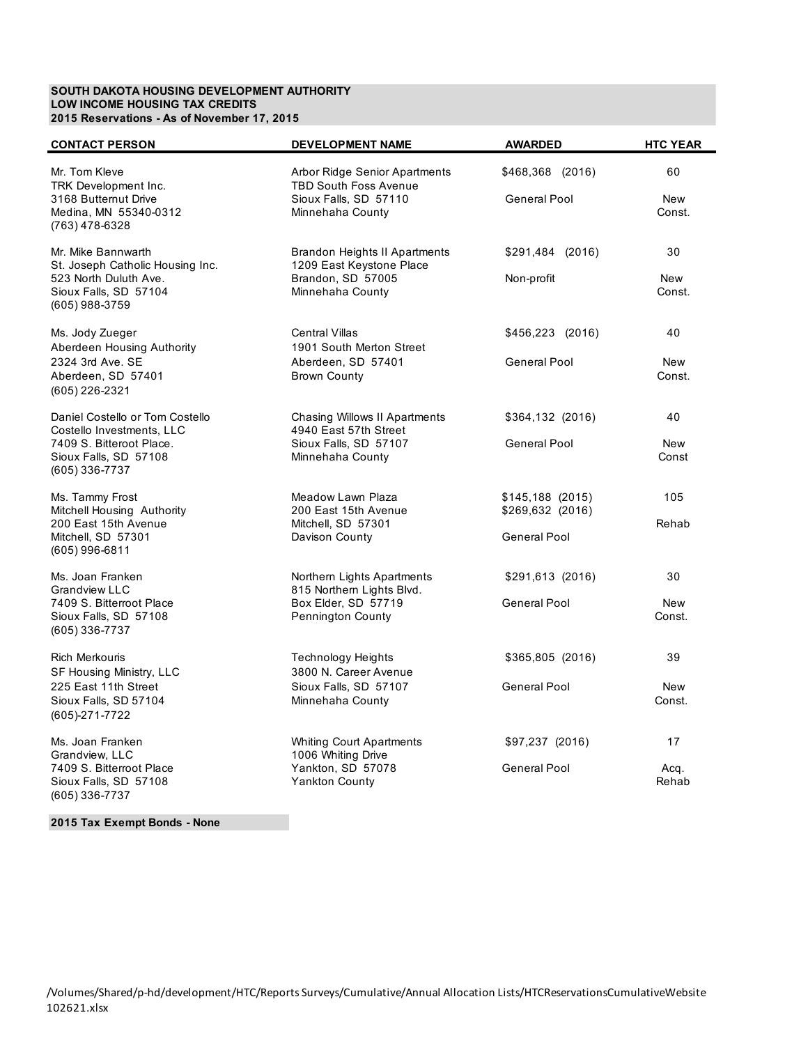## **SOUTH DAKOTA HOUSING DEVELOPMENT AUTHORITY LOW INCOME HOUSING TAX CREDITS 2015 Reservations - As of November 17, 2015**

| <b>CONTACT PERSON</b>                                                                                                               | <b>DEVELOPMENT NAME</b>                                                                                    | <b>AWARDED</b>                                        | <b>HTC YEAR</b>            |
|-------------------------------------------------------------------------------------------------------------------------------------|------------------------------------------------------------------------------------------------------------|-------------------------------------------------------|----------------------------|
| Mr. Tom Kleve<br>TRK Development Inc.<br>3168 Butternut Drive<br>Medina, MN 55340-0312<br>(763) 478-6328                            | Arbor Ridge Senior Apartments<br><b>TBD South Foss Avenue</b><br>Sioux Falls, SD 57110<br>Minnehaha County | \$468,368 (2016)<br>General Pool                      | 60<br><b>New</b><br>Const. |
| Mr. Mike Bannwarth<br>St. Joseph Catholic Housing Inc.<br>523 North Duluth Ave.<br>Sioux Falls, SD 57104<br>(605) 988-3759          | Brandon Heights II Apartments<br>1209 East Keystone Place<br>Brandon, SD 57005<br>Minnehaha County         | \$291,484 (2016)<br>Non-profit                        | 30<br><b>New</b><br>Const. |
| Ms. Jody Zueger<br>Aberdeen Housing Authority<br>2324 3rd Ave. SE<br>Aberdeen, SD 57401<br>(605) 226-2321                           | <b>Central Villas</b><br>1901 South Merton Street<br>Aberdeen, SD 57401<br><b>Brown County</b>             | \$456,223 (2016)<br>General Pool                      | 40<br><b>New</b><br>Const. |
| Daniel Costello or Tom Costello<br>Costello Investments, LLC<br>7409 S. Bitteroot Place.<br>Sioux Falls, SD 57108<br>(605) 336-7737 | Chasing Willows II Apartments<br>4940 East 57th Street<br>Sioux Falls, SD 57107<br>Minnehaha County        | \$364,132 (2016)<br>General Pool                      | 40<br><b>New</b><br>Const  |
| Ms. Tammy Frost<br>Mitchell Housing Authority<br>200 East 15th Avenue<br>Mitchell, SD 57301<br>$(605)$ 996-6811                     | Meadow Lawn Plaza<br>200 East 15th Avenue<br>Mitchell, SD 57301<br>Davison County                          | $$145,188$ (2015)<br>\$269,632 (2016)<br>General Pool | 105<br>Rehab               |
| Ms. Joan Franken<br><b>Grandview LLC</b><br>7409 S. Bitterroot Place<br>Sioux Falls, SD 57108<br>(605) 336-7737                     | Northern Lights Apartments<br>815 Northern Lights Blvd.<br>Box Elder, SD 57719<br>Pennington County        | $$291,613$ (2016)<br><b>General Pool</b>              | 30<br><b>New</b><br>Const. |
| <b>Rich Merkouris</b><br>SF Housing Ministry, LLC<br>225 East 11th Street<br>Sioux Falls, SD 57104<br>(605)-271-7722                | <b>Technology Heights</b><br>3800 N. Career Avenue<br>Sioux Falls, SD 57107<br>Minnehaha County            | \$365,805 (2016)<br>General Pool                      | 39<br>New<br>Const.        |
| Ms. Joan Franken<br>Grandview, LLC<br>7409 S. Bitterroot Place<br>Sioux Falls, SD 57108<br>(605) 336-7737                           | <b>Whiting Court Apartments</b><br>1006 Whiting Drive<br>Yankton, SD 57078<br><b>Yankton County</b>        | \$97,237 (2016)<br>General Pool                       | 17<br>Acq.<br>Rehab        |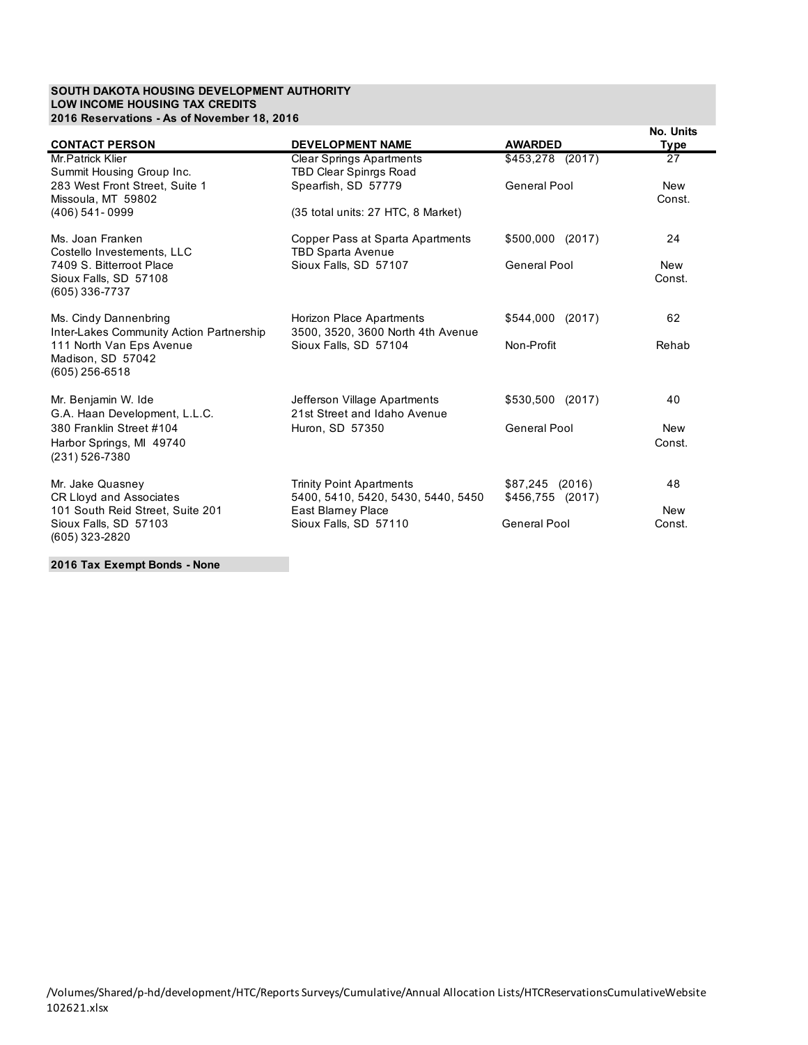## **SOUTH DAKOTA HOUSING DEVELOPMENT AUTHORITY LOW INCOME HOUSING TAX CREDITS 2016 Reservations - As of November 18, 2016**

| <b>CONTACT PERSON</b>                                               | <b>DEVELOPMENT NAME</b>                                          | <b>AWARDED</b>   | No. Units<br><b>Type</b> |
|---------------------------------------------------------------------|------------------------------------------------------------------|------------------|--------------------------|
| Mr. Patrick Klier<br>Summit Housing Group Inc.                      | <b>Clear Springs Apartments</b><br><b>TBD Clear Spinrgs Road</b> | \$453,278 (2017) | 27                       |
| 283 West Front Street, Suite 1<br>Missoula, MT 59802                | Spearfish, SD 57779                                              | General Pool     | <b>New</b><br>Const.     |
| $(406)$ 541-0999                                                    | (35 total units: 27 HTC, 8 Market)                               |                  |                          |
| Ms. Joan Franken<br>Costello Investements, LLC                      | Copper Pass at Sparta Apartments<br><b>TBD Sparta Avenue</b>     | \$500,000 (2017) | 24                       |
| 7409 S. Bitterroot Place<br>Sioux Falls, SD 57108<br>(605) 336-7737 | Sioux Falls, SD 57107                                            | General Pool     | New<br>Const.            |
| Ms. Cindy Dannenbring<br>Inter-Lakes Community Action Partnership   | Horizon Place Apartments<br>3500, 3520, 3600 North 4th Avenue    | \$544,000 (2017) | 62                       |
| 111 North Van Eps Avenue<br>Madison, SD 57042<br>(605) 256-6518     | Sioux Falls, SD 57104                                            | Non-Profit       | Rehab                    |
| Mr. Benjamin W. Ide<br>G.A. Haan Development, L.L.C.                | Jefferson Village Apartments<br>21st Street and Idaho Avenue     | \$530,500 (2017) | 40                       |
| 380 Franklin Street #104                                            | Huron, SD 57350                                                  | General Pool     | <b>New</b>               |
| Harbor Springs, MI 49740<br>(231) 526-7380                          |                                                                  |                  | Const.                   |
| Mr. Jake Quasney                                                    | <b>Trinity Point Apartments</b>                                  | $$87,245$ (2016) | 48                       |
| CR Lloyd and Associates<br>101 South Reid Street, Suite 201         | 5400, 5410, 5420, 5430, 5440, 5450<br>East Blamey Place          | \$456,755 (2017) | <b>New</b>               |
| Sioux Falls, SD 57103<br>(605) 323-2820                             | Sioux Falls, SD 57110                                            | General Pool     | Const.                   |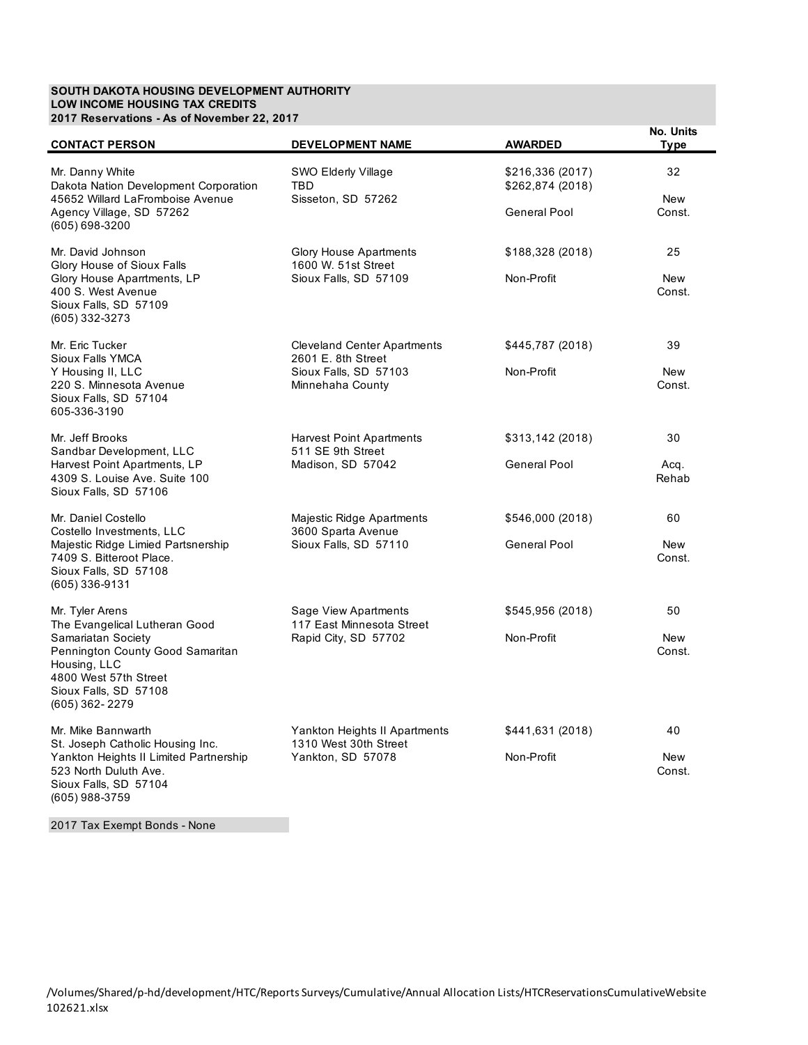#### **SOUTH DAKOTA HOUSING DEVELOPMENT AUTHORITY LOW INCOME HOUSING TAX CREDITS 2017 Reservations - As of November 22, 2017**

| <b>CONTACT PERSON</b>                                                                                                                      | <b>DEVELOPMENT NAME</b>                                        | <b>AWARDED</b>                                       | No. Units<br><b>Type</b>   |
|--------------------------------------------------------------------------------------------------------------------------------------------|----------------------------------------------------------------|------------------------------------------------------|----------------------------|
| Mr. Danny White<br>Dakota Nation Development Corporation<br>45652 Willard LaFromboise Avenue<br>Agency Village, SD 57262                   | <b>SWO Elderly Village</b><br><b>TBD</b><br>Sisseton, SD 57262 | \$216,336 (2017)<br>\$262,874 (2018)<br>General Pool | 32<br><b>New</b><br>Const. |
| (605) 698-3200                                                                                                                             |                                                                |                                                      |                            |
| Mr. David Johnson<br>Glory House of Sioux Falls                                                                                            | <b>Glory House Apartments</b><br>1600 W. 51st Street           | \$188,328 (2018)                                     | 25                         |
| Glory House Aparrtments, LP<br>400 S. West Avenue<br>Sioux Falls, SD 57109<br>(605) 332-3273                                               | Sioux Falls, SD 57109                                          | Non-Profit                                           | <b>New</b><br>Const.       |
| Mr. Eric Tucker<br>Sioux Falls YMCA                                                                                                        | <b>Cleveland Center Apartments</b><br>2601 E. 8th Street       | \$445,787 (2018)                                     | 39                         |
| Y Housing II, LLC<br>220 S. Minnesota Avenue<br>Sioux Falls, SD 57104<br>605-336-3190                                                      | Sioux Falls, SD 57103<br>Minnehaha County                      | Non-Profit                                           | <b>New</b><br>Const.       |
| Mr. Jeff Brooks<br>Sandbar Development, LLC                                                                                                | <b>Harvest Point Apartments</b><br>511 SE 9th Street           | \$313,142 (2018)                                     | 30                         |
| Harvest Point Apartments, LP<br>4309 S. Louise Ave. Suite 100<br>Sioux Falls, SD 57106                                                     | Madison, SD 57042                                              | General Pool                                         | Acq.<br>Rehab              |
| Mr. Daniel Costello<br>Costello Investments, LLC                                                                                           | Majestic Ridge Apartments<br>3600 Sparta Avenue                | \$546,000 (2018)                                     | 60                         |
| Majestic Ridge Limied Partsnership<br>7409 S. Bitteroot Place.<br>Sioux Falls, SD 57108<br>(605) 336-9131                                  | Sioux Falls, SD 57110                                          | <b>General Pool</b>                                  | <b>New</b><br>Const.       |
| Mr. Tyler Arens<br>The Evangelical Lutheran Good                                                                                           | Sage View Apartments<br>117 East Minnesota Street              | \$545,956 (2018)                                     | 50                         |
| Samariatan Society<br>Pennington County Good Samaritan<br>Housing, LLC<br>4800 West 57th Street<br>Sioux Falls, SD 57108<br>(605) 362-2279 | Rapid City, SD 57702                                           | Non-Profit                                           | <b>New</b><br>Const.       |
| Mr. Mike Bannwarth<br>St. Joseph Catholic Housing Inc.                                                                                     | Yankton Heights II Apartments<br>1310 West 30th Street         | \$441,631 (2018)                                     | 40                         |
| Yankton Heights II Limited Partnership<br>523 North Duluth Ave.<br>Sioux Falls, SD 57104<br>(605) 988-3759                                 | Yankton, SD 57078                                              | Non-Profit                                           | <b>New</b><br>Const.       |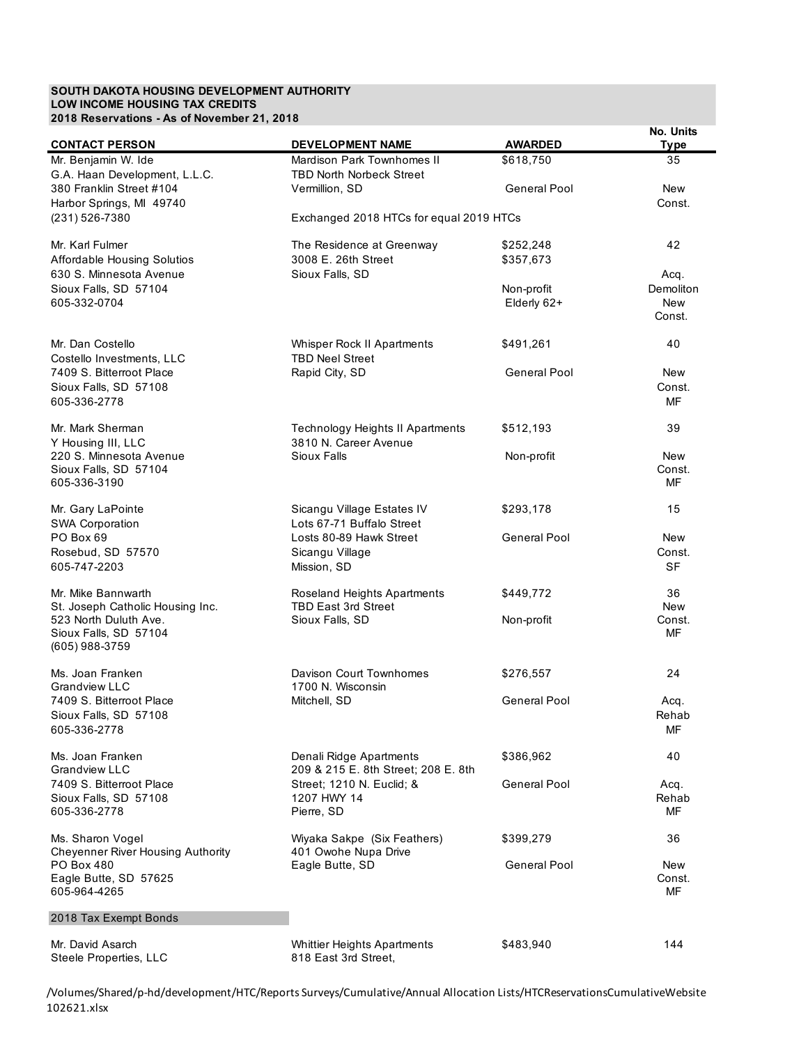## **SOUTH DAKOTA HOUSING DEVELOPMENT AUTHORITY LOW INCOME HOUSING TAX CREDITS 2018 Reservations - As of November 21, 2018**

| <b>CONTACT PERSON</b>                                     | <b>DEVELOPMENT NAME</b>                                   | <b>AWARDED</b>      | No. Units<br><b>Type</b> |
|-----------------------------------------------------------|-----------------------------------------------------------|---------------------|--------------------------|
| Mr. Benjamin W. Ide                                       | Mardison Park Townhomes II                                | \$618.750           | 35                       |
| G.A. Haan Development, L.L.C.                             | <b>TBD North Norbeck Street</b>                           |                     |                          |
| 380 Franklin Street #104                                  | Vermillion, SD                                            | General Pool        | <b>New</b>               |
| Harbor Springs, MI 49740                                  |                                                           |                     | Const.                   |
| (231) 526-7380                                            | Exchanged 2018 HTCs for equal 2019 HTCs                   |                     |                          |
| Mr. Karl Fulmer                                           | The Residence at Greenway                                 | \$252,248           | 42                       |
| Affordable Housing Solutios                               | 3008 E. 26th Street                                       | \$357,673           |                          |
| 630 S. Minnesota Avenue                                   | Sioux Falls, SD                                           |                     | Acq.                     |
| Sioux Falls, SD 57104                                     |                                                           | Non-profit          | Demoliton                |
| 605-332-0704                                              |                                                           | Elderly 62+         | <b>New</b><br>Const.     |
|                                                           |                                                           |                     |                          |
| Mr. Dan Costello                                          | Whisper Rock II Apartments                                | \$491,261           | 40                       |
| Costello Investments, LLC                                 | <b>TBD Neel Street</b>                                    |                     |                          |
| 7409 S. Bitterroot Place                                  | Rapid City, SD                                            | General Pool        | New                      |
| Sioux Falls, SD 57108                                     |                                                           |                     | Const.                   |
| 605-336-2778                                              |                                                           |                     | MF                       |
| Mr. Mark Sherman                                          | <b>Technology Heights II Apartments</b>                   | \$512,193           | 39                       |
| Y Housing III, LLC                                        | 3810 N. Career Avenue                                     |                     |                          |
| 220 S. Minnesota Avenue                                   | Sioux Falls                                               | Non-profit          | <b>New</b><br>Const.     |
| Sioux Falls, SD 57104<br>605-336-3190                     |                                                           |                     | MF                       |
|                                                           |                                                           |                     |                          |
| Mr. Gary LaPointe                                         | Sicangu Village Estates IV                                | \$293,178           | 15                       |
| <b>SWA Corporation</b><br>PO Box 69                       | Lots 67-71 Buffalo Street<br>Losts 80-89 Hawk Street      | General Pool        | <b>New</b>               |
| Rosebud, SD 57570                                         | Sicangu Village                                           |                     | Const.                   |
| 605-747-2203                                              | Mission, SD                                               |                     | <b>SF</b>                |
|                                                           |                                                           |                     |                          |
| Mr. Mike Bannwarth                                        | Roseland Heights Apartments<br><b>TBD East 3rd Street</b> | \$449,772           | 36<br><b>New</b>         |
| St. Joseph Catholic Housing Inc.<br>523 North Duluth Ave. | Sioux Falls, SD                                           | Non-profit          | Const.                   |
| Sioux Falls, SD 57104                                     |                                                           |                     | MF                       |
| $(605)$ 988-3759                                          |                                                           |                     |                          |
| Ms. Joan Franken                                          | Davison Court Townhomes                                   | \$276,557           | 24                       |
| <b>Grandview LLC</b>                                      | 1700 N. Wisconsin                                         |                     |                          |
| 7409 S. Bitterroot Place                                  | Mitchell, SD                                              | General Pool        | Acq.                     |
| Sioux Falls, SD 57108                                     |                                                           |                     | Rehab                    |
| 605-336-2778                                              |                                                           |                     | МF                       |
| Ms. Joan Franken                                          | Denali Ridge Apartments                                   | \$386,962           | 40                       |
| Grandview LLC                                             | 209 & 215 E. 8th Street; 208 E. 8th                       |                     |                          |
| 7409 S. Bitterroot Place                                  | Street; 1210 N. Euclid; &                                 | <b>General Pool</b> | Acq.                     |
| Sioux Falls, SD 57108<br>605-336-2778                     | 1207 HWY 14<br>Pierre, SD                                 |                     | Rehab<br>MF              |
|                                                           |                                                           |                     |                          |
| Ms. Sharon Vogel                                          | Wiyaka Sakpe (Six Feathers)                               | \$399,279           | 36                       |
| <b>Cheyenner River Housing Authority</b><br>PO Box 480    | 401 Owohe Nupa Drive<br>Eagle Butte, SD                   | <b>General Pool</b> | New                      |
| Eagle Butte, SD 57625                                     |                                                           |                     | Const.                   |
| 605-964-4265                                              |                                                           |                     | MF                       |
| 2018 Tax Exempt Bonds                                     |                                                           |                     |                          |
|                                                           |                                                           |                     |                          |
| Mr. David Asarch<br>Steele Properties, LLC                | <b>Whittier Heights Apartments</b>                        | \$483,940           | 144                      |
|                                                           | 818 East 3rd Street,                                      |                     |                          |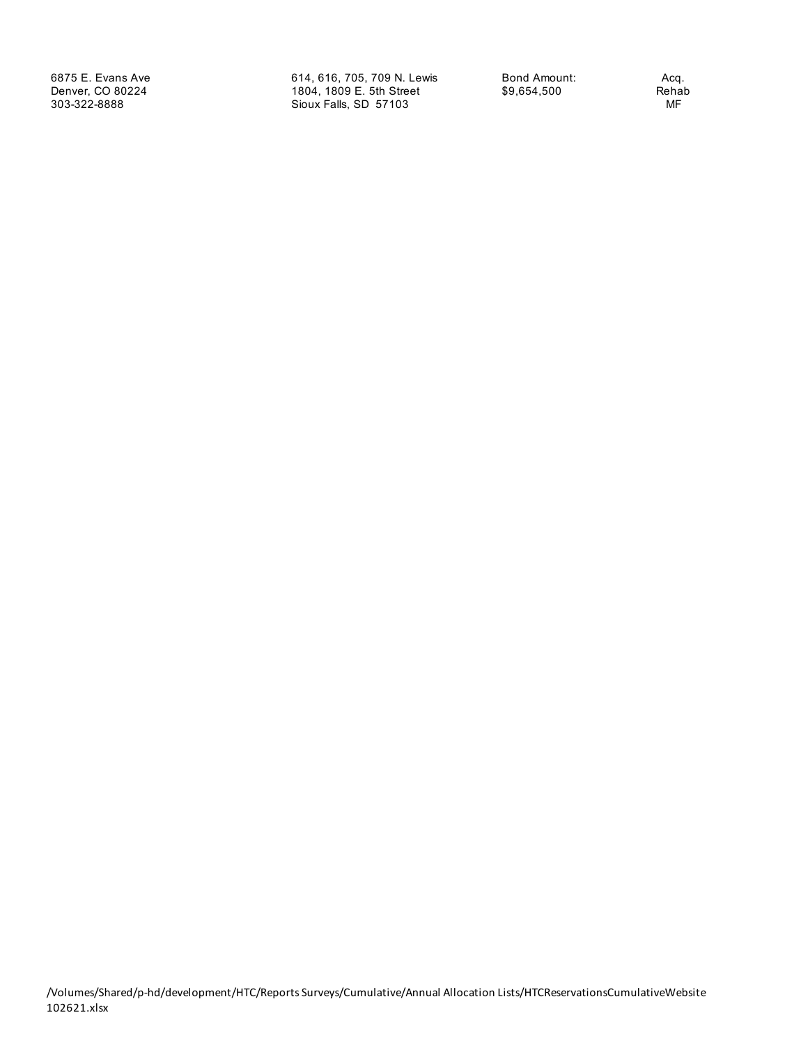6875 E. Evans Ave 614, 616, 705, 709 N. Lewis Bond Amount: Acq. 1804, 1809 E. 5th Street \$9,654,500 Reha<br>Sioux Falls, SD 57103 MF 303-322-8888 Sioux Falls, SD 57103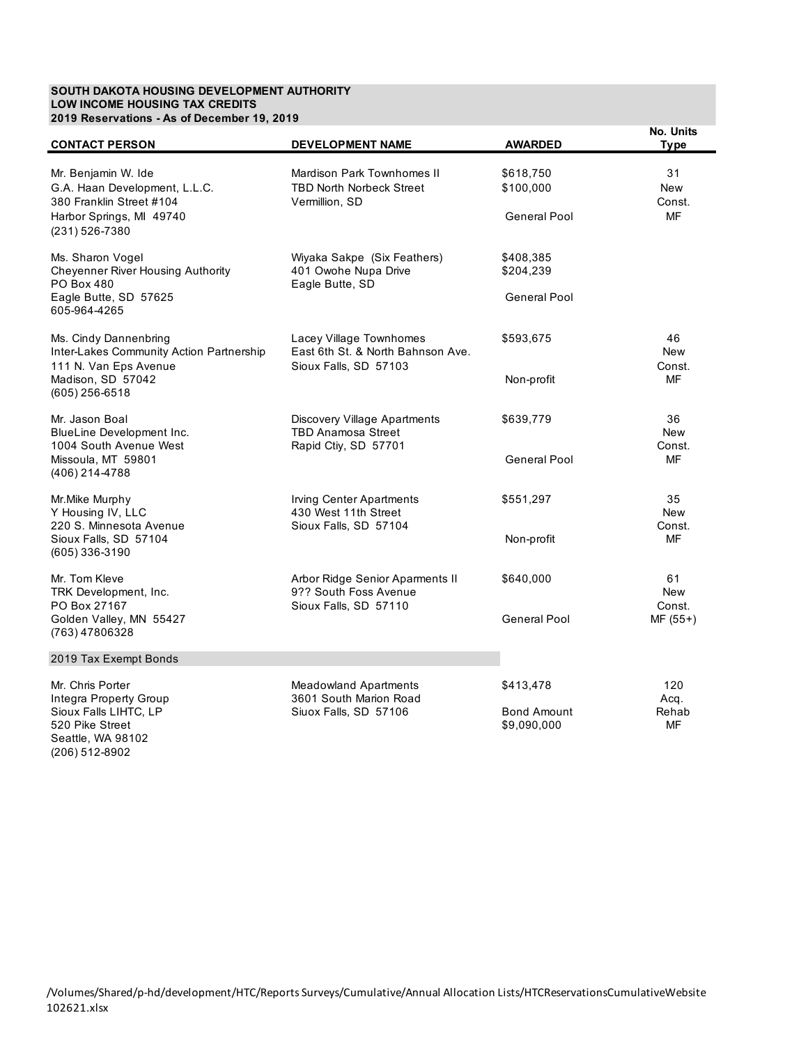### **SOUTH DAKOTA HOUSING DEVELOPMENT AUTHORITY LOW INCOME HOUSING TAX CREDITS 2019 Reservations - As of December 19, 2019**

(206) 512-8902

| <b>CONTACT PERSON</b>                                                                      | <b>DEVELOPMENT NAME</b>                                                                | <b>AWARDED</b>                    | No. Units<br><b>Type</b>   |
|--------------------------------------------------------------------------------------------|----------------------------------------------------------------------------------------|-----------------------------------|----------------------------|
| Mr. Benjamin W. Ide<br>G.A. Haan Development, L.L.C.<br>380 Franklin Street #104           | <b>Mardison Park Townhomes II</b><br><b>TBD North Norbeck Street</b><br>Vermillion, SD | \$618,750<br>\$100,000            | 31<br><b>New</b><br>Const. |
| Harbor Springs, MI 49740<br>(231) 526-7380                                                 |                                                                                        | General Pool                      | MF                         |
| Ms. Sharon Vogel<br><b>Cheyenner River Housing Authority</b><br><b>PO Box 480</b>          | Wiyaka Sakpe (Six Feathers)<br>401 Owohe Nupa Drive<br>Eagle Butte, SD                 | \$408,385<br>\$204,239            |                            |
| Eagle Butte, SD 57625<br>605-964-4265                                                      |                                                                                        | General Pool                      |                            |
| Ms. Cindy Dannenbring<br>Inter-Lakes Community Action Partnership<br>111 N. Van Eps Avenue | Lacey Village Townhomes<br>East 6th St. & North Bahnson Ave.<br>Sioux Falls, SD 57103  | \$593,675                         | 46<br><b>New</b><br>Const. |
| Madison, SD 57042<br>$(605)$ 256-6518                                                      |                                                                                        | Non-profit                        | MF                         |
| Mr. Jason Boal<br>BlueLine Development Inc.<br>1004 South Avenue West                      | Discovery Village Apartments<br><b>TBD Anamosa Street</b><br>Rapid Ctiy, SD 57701      | \$639,779                         | 36<br><b>New</b><br>Const. |
| Missoula, MT 59801<br>(406) 214-4788                                                       |                                                                                        | General Pool                      | MF                         |
| Mr.Mike Murphy<br>Y Housing IV, LLC<br>220 S. Minnesota Avenue                             | <b>Irving Center Apartments</b><br>430 West 11th Street<br>Sioux Falls, SD 57104       | \$551,297                         | 35<br><b>New</b><br>Const. |
| Sioux Falls, SD 57104<br>(605) 336-3190                                                    |                                                                                        | Non-profit                        | MF                         |
| Mr. Tom Kleve<br>TRK Development, Inc.<br>PO Box 27167                                     | Arbor Ridge Senior Aparments II<br>9?? South Foss Avenue<br>Sioux Falls, SD 57110      | \$640,000                         | 61<br><b>New</b><br>Const. |
| Golden Valley, MN 55427<br>(763) 47806328                                                  |                                                                                        | General Pool                      | $MF (55+)$                 |
| 2019 Tax Exempt Bonds                                                                      |                                                                                        |                                   |                            |
| Mr. Chris Porter<br>Integra Property Group                                                 | <b>Meadowland Apartments</b><br>3601 South Marion Road                                 | \$413,478                         | 120<br>Acq.                |
| Sioux Falls LIHTC, LP<br>520 Pike Street<br>Seattle, WA 98102                              | Siuox Falls, SD 57106                                                                  | <b>Bond Amount</b><br>\$9,090,000 | Rehab<br><b>MF</b>         |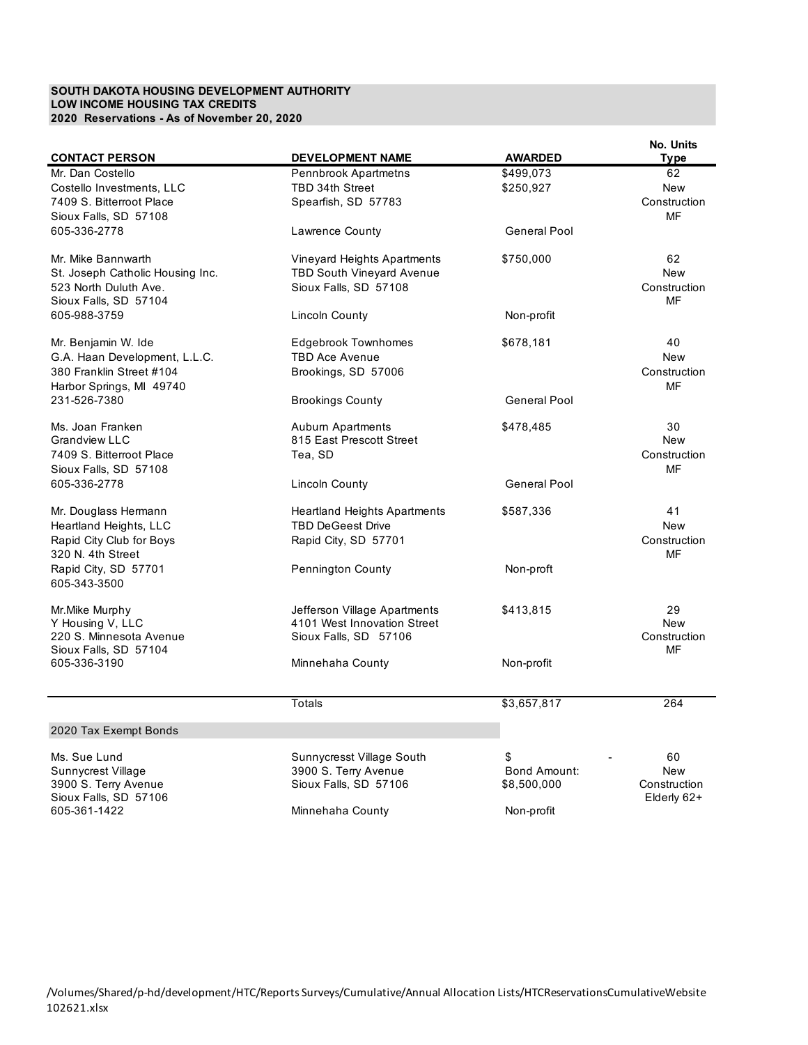## **SOUTH DAKOTA HOUSING DEVELOPMENT AUTHORITY LOW INCOME HOUSING TAX CREDITS 2020 Reservations - As of November 20, 2020**

|                                                  |                                  |                     | No. Units          |
|--------------------------------------------------|----------------------------------|---------------------|--------------------|
| <b>CONTACT PERSON</b>                            | <b>DEVELOPMENT NAME</b>          | <b>AWARDED</b>      | Type               |
| Mr. Dan Costello                                 | Pennbrook Apartmetns             | \$499,073           | 62                 |
| Costello Investments, LLC                        | TBD 34th Street                  | \$250,927           | New                |
| 7409 S. Bitterroot Place                         | Spearfish, SD 57783              |                     | Construction       |
| Sioux Falls, SD 57108                            |                                  |                     | MF                 |
| 605-336-2778                                     | Lawrence County                  | <b>General Pool</b> |                    |
|                                                  |                                  |                     |                    |
| Mr. Mike Bannwarth                               | Vineyard Heights Apartments      | \$750,000           | 62                 |
| St. Joseph Catholic Housing Inc.                 | <b>TBD South Vineyard Avenue</b> |                     | <b>New</b>         |
| 523 North Duluth Ave.                            | Sioux Falls, SD 57108            |                     | Construction       |
| Sioux Falls, SD 57104                            |                                  |                     | MF                 |
| 605-988-3759                                     | Lincoln County                   | Non-profit          |                    |
| Mr. Benjamin W. Ide                              | <b>Edgebrook Townhomes</b>       | \$678,181           | 40                 |
| G.A. Haan Development, L.L.C.                    | <b>TBD Ace Avenue</b>            |                     | New                |
| 380 Franklin Street #104                         | Brookings, SD 57006              |                     | Construction       |
| Harbor Springs, MI 49740                         |                                  |                     | MF                 |
| 231-526-7380                                     | <b>Brookings County</b>          | <b>General Pool</b> |                    |
|                                                  |                                  |                     |                    |
| Ms. Joan Franken                                 | <b>Aubum Apartments</b>          | \$478,485           | 30                 |
| <b>Grandview LLC</b>                             | 815 East Prescott Street         |                     | New                |
| 7409 S. Bitterroot Place                         | Tea. SD                          |                     | Construction       |
| Sioux Falls, SD 57108                            |                                  |                     | MF                 |
| 605-336-2778                                     | Lincoln County                   | <b>General Pool</b> |                    |
| Mr. Douglass Hermann                             | Heartland Heights Apartments     | \$587,336           | 41                 |
| Heartland Heights, LLC                           | <b>TBD DeGeest Drive</b>         |                     | <b>New</b>         |
| Rapid City Club for Boys                         | Rapid City, SD 57701             |                     | Construction       |
| 320 N. 4th Street                                |                                  |                     | MF                 |
| Rapid City, SD 57701                             | <b>Pennington County</b>         | Non-proft           |                    |
| 605-343-3500                                     |                                  |                     |                    |
|                                                  |                                  |                     |                    |
| Mr. Mike Murphy                                  | Jefferson Village Apartments     | \$413,815           | 29                 |
| Y Housing V, LLC                                 | 4101 West Innovation Street      |                     | New                |
| 220 S. Minnesota Avenue<br>Sioux Falls, SD 57104 | Sioux Falls, SD 57106            |                     | Construction<br>MF |
| 605-336-3190                                     | Minnehaha County                 | Non-profit          |                    |
|                                                  |                                  |                     |                    |
|                                                  | Totals                           | \$3,657,817         | 264                |
|                                                  |                                  |                     |                    |
| 2020 Tax Exempt Bonds                            |                                  |                     |                    |
| Ms. Sue Lund                                     | Sunnycresst Village South        | \$                  | 60                 |
| Sunnycrest Village                               | 3900 S. Terry Avenue             | Bond Amount:        | <b>New</b>         |
| 3900 S. Terry Avenue                             | Sioux Falls, SD 57106            | \$8,500,000         | Construction       |
| Sioux Falls, SD 57106                            |                                  |                     | Elderly 62+        |
| 605-361-1422                                     | Minnehaha County                 | Non-profit          |                    |